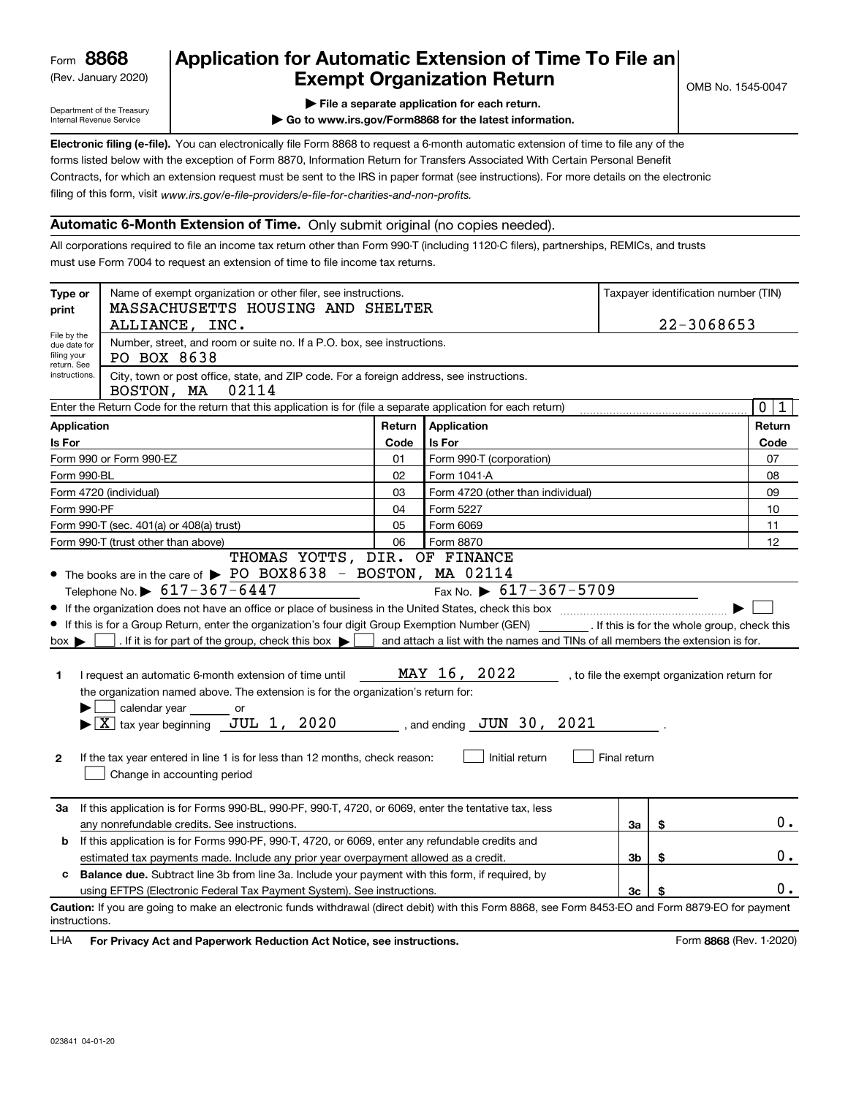(Rev. January 2020)

## **Application for Automatic Extension of Time To File an Exempt Organization Return**

Department of the Treasury Internal Revenue Service

**| File a separate application for each return.**

**| Go to www.irs.gov/Form8868 for the latest information.**

**Electronic filing (e-file).**  You can electronically file Form 8868 to request a 6-month automatic extension of time to file any of the filing of this form, visit www.irs.gov/e-file-providers/e-file-for-charities-and-non-profits. forms listed below with the exception of Form 8870, Information Return for Transfers Associated With Certain Personal Benefit Contracts, for which an extension request must be sent to the IRS in paper format (see instructions). For more details on the electronic

#### **Automatic 6-Month Extension of Time.** Only submit original (no copies needed).

All corporations required to file an income tax return other than Form 990-T (including 1120-C filers), partnerships, REMICs, and trusts must use Form 7004 to request an extension of time to file income tax returns.

| Type or<br>print                                                                                                                                                                                                                                                                                                                                                                                                                                                                                                                                                                                                                                                                                                                                                                                                                                                                                                                                                                                                                      | Name of exempt organization or other filer, see instructions.<br>MASSACHUSETTS HOUSING AND SHELTER                                                                     |      | Taxpayer identification number (TIN) |  |  |        |  |  |  |  |
|---------------------------------------------------------------------------------------------------------------------------------------------------------------------------------------------------------------------------------------------------------------------------------------------------------------------------------------------------------------------------------------------------------------------------------------------------------------------------------------------------------------------------------------------------------------------------------------------------------------------------------------------------------------------------------------------------------------------------------------------------------------------------------------------------------------------------------------------------------------------------------------------------------------------------------------------------------------------------------------------------------------------------------------|------------------------------------------------------------------------------------------------------------------------------------------------------------------------|------|--------------------------------------|--|--|--------|--|--|--|--|
|                                                                                                                                                                                                                                                                                                                                                                                                                                                                                                                                                                                                                                                                                                                                                                                                                                                                                                                                                                                                                                       | 22-3068653<br>ALLIANCE, INC.                                                                                                                                           |      |                                      |  |  |        |  |  |  |  |
| File by the<br>due date for<br>filing your<br>return. See                                                                                                                                                                                                                                                                                                                                                                                                                                                                                                                                                                                                                                                                                                                                                                                                                                                                                                                                                                             | Number, street, and room or suite no. If a P.O. box, see instructions.<br>PO BOX 8638                                                                                  |      |                                      |  |  |        |  |  |  |  |
| City, town or post office, state, and ZIP code. For a foreign address, see instructions.<br>instructions.<br>02114<br>BOSTON, MA                                                                                                                                                                                                                                                                                                                                                                                                                                                                                                                                                                                                                                                                                                                                                                                                                                                                                                      |                                                                                                                                                                        |      |                                      |  |  |        |  |  |  |  |
| Enter the Return Code for the return that this application is for (file a separate application for each return)                                                                                                                                                                                                                                                                                                                                                                                                                                                                                                                                                                                                                                                                                                                                                                                                                                                                                                                       |                                                                                                                                                                        |      |                                      |  |  |        |  |  |  |  |
| Application<br><b>Application</b><br>Return                                                                                                                                                                                                                                                                                                                                                                                                                                                                                                                                                                                                                                                                                                                                                                                                                                                                                                                                                                                           |                                                                                                                                                                        |      |                                      |  |  | Return |  |  |  |  |
| Is For                                                                                                                                                                                                                                                                                                                                                                                                                                                                                                                                                                                                                                                                                                                                                                                                                                                                                                                                                                                                                                |                                                                                                                                                                        | Code | Is For                               |  |  | Code   |  |  |  |  |
|                                                                                                                                                                                                                                                                                                                                                                                                                                                                                                                                                                                                                                                                                                                                                                                                                                                                                                                                                                                                                                       | Form 990 or Form 990-EZ                                                                                                                                                | 01   | Form 990-T (corporation)             |  |  | 07     |  |  |  |  |
| Form 990-BL                                                                                                                                                                                                                                                                                                                                                                                                                                                                                                                                                                                                                                                                                                                                                                                                                                                                                                                                                                                                                           |                                                                                                                                                                        | 02   | Form 1041-A                          |  |  | 08     |  |  |  |  |
|                                                                                                                                                                                                                                                                                                                                                                                                                                                                                                                                                                                                                                                                                                                                                                                                                                                                                                                                                                                                                                       | Form 4720 (individual)                                                                                                                                                 | 03   | Form 4720 (other than individual)    |  |  | 09     |  |  |  |  |
| Form 990-PF                                                                                                                                                                                                                                                                                                                                                                                                                                                                                                                                                                                                                                                                                                                                                                                                                                                                                                                                                                                                                           |                                                                                                                                                                        | 04   | Form 5227                            |  |  | 10     |  |  |  |  |
|                                                                                                                                                                                                                                                                                                                                                                                                                                                                                                                                                                                                                                                                                                                                                                                                                                                                                                                                                                                                                                       | Form 990-T (sec. 401(a) or 408(a) trust)                                                                                                                               | 05   | Form 6069                            |  |  | 11     |  |  |  |  |
|                                                                                                                                                                                                                                                                                                                                                                                                                                                                                                                                                                                                                                                                                                                                                                                                                                                                                                                                                                                                                                       | Form 990-T (trust other than above)<br>THOMAS YOTTS, DIR. OF FINANCE                                                                                                   | 06   | Form 8870                            |  |  | 12     |  |  |  |  |
| • The books are in the care of $\triangleright$ PO BOX8638 - BOSTON, MA 02114<br>Fax No. $\triangleright$ 617-367-5709<br>Telephone No. $\triangleright$ 617-367-6447<br>If this is for a Group Return, enter the organization's four digit Group Exemption Number (GEN) [f this is for the whole group, check this<br>. If it is for part of the group, check this box $\blacktriangleright$<br>and attach a list with the names and TINs of all members the extension is for.<br>$box \blacktriangleright$<br>MAY 16, 2022<br>I request an automatic 6-month extension of time until<br>, to file the exempt organization return for<br>1<br>the organization named above. The extension is for the organization's return for:<br>calendar year or<br>$\boxed{\textbf{X}}$ tax year beginning JUL 1, 2020<br>$\frac{1}{2}$ , and ending $\frac{JUN}{JUN}$ 30 , 2021<br>Initial return<br>Final return<br>$\mathbf{2}$<br>If the tax year entered in line 1 is for less than 12 months, check reason:<br>Change in accounting period |                                                                                                                                                                        |      |                                      |  |  |        |  |  |  |  |
|                                                                                                                                                                                                                                                                                                                                                                                                                                                                                                                                                                                                                                                                                                                                                                                                                                                                                                                                                                                                                                       | If this application is for Forms 990-BL, 990-PF, 990-T, 4720, or 6069, enter the tentative tax, less<br>За<br>\$<br>any nonrefundable credits. See instructions.<br>За |      |                                      |  |  |        |  |  |  |  |
| b                                                                                                                                                                                                                                                                                                                                                                                                                                                                                                                                                                                                                                                                                                                                                                                                                                                                                                                                                                                                                                     | If this application is for Forms 990-PF, 990-T, 4720, or 6069, enter any refundable credits and                                                                        |      |                                      |  |  |        |  |  |  |  |
|                                                                                                                                                                                                                                                                                                                                                                                                                                                                                                                                                                                                                                                                                                                                                                                                                                                                                                                                                                                                                                       | \$<br>estimated tax payments made. Include any prior year overpayment allowed as a credit.<br>3b                                                                       |      |                                      |  |  |        |  |  |  |  |
| <b>Balance due.</b> Subtract line 3b from line 3a. Include your payment with this form, if required, by<br>c                                                                                                                                                                                                                                                                                                                                                                                                                                                                                                                                                                                                                                                                                                                                                                                                                                                                                                                          |                                                                                                                                                                        |      |                                      |  |  |        |  |  |  |  |
| using EFTPS (Electronic Federal Tax Payment System). See instructions.<br>3c                                                                                                                                                                                                                                                                                                                                                                                                                                                                                                                                                                                                                                                                                                                                                                                                                                                                                                                                                          |                                                                                                                                                                        |      |                                      |  |  |        |  |  |  |  |
| instructions.                                                                                                                                                                                                                                                                                                                                                                                                                                                                                                                                                                                                                                                                                                                                                                                                                                                                                                                                                                                                                         | Caution: If you are going to make an electronic funds withdrawal (direct debit) with this Form 8868, see Form 8453-EO and Form 8879-EO for payment                     |      |                                      |  |  |        |  |  |  |  |

**HA** For Privacy Act and Paperwork Reduction Act Notice, see instructions. **But a struction of the Constantion Constant** Form 8868 (Rev. 1-2020) LHA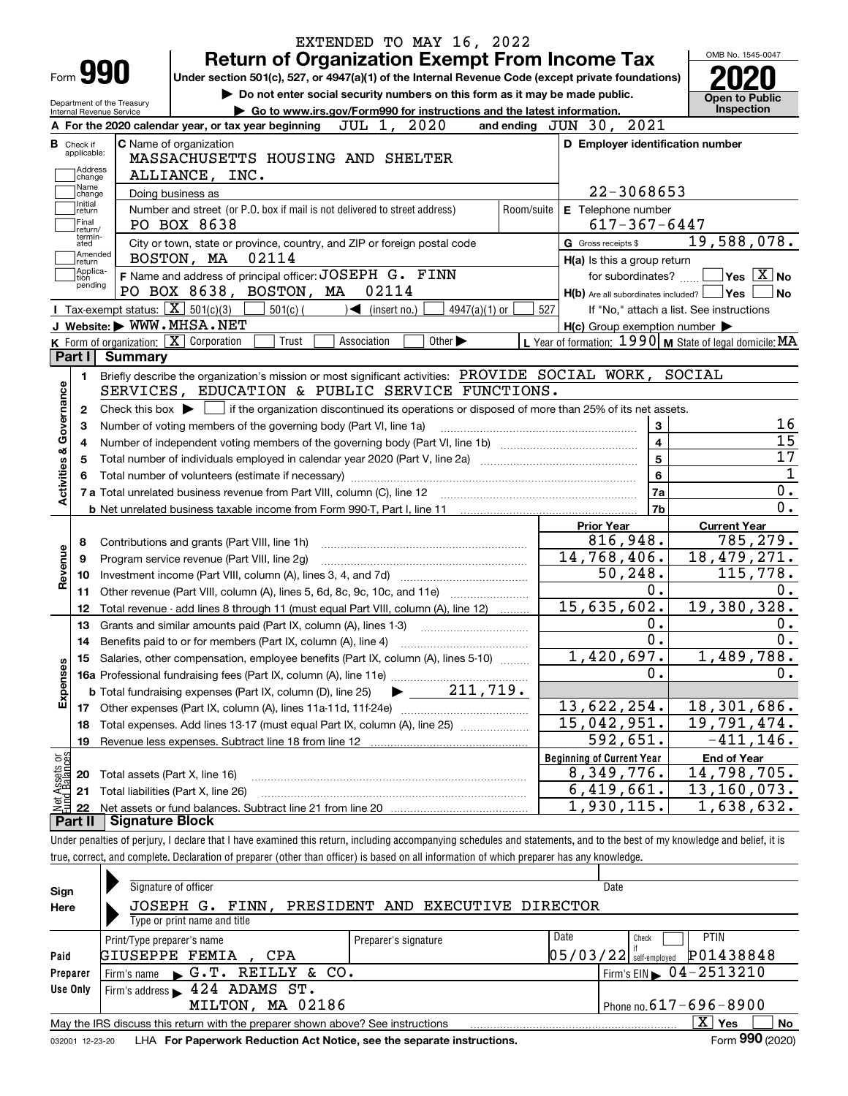|                                                       |                            | EXTENDED TO MAY 16, 2022<br><b>Return of Organization Exempt From Income Tax</b>                                                                    |                                                                        | OMB No. 1545-0047                        |
|-------------------------------------------------------|----------------------------|-----------------------------------------------------------------------------------------------------------------------------------------------------|------------------------------------------------------------------------|------------------------------------------|
| Form 990                                              |                            | Under section 501(c), 527, or 4947(a)(1) of the Internal Revenue Code (except private foundations)                                                  |                                                                        |                                          |
|                                                       | Department of the Treasury | Do not enter social security numbers on this form as it may be made public.                                                                         |                                                                        | <b>Open to Public</b>                    |
| Internal Revenue Service                              |                            | Go to www.irs.gov/Form990 for instructions and the latest information.                                                                              |                                                                        | Inspection                               |
|                                                       |                            | JUL 1, 2020<br>A For the 2020 calendar year, or tax year beginning                                                                                  | and ending $JUN$ 30, $2021$                                            |                                          |
| <b>B</b> Check if<br>applicable:                      |                            | <b>C</b> Name of organization                                                                                                                       | D Employer identification number                                       |                                          |
| Address                                               |                            | MASSACHUSETTS HOUSING AND SHELTER                                                                                                                   |                                                                        |                                          |
| change<br>Name                                        |                            | ALLIANCE, INC.                                                                                                                                      |                                                                        |                                          |
| change<br>Initial                                     |                            | Doing business as                                                                                                                                   | 22-3068653                                                             |                                          |
| return                                                |                            | Number and street (or P.O. box if mail is not delivered to street address)<br>Room/suite                                                            | E Telephone number                                                     |                                          |
| Final<br>return/<br>termin-                           |                            | PO BOX 8638                                                                                                                                         | $617 - 367 - 6447$                                                     |                                          |
| ated<br> Amended                                      |                            | City or town, state or province, country, and ZIP or foreign postal code                                                                            | G Gross receipts \$                                                    | 19,588,078.                              |
| return                                                |                            | BOSTON, MA<br>02114                                                                                                                                 | H(a) Is this a group return                                            |                                          |
| Applica-<br>tion<br>pending                           |                            | F Name and address of principal officer: JOSEPH G. FINN                                                                                             | for subordinates?                                                      | $\sqrt{}$ Yes $\sqrt{}$ X $\sqrt{}$ No   |
|                                                       |                            | PO BOX 8638, BOSTON, MA<br>02114                                                                                                                    | $H(b)$ Are all subordinates included? $\Box$ Yes                       | ∣No                                      |
|                                                       |                            | Tax-exempt status: $\boxed{\mathbf{X}}$ 501(c)(3)<br>$501(c)$ (<br>$\mathcal{A}$ (insert no.)<br>$4947(a)(1)$ or                                    | 527                                                                    | If "No," attach a list. See instructions |
|                                                       |                            | J Website: WWW.MHSA.NET                                                                                                                             | $H(c)$ Group exemption number $\blacktriangleright$                    |                                          |
|                                                       |                            | K Form of organization: X Corporation<br>Other $\blacktriangleright$<br>Trust<br>Association                                                        | L Year of formation: $1990 \vert \text{M}$ State of legal domicile: MA |                                          |
| Part I                                                | Summary                    |                                                                                                                                                     |                                                                        |                                          |
| 1.                                                    |                            | Briefly describe the organization's mission or most significant activities: PROVIDE SOCIAL WORK, SOCIAL                                             |                                                                        |                                          |
|                                                       |                            | SERVICES, EDUCATION & PUBLIC SERVICE FUNCTIONS.                                                                                                     |                                                                        |                                          |
| 2                                                     |                            | Check this box $\blacktriangleright$ $\blacksquare$ if the organization discontinued its operations or disposed of more than 25% of its net assets. |                                                                        |                                          |
| з                                                     |                            | Number of voting members of the governing body (Part VI, line 1a)                                                                                   | 3                                                                      |                                          |
| 4                                                     |                            |                                                                                                                                                     | $\overline{\mathbf{4}}$                                                |                                          |
| 5                                                     |                            |                                                                                                                                                     | 5                                                                      |                                          |
|                                                       |                            |                                                                                                                                                     | 6                                                                      |                                          |
| Activities & Governance                               |                            |                                                                                                                                                     | 7a                                                                     |                                          |
|                                                       |                            |                                                                                                                                                     | 7b                                                                     |                                          |
|                                                       |                            |                                                                                                                                                     | <b>Prior Year</b>                                                      | <b>Current Year</b>                      |
| 8                                                     |                            | Contributions and grants (Part VIII, line 1h)                                                                                                       | 816,948.                                                               | 785, 279.                                |
| Revenue<br>9                                          |                            | Program service revenue (Part VIII, line 2g)                                                                                                        | 14, 768, 406.                                                          | 18,479,271.                              |
| 10                                                    |                            |                                                                                                                                                     | 50, 248.                                                               | $\overline{115,778}$ .                   |
| 11                                                    |                            | Other revenue (Part VIII, column (A), lines 5, 6d, 8c, 9c, 10c, and 11e)                                                                            | $0$ .                                                                  |                                          |
| 12                                                    |                            | Total revenue - add lines 8 through 11 (must equal Part VIII, column (A), line 12)                                                                  | 15,635,602.                                                            | 19,380,328.                              |
| 13                                                    |                            | Grants and similar amounts paid (Part IX, column (A), lines 1-3)                                                                                    | 0.                                                                     |                                          |
| 14                                                    |                            |                                                                                                                                                     | 0.                                                                     |                                          |
|                                                       |                            | 15 Salaries, other compensation, employee benefits (Part IX, column (A), lines 5-10)                                                                | 1,420,697.                                                             | 1,489,788.                               |
|                                                       |                            |                                                                                                                                                     | 0.                                                                     |                                          |
| Expenses                                              |                            | 211,719.<br><b>b</b> Total fundraising expenses (Part IX, column (D), line 25)                                                                      |                                                                        |                                          |
| 17                                                    |                            |                                                                                                                                                     | 13,622,254.                                                            | 18,301,686.                              |
| 18                                                    |                            | Total expenses. Add lines 13-17 (must equal Part IX, column (A), line 25)                                                                           | 15,042,951.                                                            | 19,791,474.                              |
|                                                       |                            | Revenue less expenses. Subtract line 18 from line 12                                                                                                | 592,651.                                                               | $-411, 146.$                             |
| 19                                                    |                            |                                                                                                                                                     |                                                                        |                                          |
|                                                       |                            |                                                                                                                                                     | <b>Beginning of Current Year</b>                                       | <b>End of Year</b>                       |
| 20                                                    |                            | Total assets (Part X, line 16)                                                                                                                      | 8,349,776.                                                             | 14,798,705.                              |
| t Assets or<br>d Balances<br>21<br>-Met<br>Fund<br>22 |                            | Total liabilities (Part X, line 26)                                                                                                                 | 6,419,661.<br>1,930,115.                                               | 13,160,073.<br>1,638,632.                |

| Sign     |                                                                                                              | Signature of officer          |  |  |     |  |                      |  |                                                  |  |                          | Date |                                        |                          |  |                  |
|----------|--------------------------------------------------------------------------------------------------------------|-------------------------------|--|--|-----|--|----------------------|--|--------------------------------------------------|--|--------------------------|------|----------------------------------------|--------------------------|--|------------------|
| Here     |                                                                                                              |                               |  |  |     |  |                      |  | JOSEPH G. FINN, PRESIDENT AND EXECUTIVE DIRECTOR |  |                          |      |                                        |                          |  |                  |
|          |                                                                                                              | Type or print name and title  |  |  |     |  |                      |  |                                                  |  |                          |      |                                        |                          |  |                  |
|          |                                                                                                              | Print/Type preparer's name    |  |  |     |  | Preparer's signature |  |                                                  |  | Date                     |      | Check                                  | <b>PTIN</b>              |  |                  |
| Paid     |                                                                                                              | <b>GIUSEPPE FEMIA</b>         |  |  | CPA |  |                      |  |                                                  |  | $05/03/22$ self-employed |      |                                        | P01438848                |  |                  |
| Preparer |                                                                                                              | Firm's name G.T. REILLY & CO. |  |  |     |  |                      |  |                                                  |  |                          |      | Firm's EIN $\triangleright$ 04-2513210 |                          |  |                  |
| Use Only |                                                                                                              | Firm's address 124 ADAMS ST.  |  |  |     |  |                      |  |                                                  |  |                          |      |                                        |                          |  |                  |
|          | Phone no. $617 - 696 - 8900$<br>MILTON, MA 02186                                                             |                               |  |  |     |  |                      |  |                                                  |  |                          |      |                                        |                          |  |                  |
|          | $\mathbf{X}$<br>Yes<br>No<br>May the IRS discuss this return with the preparer shown above? See instructions |                               |  |  |     |  |                      |  |                                                  |  |                          |      |                                        |                          |  |                  |
|          |                                                                                                              |                               |  |  |     |  |                      |  |                                                  |  |                          |      |                                        | $\overline{\phantom{0}}$ |  | $000$ ( $0.00$ ) |

032001 12-23-20 LHA **For Paperwork Reduction Act Notice, see the separate instructions.** Form 990 (2020)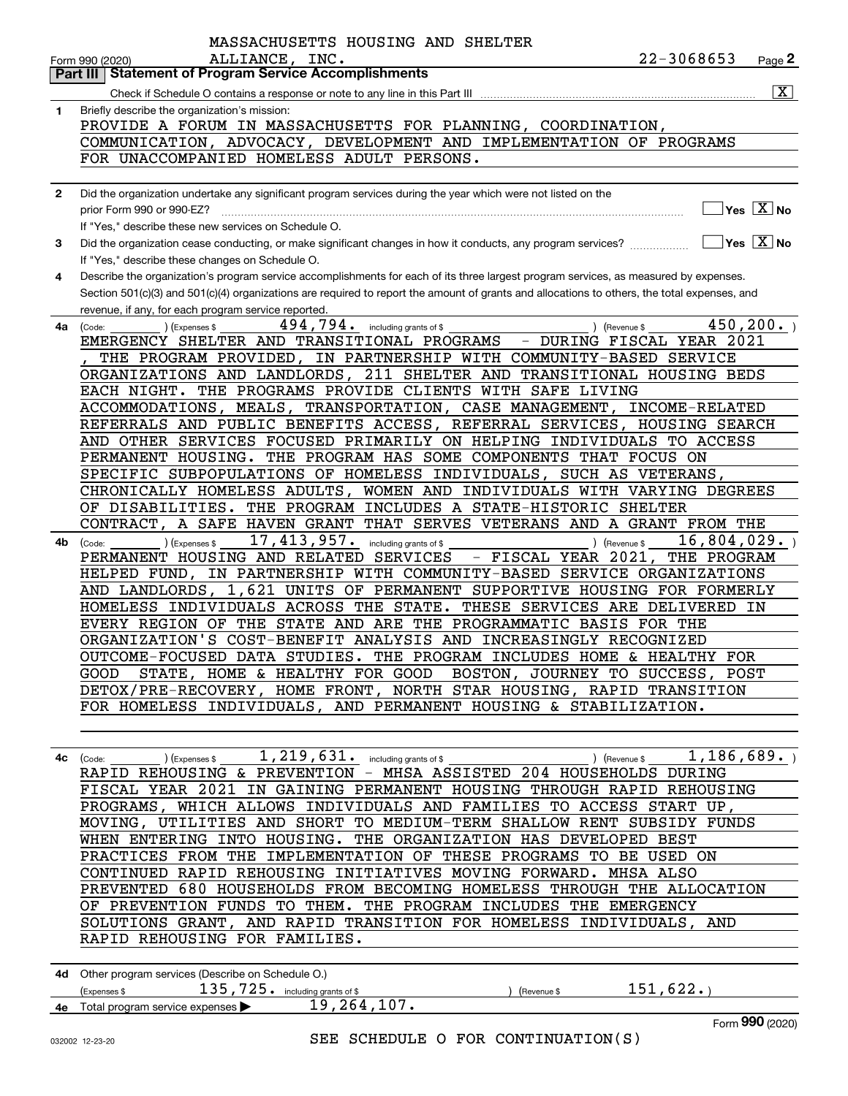|              | MASSACHUSETTS HOUSING AND SHELTER                                                                                                            |
|--------------|----------------------------------------------------------------------------------------------------------------------------------------------|
|              | 22-3068653<br>ALLIANCE, INC.<br>Page 2<br>Form 990 (2020)                                                                                    |
|              | <b>Statement of Program Service Accomplishments</b><br>  Part III                                                                            |
|              | $\boxed{\text{X}}$<br>Check if Schedule O contains a response or note to any line in this Part III                                           |
| 1            | Briefly describe the organization's mission:                                                                                                 |
|              | PROVIDE A FORUM IN MASSACHUSETTS FOR PLANNING, COORDINATION,                                                                                 |
|              | COMMUNICATION, ADVOCACY, DEVELOPMENT AND IMPLEMENTATION OF PROGRAMS                                                                          |
|              | FOR UNACCOMPANIED HOMELESS ADULT PERSONS.                                                                                                    |
|              |                                                                                                                                              |
| $\mathbf{2}$ | Did the organization undertake any significant program services during the year which were not listed on the                                 |
|              | $\sqrt{}$ Yes $\sqrt{X}$ No<br>prior Form 990 or 990-EZ?                                                                                     |
|              |                                                                                                                                              |
|              | If "Yes," describe these new services on Schedule O.<br>$\sqrt{}$ Yes $\sqrt{}$ X $\sqrt{}$ No                                               |
| 3            | Did the organization cease conducting, or make significant changes in how it conducts, any program services?                                 |
|              | If "Yes," describe these changes on Schedule O.                                                                                              |
| 4            | Describe the organization's program service accomplishments for each of its three largest program services, as measured by expenses.         |
|              | Section 501(c)(3) and 501(c)(4) organizations are required to report the amount of grants and allocations to others, the total expenses, and |
|              | revenue, if any, for each program service reported                                                                                           |
| 4a           | 494,794.<br>450, 200.<br>including grants of \$<br>(Code:<br>) (Revenue \$<br>) (Expenses \$                                                 |
|              | EMERGENCY SHELTER AND TRANSITIONAL PROGRAMS<br>- DURING FISCAL YEAR 2021                                                                     |
|              | THE PROGRAM PROVIDED, IN PARTNERSHIP WITH COMMUNITY-BASED SERVICE                                                                            |
|              | ORGANIZATIONS AND LANDLORDS, 211 SHELTER AND TRANSITIONAL HOUSING BEDS                                                                       |
|              | EACH NIGHT. THE PROGRAMS PROVIDE CLIENTS WITH SAFE LIVING                                                                                    |
|              | ACCOMMODATIONS, MEALS, TRANSPORTATION, CASE MANAGEMENT,<br>INCOME-RELATED                                                                    |
|              | REFERRALS AND PUBLIC BENEFITS ACCESS, REFERRAL SERVICES, HOUSING SEARCH                                                                      |
|              | AND OTHER SERVICES FOCUSED PRIMARILY ON HELPING INDIVIDUALS TO ACCESS                                                                        |
|              | PERMANENT HOUSING. THE PROGRAM HAS SOME COMPONENTS THAT FOCUS ON                                                                             |
|              | SPECIFIC SUBPOPULATIONS OF HOMELESS INDIVIDUALS, SUCH AS VETERANS,                                                                           |
|              | CHRONICALLY HOMELESS ADULTS, WOMEN AND INDIVIDUALS WITH VARYING DEGREES                                                                      |
|              | OF DISABILITIES. THE PROGRAM INCLUDES A STATE-HISTORIC SHELTER                                                                               |
|              | CONTRACT, A SAFE HAVEN GRANT THAT SERVES VETERANS AND A GRANT FROM THE                                                                       |
|              | 17,413,957.<br>16,804,029.                                                                                                                   |
| 4b           | including grants of \$<br>(Expenses \$<br>) (Revenue \$<br>(Code:<br>THE PROGRAM<br>PERMANENT HOUSING AND RELATED SERVICES                   |
|              | - FISCAL YEAR 2021,                                                                                                                          |
|              | IN PARTNERSHIP WITH COMMUNITY-BASED SERVICE ORGANIZATIONS<br>HELPED FUND,                                                                    |
|              | AND LANDLORDS, 1,621 UNITS OF PERMANENT SUPPORTIVE HOUSING FOR FORMERLY                                                                      |
|              | HOMELESS INDIVIDUALS ACROSS THE STATE.<br>THESE SERVICES ARE DELIVERED IN                                                                    |
|              | EVERY REGION OF THE STATE AND ARE THE PROGRAMMATIC BASIS FOR THE                                                                             |
|              | ORGANIZATION'S COST-BENEFIT ANALYSIS AND INCREASINGLY RECOGNIZED                                                                             |
|              | OUTCOME-FOCUSED DATA STUDIES. THE PROGRAM INCLUDES HOME & HEALTHY FOR                                                                        |
|              | GOOD STATE, HOME & HEALTHY FOR GOOD BOSTON, JOURNEY TO SUCCESS, POST                                                                         |
|              | DETOX/PRE-RECOVERY, HOME FRONT, NORTH STAR HOUSING, RAPID TRANSITION                                                                         |
|              | FOR HOMELESS INDIVIDUALS, AND PERMANENT HOUSING & STABILIZATION.                                                                             |
|              |                                                                                                                                              |
|              |                                                                                                                                              |
|              | ) (Expenses \$ $1$ , $219$ , $631$ $\cdot$ including grants of \$<br>1,186,689.<br>$\sqrt{$ (Revenue \$<br>$4c$ (Code:                       |
|              | RAPID REHOUSING & PREVENTION - MHSA ASSISTED 204 HOUSEHOLDS DURING                                                                           |
|              | FISCAL YEAR 2021 IN GAINING PERMANENT HOUSING THROUGH RAPID REHOUSING                                                                        |
|              | PROGRAMS, WHICH ALLOWS INDIVIDUALS AND FAMILIES TO ACCESS START UP,                                                                          |
|              | MOVING, UTILITIES AND SHORT TO MEDIUM-TERM SHALLOW RENT SUBSIDY FUNDS                                                                        |
|              | WHEN ENTERING INTO HOUSING. THE ORGANIZATION HAS DEVELOPED BEST                                                                              |
|              | PRACTICES FROM THE IMPLEMENTATION OF THESE PROGRAMS TO BE USED ON                                                                            |
|              | CONTINUED RAPID REHOUSING INITIATIVES MOVING FORWARD. MHSA ALSO                                                                              |
|              | PREVENTED 680 HOUSEHOLDS FROM BECOMING HOMELESS THROUGH THE ALLOCATION                                                                       |
|              | OF PREVENTION FUNDS TO THEM. THE PROGRAM INCLUDES THE EMERGENCY                                                                              |
|              | SOLUTIONS GRANT, AND RAPID TRANSITION FOR HOMELESS INDIVIDUALS, AND                                                                          |
|              | RAPID REHOUSING FOR FAMILIES.                                                                                                                |
|              |                                                                                                                                              |
|              |                                                                                                                                              |
|              | 4d Other program services (Describe on Schedule O.)                                                                                          |
|              | $135$ , $725$ . including grants of \$<br>151,622.<br>(Expenses \$<br>) (Revenue \$                                                          |
|              | 4e Total program service expenses > 19, 264, 107.                                                                                            |

Form (2020) **990**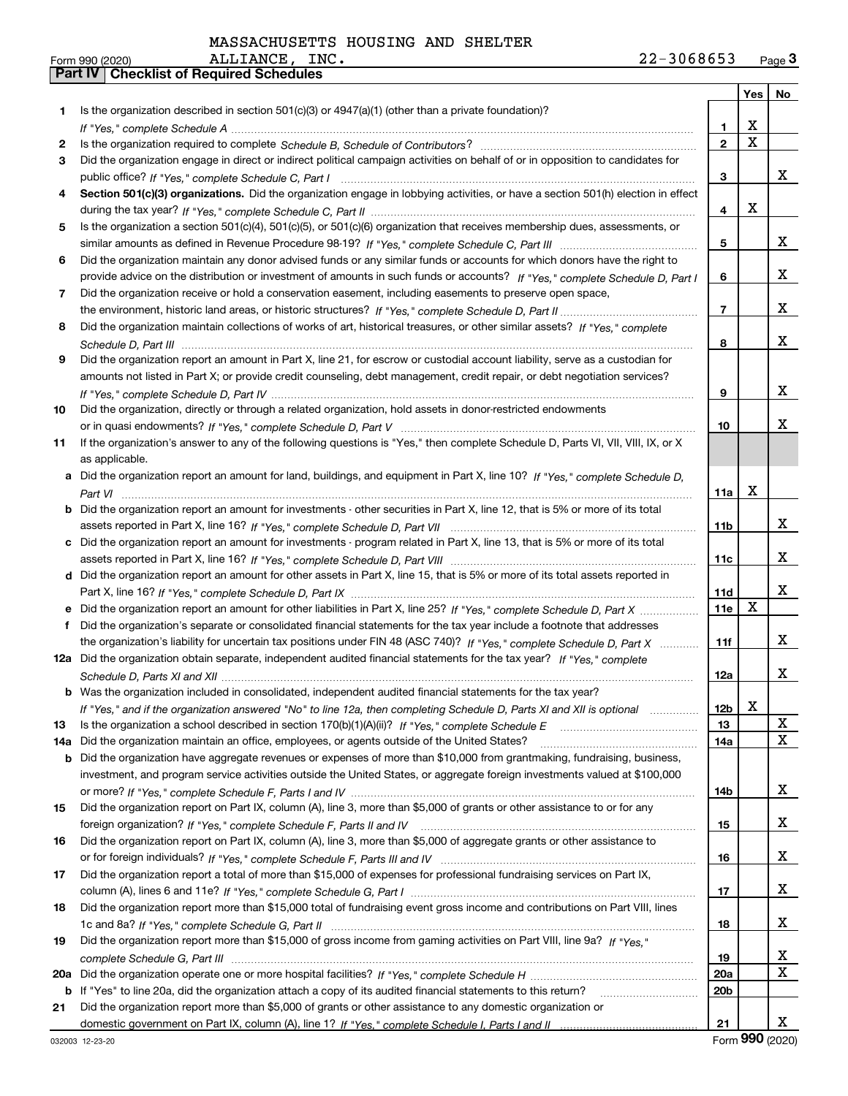|     |                                                                                                                                  |                 | Yes         | No |
|-----|----------------------------------------------------------------------------------------------------------------------------------|-----------------|-------------|----|
| 1   | Is the organization described in section $501(c)(3)$ or $4947(a)(1)$ (other than a private foundation)?                          |                 |             |    |
|     |                                                                                                                                  | 1.              | х           |    |
| 2   |                                                                                                                                  | $\mathbf{2}$    | $\mathbf X$ |    |
| 3   | Did the organization engage in direct or indirect political campaign activities on behalf of or in opposition to candidates for  |                 |             |    |
|     |                                                                                                                                  | 3               |             | X. |
| 4   | Section 501(c)(3) organizations. Did the organization engage in lobbying activities, or have a section 501(h) election in effect |                 |             |    |
|     |                                                                                                                                  | 4               | X           |    |
| 5   | Is the organization a section 501(c)(4), 501(c)(5), or 501(c)(6) organization that receives membership dues, assessments, or     |                 |             |    |
|     |                                                                                                                                  | 5               |             | x  |
| 6   | Did the organization maintain any donor advised funds or any similar funds or accounts for which donors have the right to        |                 |             |    |
|     | provide advice on the distribution or investment of amounts in such funds or accounts? If "Yes," complete Schedule D, Part I     | 6               |             | x  |
| 7   | Did the organization receive or hold a conservation easement, including easements to preserve open space,                        |                 |             |    |
|     |                                                                                                                                  | $\overline{7}$  |             | x  |
| 8   | Did the organization maintain collections of works of art, historical treasures, or other similar assets? If "Yes," complete     |                 |             |    |
|     |                                                                                                                                  | 8               |             | x  |
| 9   | Did the organization report an amount in Part X, line 21, for escrow or custodial account liability, serve as a custodian for    |                 |             |    |
|     | amounts not listed in Part X; or provide credit counseling, debt management, credit repair, or debt negotiation services?        |                 |             |    |
|     |                                                                                                                                  | 9               |             | x  |
| 10  | Did the organization, directly or through a related organization, hold assets in donor-restricted endowments                     |                 |             |    |
|     |                                                                                                                                  | 10              |             | x  |
| 11  | If the organization's answer to any of the following questions is "Yes," then complete Schedule D, Parts VI, VII, VIII, IX, or X |                 |             |    |
|     | as applicable.                                                                                                                   |                 |             |    |
|     | a Did the organization report an amount for land, buildings, and equipment in Part X, line 10? If "Yes." complete Schedule D.    |                 | Х           |    |
|     | Did the organization report an amount for investments - other securities in Part X, line 12, that is 5% or more of its total     | 11a             |             |    |
|     |                                                                                                                                  | 11 <sub>b</sub> |             | x  |
|     | c Did the organization report an amount for investments - program related in Part X, line 13, that is 5% or more of its total    |                 |             |    |
|     |                                                                                                                                  | 11c             |             | x  |
|     | d Did the organization report an amount for other assets in Part X, line 15, that is 5% or more of its total assets reported in  |                 |             |    |
|     |                                                                                                                                  | 11d             |             | x  |
|     |                                                                                                                                  | 11e             | X           |    |
| f   | Did the organization's separate or consolidated financial statements for the tax year include a footnote that addresses          |                 |             |    |
|     | the organization's liability for uncertain tax positions under FIN 48 (ASC 740)? If "Yes," complete Schedule D, Part X           | 11f             |             | x  |
|     | 12a Did the organization obtain separate, independent audited financial statements for the tax year? If "Yes," complete          |                 |             |    |
|     |                                                                                                                                  | 12a             |             | x  |
|     | <b>b</b> Was the organization included in consolidated, independent audited financial statements for the tax year?               |                 |             |    |
|     | If "Yes," and if the organization answered "No" to line 12a, then completing Schedule D, Parts XI and XII is optional            | 12 <sub>b</sub> | X           |    |
| 13  |                                                                                                                                  | 13              |             | X  |
| 14a | Did the organization maintain an office, employees, or agents outside of the United States?                                      | 14a             |             | X  |
| b   | Did the organization have aggregate revenues or expenses of more than \$10,000 from grantmaking, fundraising, business,          |                 |             |    |
|     | investment, and program service activities outside the United States, or aggregate foreign investments valued at \$100,000       |                 |             |    |
|     |                                                                                                                                  | 14b             |             | x  |
| 15  | Did the organization report on Part IX, column (A), line 3, more than \$5,000 of grants or other assistance to or for any        |                 |             |    |
|     |                                                                                                                                  | 15              |             | x  |
| 16  | Did the organization report on Part IX, column (A), line 3, more than \$5,000 of aggregate grants or other assistance to         |                 |             | x  |
| 17  | Did the organization report a total of more than \$15,000 of expenses for professional fundraising services on Part IX,          | 16              |             |    |
|     |                                                                                                                                  | 17              |             | x  |
| 18  | Did the organization report more than \$15,000 total of fundraising event gross income and contributions on Part VIII, lines     |                 |             |    |
|     |                                                                                                                                  | 18              |             | x  |
| 19  | Did the organization report more than \$15,000 of gross income from gaming activities on Part VIII, line 9a? If "Yes."           |                 |             |    |
|     |                                                                                                                                  | 19              |             | X  |
| 20a |                                                                                                                                  | 20a             |             | X  |
|     | b If "Yes" to line 20a, did the organization attach a copy of its audited financial statements to this return?                   | 20b             |             |    |
| 21  | Did the organization report more than \$5,000 of grants or other assistance to any domestic organization or                      |                 |             |    |
|     |                                                                                                                                  | 21              |             | x  |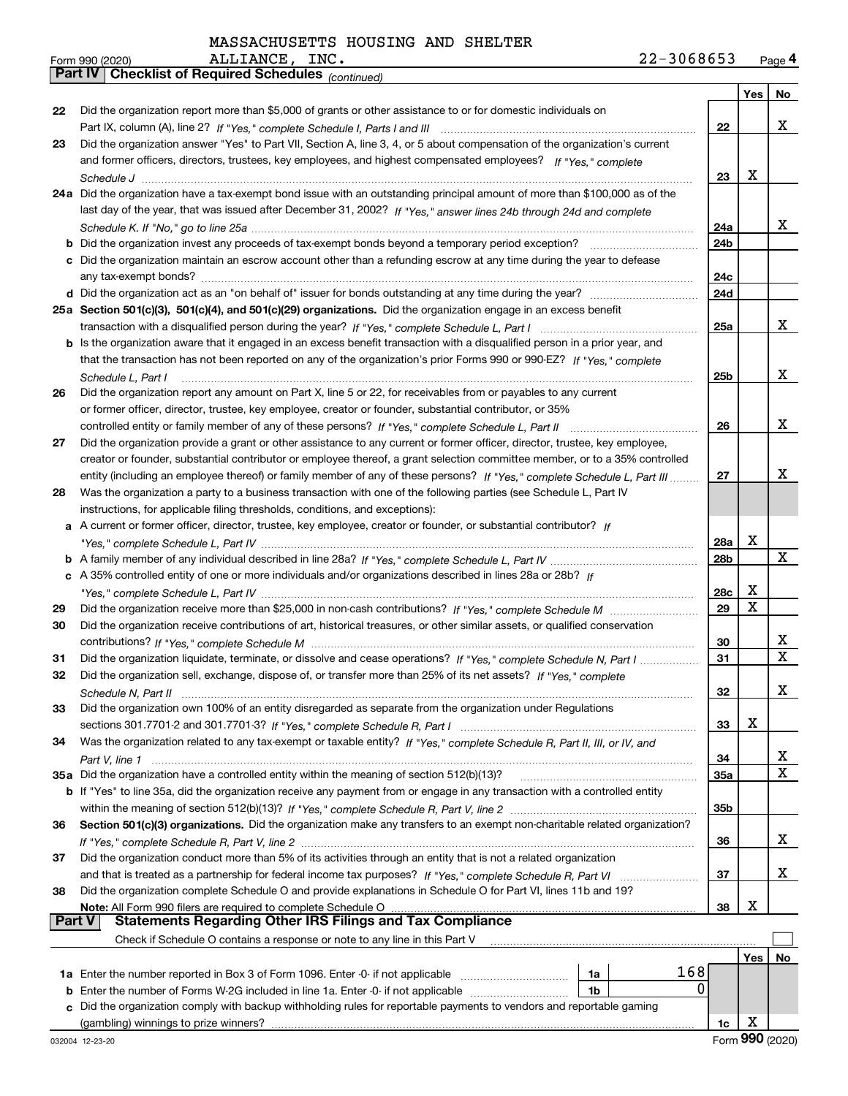|    | <b>Part IV</b>   GNECKIISTOI REQUITED SCREDUIES $_{(continued)}$                                                             |                 |     |     |
|----|------------------------------------------------------------------------------------------------------------------------------|-----------------|-----|-----|
|    |                                                                                                                              |                 | Yes | No. |
| 22 | Did the organization report more than \$5,000 of grants or other assistance to or for domestic individuals on                |                 |     |     |
|    |                                                                                                                              | 22              |     | х   |
| 23 | Did the organization answer "Yes" to Part VII, Section A, line 3, 4, or 5 about compensation of the organization's current   |                 |     |     |
|    | and former officers, directors, trustees, key employees, and highest compensated employees? If "Yes," complete               |                 |     |     |
|    |                                                                                                                              | 23              | X   |     |
|    | 24a Did the organization have a tax-exempt bond issue with an outstanding principal amount of more than \$100,000 as of the  |                 |     |     |
|    | last day of the year, that was issued after December 31, 2002? If "Yes," answer lines 24b through 24d and complete           |                 |     |     |
|    |                                                                                                                              | 24a             |     | x   |
|    | <b>b</b> Did the organization invest any proceeds of tax-exempt bonds beyond a temporary period exception?                   | 24 <sub>b</sub> |     |     |
|    | c Did the organization maintain an escrow account other than a refunding escrow at any time during the year to defease       |                 |     |     |
|    | any tax-exempt bonds?                                                                                                        | 24c             |     |     |
|    | d Did the organization act as an "on behalf of" issuer for bonds outstanding at any time during the year?                    | 24d             |     |     |
|    | 25a Section 501(c)(3), 501(c)(4), and 501(c)(29) organizations. Did the organization engage in an excess benefit             |                 |     |     |
|    |                                                                                                                              | 25a             |     | x   |
|    | b Is the organization aware that it engaged in an excess benefit transaction with a disqualified person in a prior year, and |                 |     |     |
|    | that the transaction has not been reported on any of the organization's prior Forms 990 or 990-EZ? If "Yes," complete        |                 |     |     |
|    | Schedule L. Part I                                                                                                           | 25b             |     | x   |
| 26 | Did the organization report any amount on Part X, line 5 or 22, for receivables from or payables to any current              |                 |     |     |
|    | or former officer, director, trustee, key employee, creator or founder, substantial contributor, or 35%                      |                 |     |     |
|    |                                                                                                                              | 26              |     | x   |
| 27 | Did the organization provide a grant or other assistance to any current or former officer, director, trustee, key employee,  |                 |     |     |
|    | creator or founder, substantial contributor or employee thereof, a grant selection committee member, or to a 35% controlled  |                 |     |     |
|    | entity (including an employee thereof) or family member of any of these persons? If "Yes," complete Schedule L, Part III     | 27              |     | x   |
| 28 | Was the organization a party to a business transaction with one of the following parties (see Schedule L, Part IV            |                 |     |     |
|    | instructions, for applicable filing thresholds, conditions, and exceptions):                                                 |                 |     |     |
|    | a A current or former officer, director, trustee, key employee, creator or founder, or substantial contributor? If           |                 |     |     |
|    |                                                                                                                              | <b>28a</b>      | X   |     |
|    |                                                                                                                              | 28b             |     | X   |
|    | c A 35% controlled entity of one or more individuals and/or organizations described in lines 28a or 28b? If                  |                 |     |     |
|    |                                                                                                                              | 28c             | х   |     |
| 29 |                                                                                                                              | 29              | Χ   |     |
| 30 | Did the organization receive contributions of art, historical treasures, or other similar assets, or qualified conservation  |                 |     |     |
|    |                                                                                                                              | 30              |     | х   |
| 31 | Did the organization liquidate, terminate, or dissolve and cease operations? If "Yes," complete Schedule N, Part I           | 31              |     | X   |
| 32 | Did the organization sell, exchange, dispose of, or transfer more than 25% of its net assets? If "Yes," complete             |                 |     |     |
|    |                                                                                                                              | 32              |     | х   |
| 33 | Did the organization own 100% of an entity disregarded as separate from the organization under Regulations                   |                 |     |     |
|    |                                                                                                                              | 33              | х   |     |
| 34 | Was the organization related to any tax-exempt or taxable entity? If "Yes," complete Schedule R, Part II, III, or IV, and    |                 |     |     |
|    |                                                                                                                              | 34              |     | х   |
|    | 35a Did the organization have a controlled entity within the meaning of section 512(b)(13)?                                  | 35a             |     | х   |
|    | b If "Yes" to line 35a, did the organization receive any payment from or engage in any transaction with a controlled entity  |                 |     |     |
|    |                                                                                                                              | 35b             |     |     |
| 36 | Section 501(c)(3) organizations. Did the organization make any transfers to an exempt non-charitable related organization?   |                 |     |     |
|    |                                                                                                                              | 36              |     | x   |
| 37 | Did the organization conduct more than 5% of its activities through an entity that is not a related organization             |                 |     |     |
|    | and that is treated as a partnership for federal income tax purposes? If "Yes," complete Schedule R, Part VI                 | 37              |     | x   |
| 38 | Did the organization complete Schedule O and provide explanations in Schedule O for Part VI, lines 11b and 19?               |                 |     |     |
|    | Note: All Form 990 filers are required to complete Schedule O                                                                | 38              | X   |     |
|    | Part V<br><b>Statements Regarding Other IRS Filings and Tax Compliance</b>                                                   |                 |     |     |
|    | Check if Schedule O contains a response or note to any line in this Part V                                                   |                 |     |     |
|    |                                                                                                                              |                 | Yes | No  |
|    | 168<br>1a                                                                                                                    |                 |     |     |
|    | 0<br><b>b</b> Enter the number of Forms W-2G included in line 1a. Enter -0- if not applicable <i>manumumumum</i><br>1b       |                 |     |     |
| c  | Did the organization comply with backup withholding rules for reportable payments to vendors and reportable gaming           |                 |     |     |
|    | (gambling) winnings to prize winners?                                                                                        | 1c              | X   |     |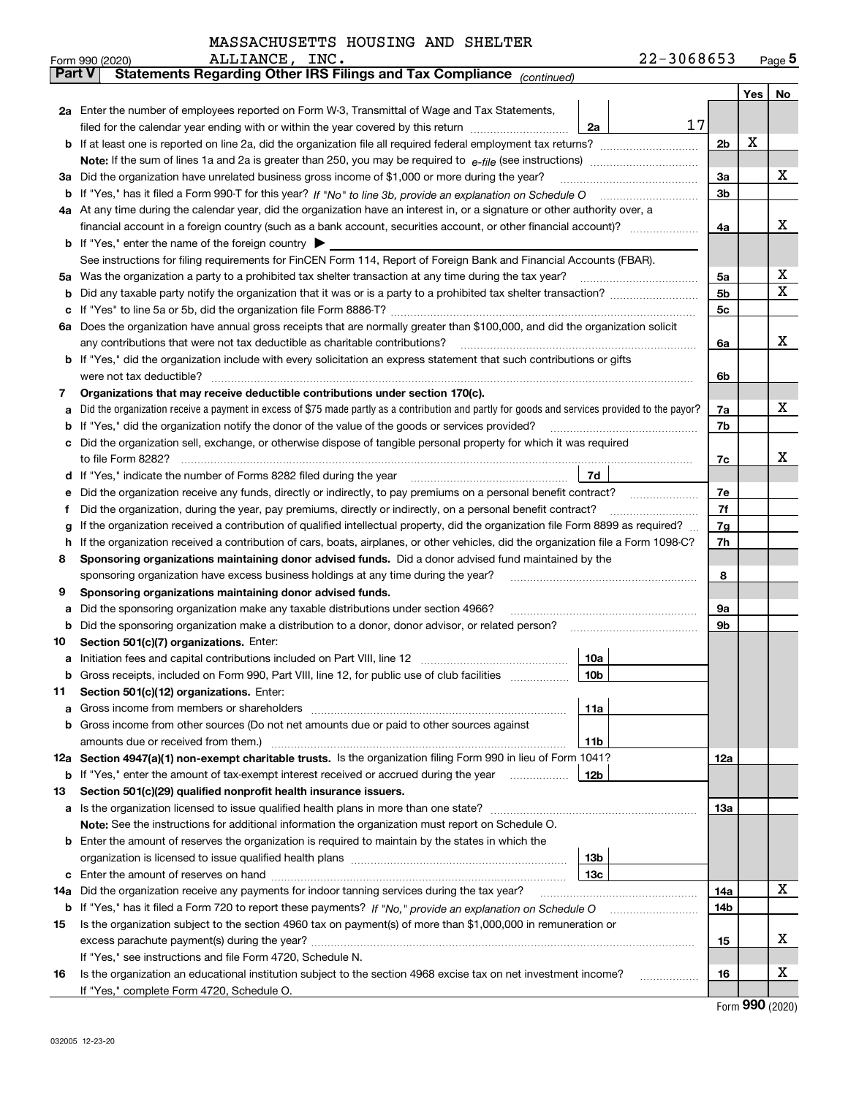|  | MASSACHUSETTS HOUSING AND SHELTER |  |  |  |
|--|-----------------------------------|--|--|--|
|--|-----------------------------------|--|--|--|

|        | ALLIANCE, INC.<br>Form 990 (2020)                                                                                                               | 22-3068653     |     | $_{\text{Page}}$ 5 |  |  |  |  |  |  |  |
|--------|-------------------------------------------------------------------------------------------------------------------------------------------------|----------------|-----|--------------------|--|--|--|--|--|--|--|
|        | Statements Regarding Other IRS Filings and Tax Compliance (continued)<br><b>Part V</b>                                                          |                |     |                    |  |  |  |  |  |  |  |
|        |                                                                                                                                                 |                | Yes | No                 |  |  |  |  |  |  |  |
|        | 2a Enter the number of employees reported on Form W-3, Transmittal of Wage and Tax Statements,                                                  |                |     |                    |  |  |  |  |  |  |  |
|        | filed for the calendar year ending with or within the year covered by this return<br>2a                                                         | 17             | х   |                    |  |  |  |  |  |  |  |
|        |                                                                                                                                                 |                |     |                    |  |  |  |  |  |  |  |
|        |                                                                                                                                                 |                |     |                    |  |  |  |  |  |  |  |
| За     | Did the organization have unrelated business gross income of \$1,000 or more during the year?                                                   | 3a             |     | x                  |  |  |  |  |  |  |  |
| b      |                                                                                                                                                 | 3 <sub>b</sub> |     |                    |  |  |  |  |  |  |  |
|        | 4a At any time during the calendar year, did the organization have an interest in, or a signature or other authority over, a                    |                |     |                    |  |  |  |  |  |  |  |
|        |                                                                                                                                                 | 4a             |     | х                  |  |  |  |  |  |  |  |
|        | <b>b</b> If "Yes," enter the name of the foreign country $\blacktriangleright$                                                                  |                |     |                    |  |  |  |  |  |  |  |
|        | See instructions for filing requirements for FinCEN Form 114, Report of Foreign Bank and Financial Accounts (FBAR).                             |                |     |                    |  |  |  |  |  |  |  |
| 5a     | Was the organization a party to a prohibited tax shelter transaction at any time during the tax year?                                           | 5a             |     | х                  |  |  |  |  |  |  |  |
| b      |                                                                                                                                                 | 5b             |     | X                  |  |  |  |  |  |  |  |
| с      |                                                                                                                                                 | 5c             |     |                    |  |  |  |  |  |  |  |
|        | 6a Does the organization have annual gross receipts that are normally greater than \$100,000, and did the organization solicit                  |                |     |                    |  |  |  |  |  |  |  |
|        | any contributions that were not tax deductible as charitable contributions?                                                                     | 6a             |     | x                  |  |  |  |  |  |  |  |
|        | <b>b</b> If "Yes," did the organization include with every solicitation an express statement that such contributions or gifts                   |                |     |                    |  |  |  |  |  |  |  |
|        | were not tax deductible?                                                                                                                        | 6b             |     |                    |  |  |  |  |  |  |  |
| 7      | Organizations that may receive deductible contributions under section 170(c).                                                                   |                |     | х                  |  |  |  |  |  |  |  |
| а      | Did the organization receive a payment in excess of \$75 made partly as a contribution and partly for goods and services provided to the payor? | 7a             |     |                    |  |  |  |  |  |  |  |
| b      | If "Yes," did the organization notify the donor of the value of the goods or services provided?                                                 | 7b             |     |                    |  |  |  |  |  |  |  |
|        | Did the organization sell, exchange, or otherwise dispose of tangible personal property for which it was required                               | 7c             |     | x                  |  |  |  |  |  |  |  |
|        | 7d                                                                                                                                              |                |     |                    |  |  |  |  |  |  |  |
| d<br>е |                                                                                                                                                 | 7e             |     |                    |  |  |  |  |  |  |  |
| f      | Did the organization, during the year, pay premiums, directly or indirectly, on a personal benefit contract?                                    | 7f             |     |                    |  |  |  |  |  |  |  |
| g      | If the organization received a contribution of qualified intellectual property, did the organization file Form 8899 as required?                | 7g             |     |                    |  |  |  |  |  |  |  |
| h      | If the organization received a contribution of cars, boats, airplanes, or other vehicles, did the organization file a Form 1098-C?              | 7h             |     |                    |  |  |  |  |  |  |  |
| 8      | Sponsoring organizations maintaining donor advised funds. Did a donor advised fund maintained by the                                            |                |     |                    |  |  |  |  |  |  |  |
|        | sponsoring organization have excess business holdings at any time during the year?                                                              | 8              |     |                    |  |  |  |  |  |  |  |
| 9      | Sponsoring organizations maintaining donor advised funds.                                                                                       |                |     |                    |  |  |  |  |  |  |  |
| а      | Did the sponsoring organization make any taxable distributions under section 4966?                                                              | 9а             |     |                    |  |  |  |  |  |  |  |
| b      | Did the sponsoring organization make a distribution to a donor, donor advisor, or related person?                                               | 9b             |     |                    |  |  |  |  |  |  |  |
| 10     | Section 501(c)(7) organizations. Enter:                                                                                                         |                |     |                    |  |  |  |  |  |  |  |
| а      | 10a<br>Initiation fees and capital contributions included on Part VIII, line 12 [111] [11] [12] [11] [12] [11] [12] [                           |                |     |                    |  |  |  |  |  |  |  |
|        | 10b <br>Gross receipts, included on Form 990, Part VIII, line 12, for public use of club facilities                                             |                |     |                    |  |  |  |  |  |  |  |
| 11     | Section 501(c)(12) organizations. Enter:                                                                                                        |                |     |                    |  |  |  |  |  |  |  |
| а      | Gross income from members or shareholders<br>11a                                                                                                |                |     |                    |  |  |  |  |  |  |  |
| b      | Gross income from other sources (Do not net amounts due or paid to other sources against                                                        |                |     |                    |  |  |  |  |  |  |  |
|        | 11 <sub>b</sub><br>amounts due or received from them.)                                                                                          |                |     |                    |  |  |  |  |  |  |  |
|        | 12a Section 4947(a)(1) non-exempt charitable trusts. Is the organization filing Form 990 in lieu of Form 1041?                                  | <b>12a</b>     |     |                    |  |  |  |  |  |  |  |
|        | 12b<br><b>b</b> If "Yes," enter the amount of tax-exempt interest received or accrued during the year <i>manument</i>                           |                |     |                    |  |  |  |  |  |  |  |
| 13     | Section 501(c)(29) qualified nonprofit health insurance issuers.                                                                                |                |     |                    |  |  |  |  |  |  |  |
| a      | Is the organization licensed to issue qualified health plans in more than one state?                                                            | <b>13a</b>     |     |                    |  |  |  |  |  |  |  |
|        | Note: See the instructions for additional information the organization must report on Schedule O.                                               |                |     |                    |  |  |  |  |  |  |  |
| b      | Enter the amount of reserves the organization is required to maintain by the states in which the                                                |                |     |                    |  |  |  |  |  |  |  |
|        | 13 <sub>b</sub>                                                                                                                                 |                |     |                    |  |  |  |  |  |  |  |
| с      | 13 <sub>c</sub>                                                                                                                                 |                |     | X                  |  |  |  |  |  |  |  |
| 14a    | Did the organization receive any payments for indoor tanning services during the tax year?                                                      | 14a            |     |                    |  |  |  |  |  |  |  |
|        | <b>b</b> If "Yes," has it filed a Form 720 to report these payments? If "No," provide an explanation on Schedule O                              | 14b            |     |                    |  |  |  |  |  |  |  |
| 15     | Is the organization subject to the section 4960 tax on payment(s) of more than \$1,000,000 in remuneration or                                   |                |     | х                  |  |  |  |  |  |  |  |
|        | If "Yes," see instructions and file Form 4720, Schedule N.                                                                                      | 15             |     |                    |  |  |  |  |  |  |  |
| 16     | Is the organization an educational institution subject to the section 4968 excise tax on net investment income?                                 | 16             |     | х                  |  |  |  |  |  |  |  |
|        | If "Yes," complete Form 4720, Schedule O.                                                                                                       |                |     |                    |  |  |  |  |  |  |  |
|        |                                                                                                                                                 |                |     |                    |  |  |  |  |  |  |  |

Form (2020) **990**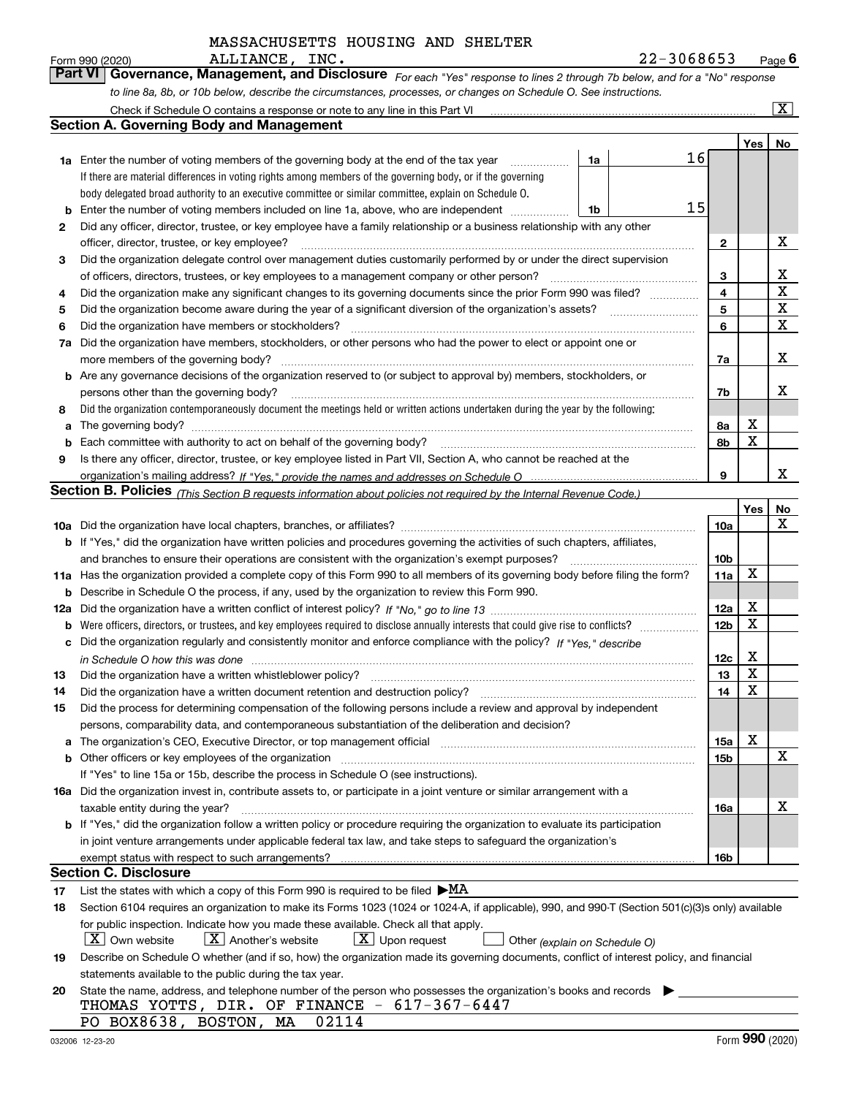*For each "Yes" response to lines 2 through 7b below, and for a "No" response to line 8a, 8b, or 10b below, describe the circumstances, processes, or changes on Schedule O. See instructions.* Form 990 (2020) **Page 6**<br>**Part VI Governance, Management, and Disclosure** For each "Yes" response to lines 2 through 7b below, and for a "No" response

|    | Check if Schedule O contains a response or note to any line in this Part VI                                                                                           |    |    |                 |     | $\boxed{\text{X}}$ |  |  |  |  |
|----|-----------------------------------------------------------------------------------------------------------------------------------------------------------------------|----|----|-----------------|-----|--------------------|--|--|--|--|
|    | Section A. Governing Body and Management                                                                                                                              |    |    |                 |     |                    |  |  |  |  |
|    |                                                                                                                                                                       |    |    |                 | Yes | No                 |  |  |  |  |
|    | 1a Enter the number of voting members of the governing body at the end of the tax year                                                                                | 1a | 16 |                 |     |                    |  |  |  |  |
|    | If there are material differences in voting rights among members of the governing body, or if the governing                                                           |    |    |                 |     |                    |  |  |  |  |
|    | body delegated broad authority to an executive committee or similar committee, explain on Schedule O.                                                                 |    |    |                 |     |                    |  |  |  |  |
| b  | 15<br>Enter the number of voting members included on line 1a, above, who are independent<br>1b                                                                        |    |    |                 |     |                    |  |  |  |  |
| 2  | Did any officer, director, trustee, or key employee have a family relationship or a business relationship with any other                                              |    |    |                 |     |                    |  |  |  |  |
|    | officer, director, trustee, or key employee?                                                                                                                          |    |    | 2               |     | х                  |  |  |  |  |
| 3  | Did the organization delegate control over management duties customarily performed by or under the direct supervision                                                 |    |    |                 |     |                    |  |  |  |  |
|    | of officers, directors, trustees, or key employees to a management company or other person?                                                                           |    |    | 3               |     | x                  |  |  |  |  |
| 4  | Did the organization make any significant changes to its governing documents since the prior Form 990 was filed?                                                      |    |    | 4               |     | $\mathbf X$        |  |  |  |  |
| 5  |                                                                                                                                                                       |    |    | 5               |     | $\mathbf X$        |  |  |  |  |
| 6  | Did the organization have members or stockholders?                                                                                                                    |    |    | 6               |     | $\mathbf X$        |  |  |  |  |
| 7a | Did the organization have members, stockholders, or other persons who had the power to elect or appoint one or                                                        |    |    |                 |     |                    |  |  |  |  |
|    | more members of the governing body?                                                                                                                                   |    |    | 7a              |     | х                  |  |  |  |  |
|    | <b>b</b> Are any governance decisions of the organization reserved to (or subject to approval by) members, stockholders, or                                           |    |    |                 |     |                    |  |  |  |  |
|    | persons other than the governing body?                                                                                                                                |    |    | 7b              |     | х                  |  |  |  |  |
| 8  | Did the organization contemporaneously document the meetings held or written actions undertaken during the year by the following:                                     |    |    |                 |     |                    |  |  |  |  |
| a  |                                                                                                                                                                       |    |    | 8a              | Х   |                    |  |  |  |  |
| b  |                                                                                                                                                                       |    |    | 8b              | X   |                    |  |  |  |  |
| 9  | Is there any officer, director, trustee, or key employee listed in Part VII, Section A, who cannot be reached at the                                                  |    |    |                 |     |                    |  |  |  |  |
|    |                                                                                                                                                                       |    |    | 9               |     | x                  |  |  |  |  |
|    | <b>Section B. Policies</b> (This Section B requests information about policies not required by the Internal Revenue Code.)                                            |    |    |                 |     |                    |  |  |  |  |
|    |                                                                                                                                                                       |    |    |                 | Yes | No                 |  |  |  |  |
|    |                                                                                                                                                                       |    |    | 10a             |     | x                  |  |  |  |  |
|    | <b>b</b> If "Yes," did the organization have written policies and procedures governing the activities of such chapters, affiliates,                                   |    |    |                 |     |                    |  |  |  |  |
|    | and branches to ensure their operations are consistent with the organization's exempt purposes?                                                                       |    |    | 10 <sub>b</sub> |     |                    |  |  |  |  |
|    | 11a Has the organization provided a complete copy of this Form 990 to all members of its governing body before filing the form?                                       |    |    | 11a             | X   |                    |  |  |  |  |
| b  | Describe in Schedule O the process, if any, used by the organization to review this Form 990.                                                                         |    |    |                 |     |                    |  |  |  |  |
|    |                                                                                                                                                                       |    |    | 12a             | х   |                    |  |  |  |  |
| b  |                                                                                                                                                                       |    |    | 12 <sub>b</sub> | X   |                    |  |  |  |  |
| c  | Did the organization regularly and consistently monitor and enforce compliance with the policy? If "Yes." describe                                                    |    |    |                 |     |                    |  |  |  |  |
|    | in Schedule O how this was done www.communication.com/www.communications.com/www.communications.com/                                                                  |    |    | 12c             | х   |                    |  |  |  |  |
| 13 | Did the organization have a written whistleblower policy?                                                                                                             |    |    | 13              | X   |                    |  |  |  |  |
| 14 | Did the organization have a written document retention and destruction policy?                                                                                        |    |    | 14              | X   |                    |  |  |  |  |
| 15 | Did the process for determining compensation of the following persons include a review and approval by independent                                                    |    |    |                 |     |                    |  |  |  |  |
|    | persons, comparability data, and contemporaneous substantiation of the deliberation and decision?                                                                     |    |    |                 |     |                    |  |  |  |  |
| a  | The organization's CEO, Executive Director, or top management official manufactured content of the organization's CEO, Executive Director, or top management official |    |    | 15a             | х   |                    |  |  |  |  |
|    | <b>b</b> Other officers or key employees of the organization                                                                                                          |    |    | 15b             |     | х                  |  |  |  |  |
|    | If "Yes" to line 15a or 15b, describe the process in Schedule O (see instructions).                                                                                   |    |    |                 |     |                    |  |  |  |  |
|    | 16a Did the organization invest in, contribute assets to, or participate in a joint venture or similar arrangement with a                                             |    |    |                 |     |                    |  |  |  |  |
|    | taxable entity during the year?                                                                                                                                       |    |    | 16a             |     | х                  |  |  |  |  |
|    | b If "Yes," did the organization follow a written policy or procedure requiring the organization to evaluate its participation                                        |    |    |                 |     |                    |  |  |  |  |
|    | in joint venture arrangements under applicable federal tax law, and take steps to safequard the organization's                                                        |    |    |                 |     |                    |  |  |  |  |
|    | exempt status with respect to such arrangements?                                                                                                                      |    |    | 16b             |     |                    |  |  |  |  |
|    | <b>Section C. Disclosure</b>                                                                                                                                          |    |    |                 |     |                    |  |  |  |  |
| 17 | List the states with which a copy of this Form 990 is required to be filed $\blacktriangleright$ MA                                                                   |    |    |                 |     |                    |  |  |  |  |
| 18 | Section 6104 requires an organization to make its Forms 1023 (1024 or 1024-A, if applicable), 990, and 990-T (Section 501(c)(3)s only) available                      |    |    |                 |     |                    |  |  |  |  |
|    | for public inspection. Indicate how you made these available. Check all that apply.                                                                                   |    |    |                 |     |                    |  |  |  |  |
|    | $X$ Own website<br>$X$ Another's website<br>$X$ Upon request<br>Other (explain on Schedule O)                                                                         |    |    |                 |     |                    |  |  |  |  |
| 19 | Describe on Schedule O whether (and if so, how) the organization made its governing documents, conflict of interest policy, and financial                             |    |    |                 |     |                    |  |  |  |  |
|    | statements available to the public during the tax year.                                                                                                               |    |    |                 |     |                    |  |  |  |  |
| 20 | State the name, address, and telephone number of the person who possesses the organization's books and records                                                        |    |    |                 |     |                    |  |  |  |  |
|    | THOMAS YOTTS, DIR. OF FINANCE - 617-367-6447                                                                                                                          |    |    |                 |     |                    |  |  |  |  |
|    | PO BOX8638, BOSTON, MA<br>02114                                                                                                                                       |    |    |                 |     |                    |  |  |  |  |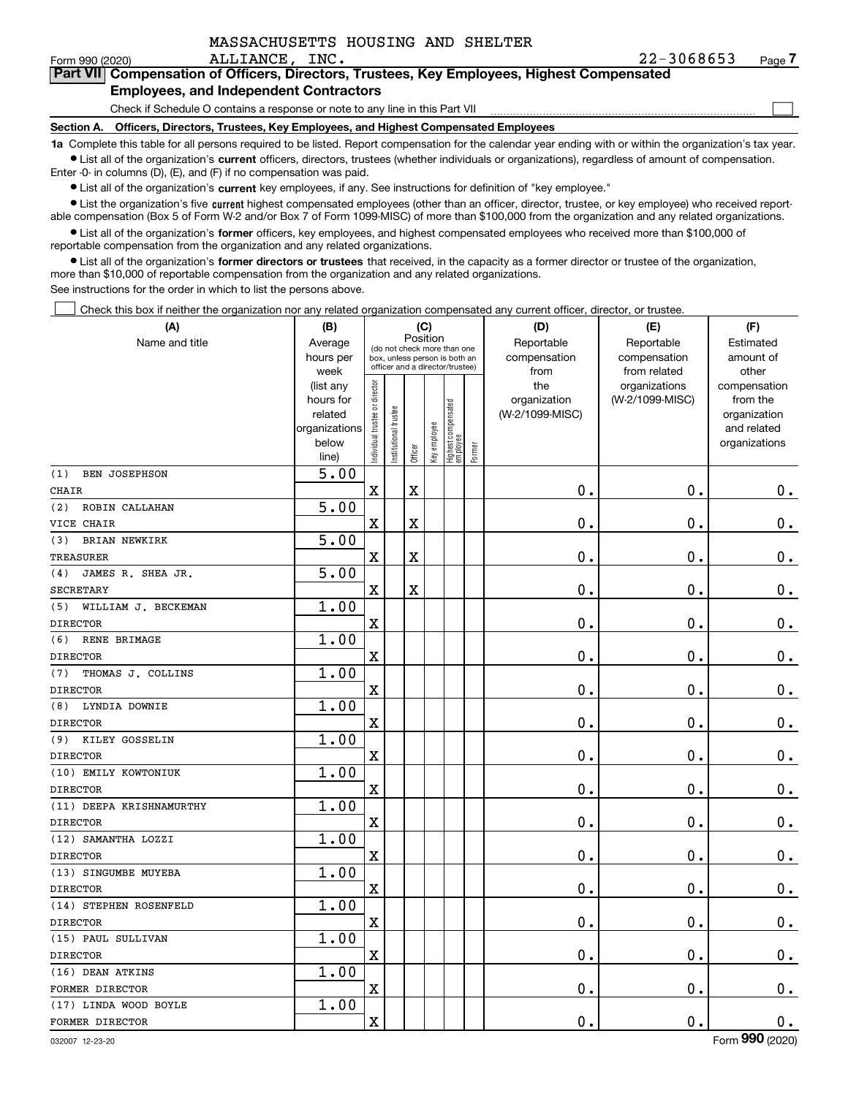| MASSACHUSETTS HOUSING AND SHELTER |
|-----------------------------------|
|-----------------------------------|

Form 990 (2020) ALLIANCE, INC. 2 2-3 0 6 8 6 5 3 Page

 $\mathcal{L}^{\text{max}}$ 

| orm 990 (2020) <sup>.</sup> | ALLIANCE, INC.                                | 22-3068653                                                                                 | Page $\prime$ |
|-----------------------------|-----------------------------------------------|--------------------------------------------------------------------------------------------|---------------|
|                             |                                               | Part VII Compensation of Officers, Directors, Trustees, Key Employees, Highest Compensated |               |
|                             | <b>Employees, and Independent Contractors</b> |                                                                                            |               |

Check if Schedule O contains a response or note to any line in this Part VII

**Section A. Officers, Directors, Trustees, Key Employees, and Highest Compensated Employees**

**1a**  Complete this table for all persons required to be listed. Report compensation for the calendar year ending with or within the organization's tax year. **•** List all of the organization's current officers, directors, trustees (whether individuals or organizations), regardless of amount of compensation.

Enter -0- in columns (D), (E), and (F) if no compensation was paid.

 $\bullet$  List all of the organization's  $\,$ current key employees, if any. See instructions for definition of "key employee."

**•** List the organization's five current highest compensated employees (other than an officer, director, trustee, or key employee) who received reportable compensation (Box 5 of Form W-2 and/or Box 7 of Form 1099-MISC) of more than \$100,000 from the organization and any related organizations.

**•** List all of the organization's former officers, key employees, and highest compensated employees who received more than \$100,000 of reportable compensation from the organization and any related organizations.

**former directors or trustees**  ¥ List all of the organization's that received, in the capacity as a former director or trustee of the organization, more than \$10,000 of reportable compensation from the organization and any related organizations.

See instructions for the order in which to list the persons above.

Check this box if neither the organization nor any related organization compensated any current officer, director, or trustee.  $\mathcal{L}^{\text{max}}$ 

| (A)                         | (B)                                                         |                                |                                                              | (C)      |              |                                   |        | (D)                                    | (E)                              | (F)                                                                      |
|-----------------------------|-------------------------------------------------------------|--------------------------------|--------------------------------------------------------------|----------|--------------|-----------------------------------|--------|----------------------------------------|----------------------------------|--------------------------------------------------------------------------|
| Name and title              | Average<br>hours per                                        |                                | (do not check more than one<br>box, unless person is both an | Position |              |                                   |        | Reportable<br>compensation             | Reportable<br>compensation       | Estimated<br>amount of                                                   |
|                             | week                                                        |                                | officer and a director/trustee)                              |          |              |                                   |        | from                                   | from related                     | other                                                                    |
|                             | (list any<br>hours for<br>related<br>organizations<br>below | Individual trustee or director | In stitutional trustee                                       | Officer  | Key employee | Highest compensated<br>  employee | Former | the<br>organization<br>(W-2/1099-MISC) | organizations<br>(W-2/1099-MISC) | compensation<br>from the<br>organization<br>and related<br>organizations |
|                             | line)                                                       |                                |                                                              |          |              |                                   |        |                                        |                                  |                                                                          |
| <b>BEN JOSEPHSON</b><br>(1) | 5.00                                                        |                                |                                                              |          |              |                                   |        |                                        |                                  |                                                                          |
| <b>CHAIR</b>                |                                                             | $\mathbf X$                    |                                                              | X        |              |                                   |        | 0.                                     | 0.                               | $0_{.}$                                                                  |
| (2)<br>ROBIN CALLAHAN       | 5.00                                                        |                                |                                                              |          |              |                                   |        |                                        |                                  |                                                                          |
| VICE CHAIR                  |                                                             | $\mathbf X$                    |                                                              | X        |              |                                   |        | $\mathbf 0$ .                          | 0.                               | $\mathbf 0$ .                                                            |
| <b>BRIAN NEWKIRK</b><br>(3) | 5.00                                                        |                                |                                                              |          |              |                                   |        |                                        |                                  |                                                                          |
| <b>TREASURER</b>            |                                                             | $\mathbf X$                    |                                                              | X        |              |                                   |        | $\mathbf 0$ .                          | $\mathbf 0$ .                    | $0_{.}$                                                                  |
| JAMES R. SHEA JR.<br>(4)    | 5.00                                                        |                                |                                                              |          |              |                                   |        |                                        |                                  |                                                                          |
| SECRETARY                   |                                                             | $\overline{\mathbf{X}}$        |                                                              | X        |              |                                   |        | $\mathbf 0$ .                          | 0.                               | $\mathbf 0$ .                                                            |
| (5)<br>WILLIAM J. BECKEMAN  | 1.00                                                        |                                |                                                              |          |              |                                   |        |                                        |                                  |                                                                          |
| <b>DIRECTOR</b>             |                                                             | $\mathbf x$                    |                                                              |          |              |                                   |        | $\mathbf 0$ .                          | 0.                               | $0_{.}$                                                                  |
| (6)<br>RENE BRIMAGE         | 1.00                                                        |                                |                                                              |          |              |                                   |        |                                        |                                  |                                                                          |
| <b>DIRECTOR</b>             |                                                             | $\overline{\mathbf{X}}$        |                                                              |          |              |                                   |        | $\mathbf 0$ .                          | 0.                               | $0_{.}$                                                                  |
| THOMAS J. COLLINS<br>(7)    | 1.00                                                        |                                |                                                              |          |              |                                   |        |                                        |                                  |                                                                          |
| <b>DIRECTOR</b>             |                                                             | $\mathbf x$                    |                                                              |          |              |                                   |        | 0.                                     | 0.                               | $0_{.}$                                                                  |
| LYNDIA DOWNIE<br>(8)        | 1.00                                                        |                                |                                                              |          |              |                                   |        |                                        |                                  |                                                                          |
| <b>DIRECTOR</b>             |                                                             | $\overline{\mathbf{X}}$        |                                                              |          |              |                                   |        | $\mathbf 0$ .                          | $\mathbf 0$ .                    | $0_{.}$                                                                  |
| KILEY GOSSELIN<br>(9)       | 1.00                                                        |                                |                                                              |          |              |                                   |        |                                        |                                  |                                                                          |
| <b>DIRECTOR</b>             |                                                             | $\mathbf X$                    |                                                              |          |              |                                   |        | $\mathbf 0$ .                          | $\mathbf 0$ .                    | $0_{.}$                                                                  |
| (10) EMILY KOWTONIUK        | 1.00                                                        |                                |                                                              |          |              |                                   |        |                                        |                                  |                                                                          |
| <b>DIRECTOR</b>             |                                                             | $\overline{\mathbf{X}}$        |                                                              |          |              |                                   |        | $\mathbf 0$ .                          | $\mathbf 0$ .                    | $0_{.}$                                                                  |
| (11) DEEPA KRISHNAMURTHY    | 1.00                                                        |                                |                                                              |          |              |                                   |        |                                        |                                  |                                                                          |
| <b>DIRECTOR</b>             |                                                             | $\mathbf X$                    |                                                              |          |              |                                   |        | 0.                                     | $\mathbf 0$ .                    | $0_{.}$                                                                  |
| (12) SAMANTHA LOZZI         | 1.00                                                        |                                |                                                              |          |              |                                   |        |                                        |                                  |                                                                          |
| <b>DIRECTOR</b>             |                                                             | $\mathbf X$                    |                                                              |          |              |                                   |        | 0.                                     | $\mathbf 0$ .                    | $\mathbf 0$ .                                                            |
| (13) SINGUMBE MUYEBA        | 1.00                                                        |                                |                                                              |          |              |                                   |        |                                        |                                  |                                                                          |
| <b>DIRECTOR</b>             |                                                             | $\mathbf X$                    |                                                              |          |              |                                   |        | $0$ .                                  | $\mathbf 0$ .                    | $\mathbf 0$ .                                                            |
| (14) STEPHEN ROSENFELD      | 1.00                                                        |                                |                                                              |          |              |                                   |        |                                        |                                  |                                                                          |
| <b>DIRECTOR</b>             |                                                             | $\mathbf X$                    |                                                              |          |              |                                   |        | 0.                                     | 0.                               | $\mathbf 0$ .                                                            |
| (15) PAUL SULLIVAN          | 1.00                                                        |                                |                                                              |          |              |                                   |        |                                        |                                  |                                                                          |
| <b>DIRECTOR</b>             |                                                             | $\mathbf X$                    |                                                              |          |              |                                   |        | $\mathbf 0$ .                          | 0.                               | $0_{.}$                                                                  |
| (16) DEAN ATKINS            | 1.00                                                        |                                |                                                              |          |              |                                   |        |                                        |                                  |                                                                          |
| FORMER DIRECTOR             |                                                             | $\mathbf X$                    |                                                              |          |              |                                   |        | $\mathbf 0$ .                          | 0.                               | $\mathbf 0$ .                                                            |
| (17) LINDA WOOD BOYLE       | 1.00                                                        |                                |                                                              |          |              |                                   |        |                                        |                                  |                                                                          |
| FORMER DIRECTOR             |                                                             | $\mathbf X$                    |                                                              |          |              |                                   |        | $\mathbf 0$ .                          | 0.                               | $\mathbf 0$ .                                                            |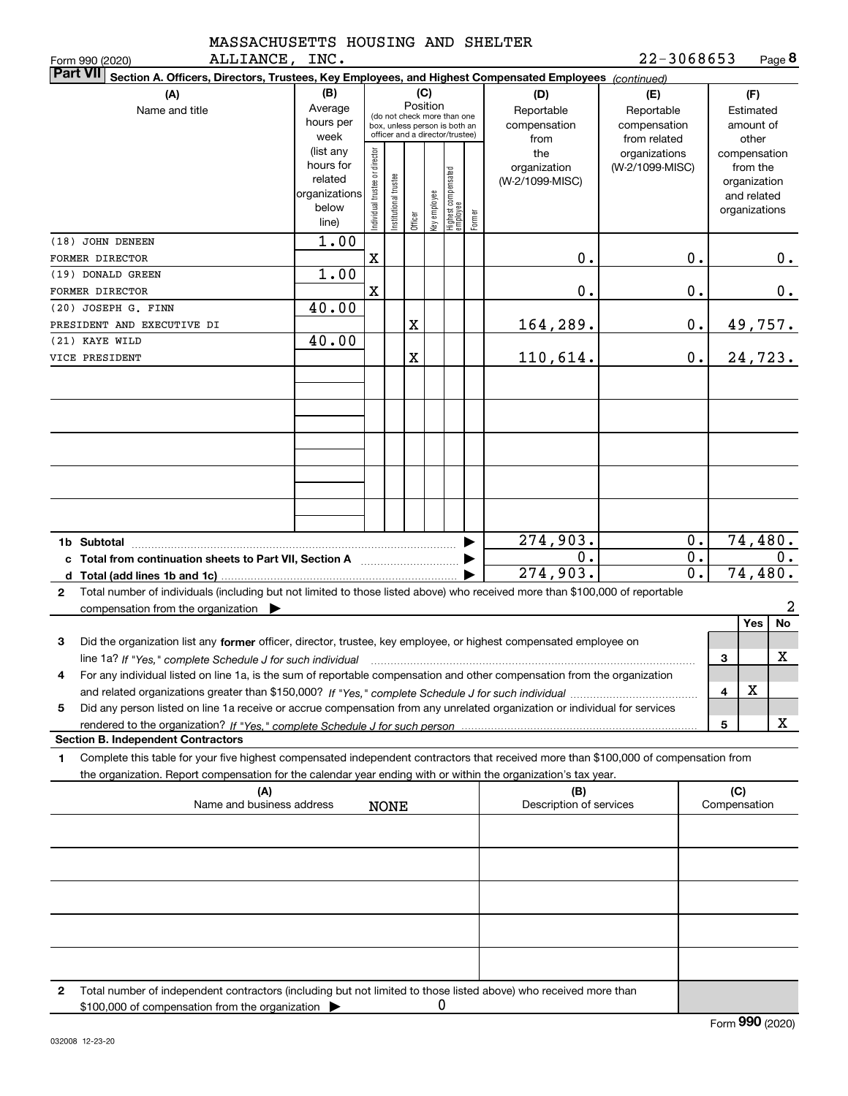| MASSACHUSETTS HOUSING AND SHELTER |  |  |  |
|-----------------------------------|--|--|--|
| <b>BETTBATCH</b>                  |  |  |  |

| 22-3068653 | Page 8 |
|------------|--------|
|------------|--------|

|              | ALLIANCE,<br>Form 990 (2020)                                                                                                                    | INC.          |                               |                                                              |         |              |                                  |        |                         | 22-3068653       |              |               | Page 8         |
|--------------|-------------------------------------------------------------------------------------------------------------------------------------------------|---------------|-------------------------------|--------------------------------------------------------------|---------|--------------|----------------------------------|--------|-------------------------|------------------|--------------|---------------|----------------|
|              | <b>Part VII</b><br>Section A. Officers, Directors, Trustees, Key Employees, and Highest Compensated Employees (continued)                       |               |                               |                                                              |         |              |                                  |        |                         |                  |              |               |                |
|              | (A)                                                                                                                                             | (B)           |                               |                                                              | (C)     |              |                                  |        | (D)                     | (E)              |              | (F)           |                |
|              | Name and title                                                                                                                                  | Average       |                               |                                                              |         | Position     |                                  |        | Reportable              | Reportable       |              | Estimated     |                |
|              |                                                                                                                                                 | hours per     |                               | (do not check more than one<br>box, unless person is both an |         |              |                                  |        | compensation            | compensation     |              | amount of     |                |
|              |                                                                                                                                                 | week          |                               | officer and a director/trustee)                              |         |              |                                  |        | from                    | from related     |              | other         |                |
|              |                                                                                                                                                 | (list any     |                               |                                                              |         |              |                                  |        | the                     | organizations    |              | compensation  |                |
|              |                                                                                                                                                 | hours for     |                               |                                                              |         |              |                                  |        | organization            | (W-2/1099-MISC)  |              | from the      |                |
|              |                                                                                                                                                 | related       |                               |                                                              |         |              |                                  |        | (W-2/1099-MISC)         |                  |              | organization  |                |
|              |                                                                                                                                                 | organizations |                               |                                                              |         |              |                                  |        |                         |                  |              | and related   |                |
|              |                                                                                                                                                 | below         |                               |                                                              |         |              |                                  |        |                         |                  |              | organizations |                |
|              |                                                                                                                                                 | line)         | ndividual trustee or director | nstitutional trustee                                         | Officer | Key employee | Highest compensated<br> employee | Former |                         |                  |              |               |                |
|              | (18) JOHN DENEEN                                                                                                                                | 1.00          |                               |                                                              |         |              |                                  |        |                         |                  |              |               |                |
|              |                                                                                                                                                 |               |                               |                                                              |         |              |                                  |        |                         |                  |              |               |                |
|              | FORMER DIRECTOR                                                                                                                                 |               | X                             |                                                              |         |              |                                  |        | 0.                      | 0.               |              |               | 0.             |
|              | (19) DONALD GREEN                                                                                                                               | 1.00          |                               |                                                              |         |              |                                  |        |                         |                  |              |               |                |
|              | FORMER DIRECTOR                                                                                                                                 |               | X                             |                                                              |         |              |                                  |        | 0.                      | 0.               |              |               | $0$ .          |
|              | (20) JOSEPH G. FINN                                                                                                                             | 40.00         |                               |                                                              |         |              |                                  |        |                         |                  |              |               |                |
|              | PRESIDENT AND EXECUTIVE DI                                                                                                                      |               |                               |                                                              | X       |              |                                  |        | 164,289.                | 0.               |              |               | <u>49,757.</u> |
|              | (21) KAYE WILD                                                                                                                                  |               |                               |                                                              |         |              |                                  |        |                         |                  |              |               |                |
|              |                                                                                                                                                 | 40.00         |                               |                                                              |         |              |                                  |        |                         |                  |              |               |                |
|              | VICE PRESIDENT                                                                                                                                  |               |                               |                                                              | X       |              |                                  |        | 110,614.                | 0.               |              |               | 24,723.        |
|              |                                                                                                                                                 |               |                               |                                                              |         |              |                                  |        |                         |                  |              |               |                |
|              |                                                                                                                                                 |               |                               |                                                              |         |              |                                  |        |                         |                  |              |               |                |
|              |                                                                                                                                                 |               |                               |                                                              |         |              |                                  |        |                         |                  |              |               |                |
|              |                                                                                                                                                 |               |                               |                                                              |         |              |                                  |        |                         |                  |              |               |                |
|              |                                                                                                                                                 |               |                               |                                                              |         |              |                                  |        |                         |                  |              |               |                |
|              |                                                                                                                                                 |               |                               |                                                              |         |              |                                  |        |                         |                  |              |               |                |
|              |                                                                                                                                                 |               |                               |                                                              |         |              |                                  |        |                         |                  |              |               |                |
|              |                                                                                                                                                 |               |                               |                                                              |         |              |                                  |        |                         |                  |              |               |                |
|              |                                                                                                                                                 |               |                               |                                                              |         |              |                                  |        |                         |                  |              |               |                |
|              |                                                                                                                                                 |               |                               |                                                              |         |              |                                  |        |                         |                  |              |               |                |
|              |                                                                                                                                                 |               |                               |                                                              |         |              |                                  |        |                         |                  |              |               |                |
|              |                                                                                                                                                 |               |                               |                                                              |         |              |                                  |        |                         |                  |              |               |                |
|              |                                                                                                                                                 |               |                               |                                                              |         |              |                                  |        | 274,903.                | 0.               |              |               | 74,480.        |
|              | c Total from continuation sheets to Part VII, Section A <b>witch the Continuum</b>                                                              |               |                               |                                                              |         |              |                                  |        | 0.                      | 0.               |              |               | 0.             |
|              |                                                                                                                                                 |               |                               |                                                              |         |              |                                  |        | 274,903.                | $\overline{0}$ . |              |               | 74,480.        |
| $\mathbf{2}$ | Total number of individuals (including but not limited to those listed above) who received more than \$100,000 of reportable                    |               |                               |                                                              |         |              |                                  |        |                         |                  |              |               |                |
|              | compensation from the organization $\blacktriangleright$                                                                                        |               |                               |                                                              |         |              |                                  |        |                         |                  |              |               | 2              |
|              |                                                                                                                                                 |               |                               |                                                              |         |              |                                  |        |                         |                  |              | Yes           | No             |
|              |                                                                                                                                                 |               |                               |                                                              |         |              |                                  |        |                         |                  |              |               |                |
| 3            | Did the organization list any former officer, director, trustee, key employee, or highest compensated employee on                               |               |                               |                                                              |         |              |                                  |        |                         |                  |              |               |                |
|              | line 1a? If "Yes," complete Schedule J for such individual manufactured contained and the 1a? If "Yes," complete Schedule J for such individual |               |                               |                                                              |         |              |                                  |        |                         |                  | 3            |               | x              |
|              | For any individual listed on line 1a, is the sum of reportable compensation and other compensation from the organization                        |               |                               |                                                              |         |              |                                  |        |                         |                  |              |               |                |
|              |                                                                                                                                                 |               |                               |                                                              |         |              |                                  |        |                         |                  | 4            | х             |                |
| 5            | Did any person listed on line 1a receive or accrue compensation from any unrelated organization or individual for services                      |               |                               |                                                              |         |              |                                  |        |                         |                  |              |               |                |
|              |                                                                                                                                                 |               |                               |                                                              |         |              |                                  |        |                         |                  |              |               |                |
|              |                                                                                                                                                 |               |                               |                                                              |         |              |                                  |        |                         |                  | 5            |               | x              |
|              | <b>Section B. Independent Contractors</b>                                                                                                       |               |                               |                                                              |         |              |                                  |        |                         |                  |              |               |                |
| 1.           | Complete this table for your five highest compensated independent contractors that received more than \$100,000 of compensation from            |               |                               |                                                              |         |              |                                  |        |                         |                  |              |               |                |
|              | the organization. Report compensation for the calendar year ending with or within the organization's tax year.                                  |               |                               |                                                              |         |              |                                  |        |                         |                  |              |               |                |
|              | (A)                                                                                                                                             |               |                               |                                                              |         |              |                                  |        | (B)                     |                  | (C)          |               |                |
|              | Name and business address                                                                                                                       |               |                               | <b>NONE</b>                                                  |         |              |                                  |        | Description of services |                  | Compensation |               |                |
|              |                                                                                                                                                 |               |                               |                                                              |         |              |                                  |        |                         |                  |              |               |                |
|              |                                                                                                                                                 |               |                               |                                                              |         |              |                                  |        |                         |                  |              |               |                |
|              |                                                                                                                                                 |               |                               |                                                              |         |              |                                  |        |                         |                  |              |               |                |
|              |                                                                                                                                                 |               |                               |                                                              |         |              |                                  |        |                         |                  |              |               |                |
|              |                                                                                                                                                 |               |                               |                                                              |         |              |                                  |        |                         |                  |              |               |                |
|              |                                                                                                                                                 |               |                               |                                                              |         |              |                                  |        |                         |                  |              |               |                |
|              |                                                                                                                                                 |               |                               |                                                              |         |              |                                  |        |                         |                  |              |               |                |
|              |                                                                                                                                                 |               |                               |                                                              |         |              |                                  |        |                         |                  |              |               |                |
|              |                                                                                                                                                 |               |                               |                                                              |         |              |                                  |        |                         |                  |              |               |                |
|              |                                                                                                                                                 |               |                               |                                                              |         |              |                                  |        |                         |                  |              |               |                |
|              |                                                                                                                                                 |               |                               |                                                              |         |              |                                  |        |                         |                  |              |               |                |
|              |                                                                                                                                                 |               |                               |                                                              |         |              |                                  |        |                         |                  |              |               |                |
| 2            | Total number of independent contractors (including but not limited to those listed above) who received more than                                |               |                               |                                                              |         |              |                                  |        |                         |                  |              |               |                |
|              | \$100,000 of compensation from the organization                                                                                                 |               |                               |                                                              |         | 0            |                                  |        |                         |                  |              |               |                |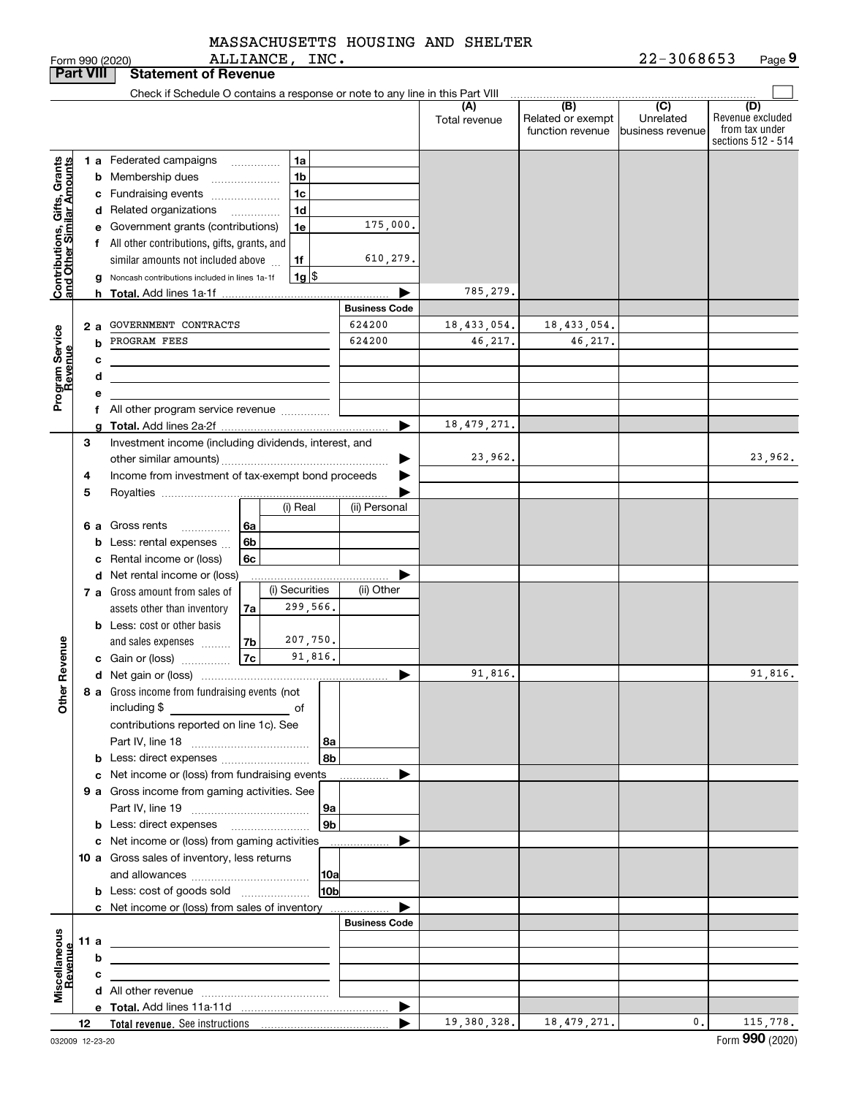|                                                           |                 |                                                         | Form 990 (2020)                                                               |           | ALLIANCE, INC. |                      |                      |                      |                                              | 22-3068653                                      | Page 9                                                          |
|-----------------------------------------------------------|-----------------|---------------------------------------------------------|-------------------------------------------------------------------------------|-----------|----------------|----------------------|----------------------|----------------------|----------------------------------------------|-------------------------------------------------|-----------------------------------------------------------------|
| <b>Part VIII</b>                                          |                 |                                                         | <b>Statement of Revenue</b>                                                   |           |                |                      |                      |                      |                                              |                                                 |                                                                 |
|                                                           |                 |                                                         | Check if Schedule O contains a response or note to any line in this Part VIII |           |                |                      |                      |                      |                                              |                                                 |                                                                 |
|                                                           |                 |                                                         |                                                                               |           |                |                      |                      | (A)<br>Total revenue | (B)<br>Related or exempt<br>function revenue | $\overline{C}$<br>Unrelated<br>business revenue | (D)<br>Revenue excluded<br>from tax under<br>sections 512 - 514 |
|                                                           |                 |                                                         | 1 a Federated campaigns                                                       |           |                | 1a                   |                      |                      |                                              |                                                 |                                                                 |
|                                                           |                 |                                                         | <b>b</b> Membership dues                                                      |           |                | 1b                   |                      |                      |                                              |                                                 |                                                                 |
|                                                           |                 |                                                         | c Fundraising events                                                          |           |                | 1 <sub>c</sub>       |                      |                      |                                              |                                                 |                                                                 |
|                                                           |                 |                                                         | d Related organizations                                                       |           |                | 1 <sub>d</sub>       |                      |                      |                                              |                                                 |                                                                 |
|                                                           |                 |                                                         | e Government grants (contributions)                                           |           |                | 1e                   | 175,000.             |                      |                                              |                                                 |                                                                 |
|                                                           |                 |                                                         | f All other contributions, gifts, grants, and                                 |           |                |                      |                      |                      |                                              |                                                 |                                                                 |
|                                                           |                 |                                                         | similar amounts not included above                                            |           |                | 1f                   | 610,279.             |                      |                                              |                                                 |                                                                 |
| Contributions, Gifts, Grants<br>and Other Similar Amounts |                 |                                                         | g Noncash contributions included in lines 1a-1f                               |           |                | 1g                   |                      |                      |                                              |                                                 |                                                                 |
|                                                           |                 |                                                         |                                                                               |           |                |                      |                      | 785,279.             |                                              |                                                 |                                                                 |
|                                                           |                 |                                                         |                                                                               |           |                |                      | <b>Business Code</b> |                      |                                              |                                                 |                                                                 |
|                                                           |                 | 2 a                                                     | GOVERNMENT CONTRACTS                                                          |           |                |                      | 624200               | 18,433,054.          | 18,433,054.                                  |                                                 |                                                                 |
|                                                           | PROGRAM FEES    |                                                         | 624200                                                                        | 46,217.   | 46,217.        |                      |                      |                      |                                              |                                                 |                                                                 |
| Program Service<br>Revenue                                |                 | c                                                       |                                                                               |           |                |                      |                      |                      |                                              |                                                 |                                                                 |
|                                                           |                 | d                                                       |                                                                               |           |                |                      |                      |                      |                                              |                                                 |                                                                 |
|                                                           |                 | е                                                       |                                                                               |           |                |                      |                      |                      |                                              |                                                 |                                                                 |
|                                                           |                 |                                                         |                                                                               |           |                |                      |                      |                      |                                              |                                                 |                                                                 |
|                                                           | 3               | g                                                       | Investment income (including dividends, interest, and                         |           |                |                      |                      | 18, 479, 271.        |                                              |                                                 |                                                                 |
|                                                           |                 |                                                         |                                                                               |           |                |                      |                      | 23,962.              |                                              |                                                 | 23,962.                                                         |
|                                                           |                 | Income from investment of tax-exempt bond proceeds<br>4 |                                                                               |           |                |                      |                      |                      |                                              |                                                 |                                                                 |
|                                                           | 5               |                                                         |                                                                               |           |                |                      |                      |                      |                                              |                                                 |                                                                 |
|                                                           |                 |                                                         |                                                                               |           |                | (i) Real             | (ii) Personal        |                      |                                              |                                                 |                                                                 |
|                                                           |                 |                                                         | 6 a Gross rents<br>$\cdots$                                                   | 6a        |                |                      |                      |                      |                                              |                                                 |                                                                 |
|                                                           |                 | b                                                       | Less: rental expenses                                                         | 6b        |                |                      |                      |                      |                                              |                                                 |                                                                 |
|                                                           |                 |                                                         | c Rental income or (loss)                                                     | 6c        |                |                      |                      |                      |                                              |                                                 |                                                                 |
|                                                           |                 |                                                         | d Net rental income or (loss)                                                 |           |                |                      |                      |                      |                                              |                                                 |                                                                 |
|                                                           |                 |                                                         | <b>7 a</b> Gross amount from sales of                                         |           |                | (i) Securities       | (ii) Other           |                      |                                              |                                                 |                                                                 |
|                                                           |                 |                                                         | assets other than inventory                                                   | 7a        |                | 299,566.             |                      |                      |                                              |                                                 |                                                                 |
|                                                           |                 |                                                         | <b>b</b> Less: cost or other basis                                            |           |                |                      |                      |                      |                                              |                                                 |                                                                 |
|                                                           |                 |                                                         | and sales expenses                                                            | 7b        |                | 207,750.             |                      |                      |                                              |                                                 |                                                                 |
| evenue                                                    |                 |                                                         | c Gain or (loss)                                                              | <b>7c</b> |                | 91,816.              |                      |                      |                                              |                                                 |                                                                 |
| č                                                         |                 |                                                         |                                                                               |           |                |                      |                      | 91,816.              |                                              |                                                 | 91,816.                                                         |
| Other                                                     |                 |                                                         | 8 a Gross income from fundraising events (not                                 |           |                |                      |                      |                      |                                              |                                                 |                                                                 |
|                                                           |                 |                                                         | including \$                                                                  |           |                |                      |                      |                      |                                              |                                                 |                                                                 |
|                                                           |                 |                                                         | contributions reported on line 1c). See                                       |           |                |                      |                      |                      |                                              |                                                 |                                                                 |
|                                                           |                 |                                                         |                                                                               |           |                | 8a<br>8 <sub>b</sub> |                      |                      |                                              |                                                 |                                                                 |
|                                                           |                 |                                                         | b Less: direct expenses<br>c Net income or (loss) from fundraising events     |           |                |                      |                      |                      |                                              |                                                 |                                                                 |
|                                                           |                 |                                                         | 9 a Gross income from gaming activities. See                                  |           |                |                      |                      |                      |                                              |                                                 |                                                                 |
|                                                           |                 |                                                         |                                                                               |           |                | 9a                   |                      |                      |                                              |                                                 |                                                                 |
|                                                           |                 |                                                         |                                                                               |           |                | 9 <sub>b</sub>       |                      |                      |                                              |                                                 |                                                                 |
|                                                           |                 |                                                         | c Net income or (loss) from gaming activities                                 |           |                |                      | ▶                    |                      |                                              |                                                 |                                                                 |
|                                                           |                 |                                                         | 10 a Gross sales of inventory, less returns                                   |           |                |                      |                      |                      |                                              |                                                 |                                                                 |
|                                                           |                 |                                                         |                                                                               |           |                | 10a                  |                      |                      |                                              |                                                 |                                                                 |
|                                                           |                 |                                                         | <b>b</b> Less: cost of goods sold                                             |           |                | 10 <sub>b</sub>      |                      |                      |                                              |                                                 |                                                                 |
|                                                           |                 |                                                         | c Net income or (loss) from sales of inventory                                |           |                |                      |                      |                      |                                              |                                                 |                                                                 |
|                                                           |                 |                                                         |                                                                               |           |                |                      | <b>Business Code</b> |                      |                                              |                                                 |                                                                 |
|                                                           | 11 a            |                                                         |                                                                               |           |                |                      |                      |                      |                                              |                                                 |                                                                 |
|                                                           |                 | b                                                       |                                                                               |           |                |                      |                      |                      |                                              |                                                 |                                                                 |
| Miscellaneous<br>Revenue                                  |                 | с                                                       |                                                                               |           |                |                      |                      |                      |                                              |                                                 |                                                                 |
|                                                           |                 |                                                         |                                                                               |           |                |                      |                      |                      |                                              |                                                 |                                                                 |
|                                                           |                 |                                                         |                                                                               |           |                |                      | ▶                    | 19,380,328.          | 18,479,271.                                  | 0.                                              | 115,778.                                                        |
|                                                           | 12 <sub>2</sub> |                                                         |                                                                               |           |                |                      |                      |                      |                                              |                                                 |                                                                 |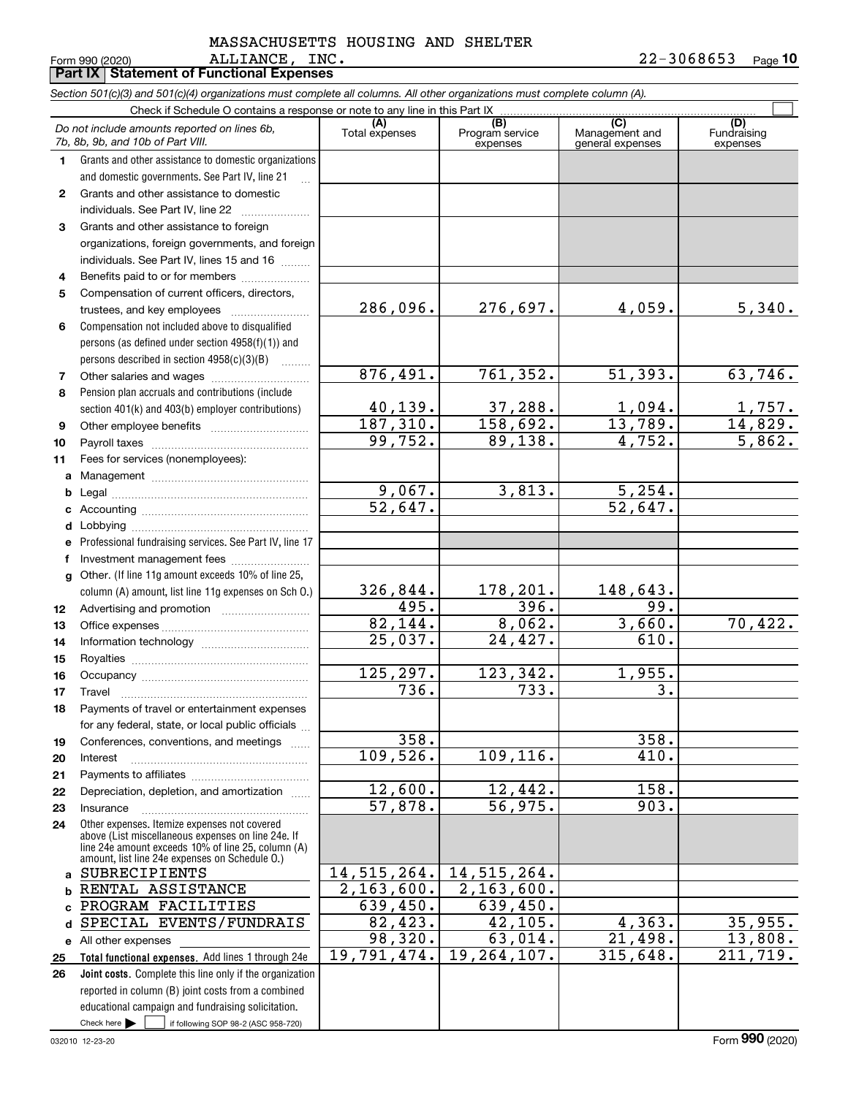#### ALLIANCE, INC. 22-3068653 MASSACHUSETTS HOUSING AND SHELTER

**10**

|              | Form 990 (2020)<br>ALLIANCE,<br>Part IX   Statement of Functional Expenses                                                                                                                                 | TMC.                   |                                    |                                           | 22-3068653<br>Page 10          |
|--------------|------------------------------------------------------------------------------------------------------------------------------------------------------------------------------------------------------------|------------------------|------------------------------------|-------------------------------------------|--------------------------------|
|              | Section 501(c)(3) and 501(c)(4) organizations must complete all columns. All other organizations must complete column (A).                                                                                 |                        |                                    |                                           |                                |
|              | Check if Schedule O contains a response or note to any line in this Part IX                                                                                                                                |                        |                                    |                                           |                                |
|              | Do not include amounts reported on lines 6b,<br>7b, 8b, 9b, and 10b of Part VIII.                                                                                                                          | (A)<br>Total expenses  | (B)<br>Program service<br>expenses | (C)<br>Management and<br>general expenses | (D)<br>Fundraising<br>expenses |
| 1.           | Grants and other assistance to domestic organizations                                                                                                                                                      |                        |                                    |                                           |                                |
|              | and domestic governments. See Part IV, line 21<br>$\mathbf{r}$                                                                                                                                             |                        |                                    |                                           |                                |
| $\mathbf{2}$ | Grants and other assistance to domestic                                                                                                                                                                    |                        |                                    |                                           |                                |
|              | individuals. See Part IV, line 22                                                                                                                                                                          |                        |                                    |                                           |                                |
| 3            | Grants and other assistance to foreign                                                                                                                                                                     |                        |                                    |                                           |                                |
|              | organizations, foreign governments, and foreign                                                                                                                                                            |                        |                                    |                                           |                                |
|              | individuals. See Part IV, lines 15 and 16                                                                                                                                                                  |                        |                                    |                                           |                                |
| 4            | Benefits paid to or for members                                                                                                                                                                            |                        |                                    |                                           |                                |
| 5            | Compensation of current officers, directors,                                                                                                                                                               |                        |                                    |                                           |                                |
|              |                                                                                                                                                                                                            | 286,096.               | 276,697.                           | 4,059.                                    | 5,340.                         |
| 6            | Compensation not included above to disqualified                                                                                                                                                            |                        |                                    |                                           |                                |
|              | persons (as defined under section 4958(f)(1)) and                                                                                                                                                          |                        |                                    |                                           |                                |
|              | persons described in section 4958(c)(3)(B)                                                                                                                                                                 | 876,491.               | 761, 352.                          | 51,393.                                   | 63,746.                        |
| 7<br>8       | Other salaries and wages<br>Pension plan accruals and contributions (include                                                                                                                               |                        |                                    |                                           |                                |
|              | section 401(k) and 403(b) employer contributions)                                                                                                                                                          | 40,139.                | 37,288.                            | 1,094.                                    |                                |
| 9            |                                                                                                                                                                                                            | 187,310.               | 158,692.                           | 13,789.                                   | $\frac{1,757}{14,829}$ .       |
| 10           |                                                                                                                                                                                                            | 99,752.                | 89,138.                            | 4,752.                                    | 5,862.                         |
| 11           | Fees for services (nonemployees):                                                                                                                                                                          |                        |                                    |                                           |                                |
| a            |                                                                                                                                                                                                            |                        |                                    |                                           |                                |
| b            |                                                                                                                                                                                                            | 9,067.                 | 3,813.                             | 5,254.                                    |                                |
| c            |                                                                                                                                                                                                            | $\overline{52,647}$ .  |                                    | $\overline{52,647}$ .                     |                                |
| d            |                                                                                                                                                                                                            |                        |                                    |                                           |                                |
| е            | Professional fundraising services. See Part IV, line 17                                                                                                                                                    |                        |                                    |                                           |                                |
| f            | Investment management fees                                                                                                                                                                                 |                        |                                    |                                           |                                |
| g            | Other. (If line 11g amount exceeds 10% of line 25,                                                                                                                                                         |                        |                                    |                                           |                                |
|              | column (A) amount, list line 11g expenses on Sch O.)                                                                                                                                                       | 326,844.               | 178,201.                           | 148,643.                                  |                                |
| 12           |                                                                                                                                                                                                            | 495.                   | 396.                               | 99.                                       |                                |
| 13           |                                                                                                                                                                                                            | 82,144.                | 8,062.                             | 3,660.                                    | 70,422.                        |
| 14           |                                                                                                                                                                                                            | $\overline{2}5,037.$   | 24,427.                            | 610.                                      |                                |
| 15           |                                                                                                                                                                                                            | 125,297.               | 123,342.                           | 1,955.                                    |                                |
| 16           | Occupancy                                                                                                                                                                                                  | $\overline{736}$ .     | 733.                               | $\overline{3}$ .                          |                                |
| 17<br>18     | Travel<br>Payments of travel or entertainment expenses                                                                                                                                                     |                        |                                    |                                           |                                |
|              | for any federal, state, or local public officials                                                                                                                                                          |                        |                                    |                                           |                                |
| 19           | Conferences, conventions, and meetings                                                                                                                                                                     | 358.                   |                                    | 358.                                      |                                |
| 20           | Interest                                                                                                                                                                                                   | 109,526.               | 109,116.                           | 410.                                      |                                |
| 21           |                                                                                                                                                                                                            |                        |                                    |                                           |                                |
| 22           | Depreciation, depletion, and amortization                                                                                                                                                                  | 12,600.                | 12,442.                            | 158.                                      |                                |
| 23           | Insurance                                                                                                                                                                                                  | 57,878.                | 56,975.                            | 903.                                      |                                |
| 24           | Other expenses. Itemize expenses not covered<br>above (List miscellaneous expenses on line 24e. If<br>line 24e amount exceeds 10% of line 25, column (A)<br>amount, list line 24e expenses on Schedule O.) |                        |                                    |                                           |                                |
| a            | SUBRECIPIENTS                                                                                                                                                                                              | 14,515,264.            | 14, 515, 264.                      |                                           |                                |
|              | RENTAL ASSISTANCE                                                                                                                                                                                          | 2, 163, 600.           | $\overline{2,163,600}$ .           |                                           |                                |
|              | PROGRAM FACILITIES                                                                                                                                                                                         | 639,450.               | 639,450.                           |                                           |                                |
|              | SPECIAL EVENTS/FUNDRAIS                                                                                                                                                                                    | 82,423.                | 42,105.                            | 4,363.                                    | 35,955.                        |
|              | e All other expenses                                                                                                                                                                                       | 98,320.<br>19,791,474. | 63,014.<br>19,264,107.             | 21,498.<br>315,648.                       | 13,808.<br>211,719.            |
| 25<br>26     | Total functional expenses. Add lines 1 through 24e<br>Joint costs. Complete this line only if the organization                                                                                             |                        |                                    |                                           |                                |
|              | reported in column (B) joint costs from a combined                                                                                                                                                         |                        |                                    |                                           |                                |
|              | educational campaign and fundraising solicitation.                                                                                                                                                         |                        |                                    |                                           |                                |
|              | Check here $\blacktriangleright$<br>if following SOP 98-2 (ASC 958-720)                                                                                                                                    |                        |                                    |                                           |                                |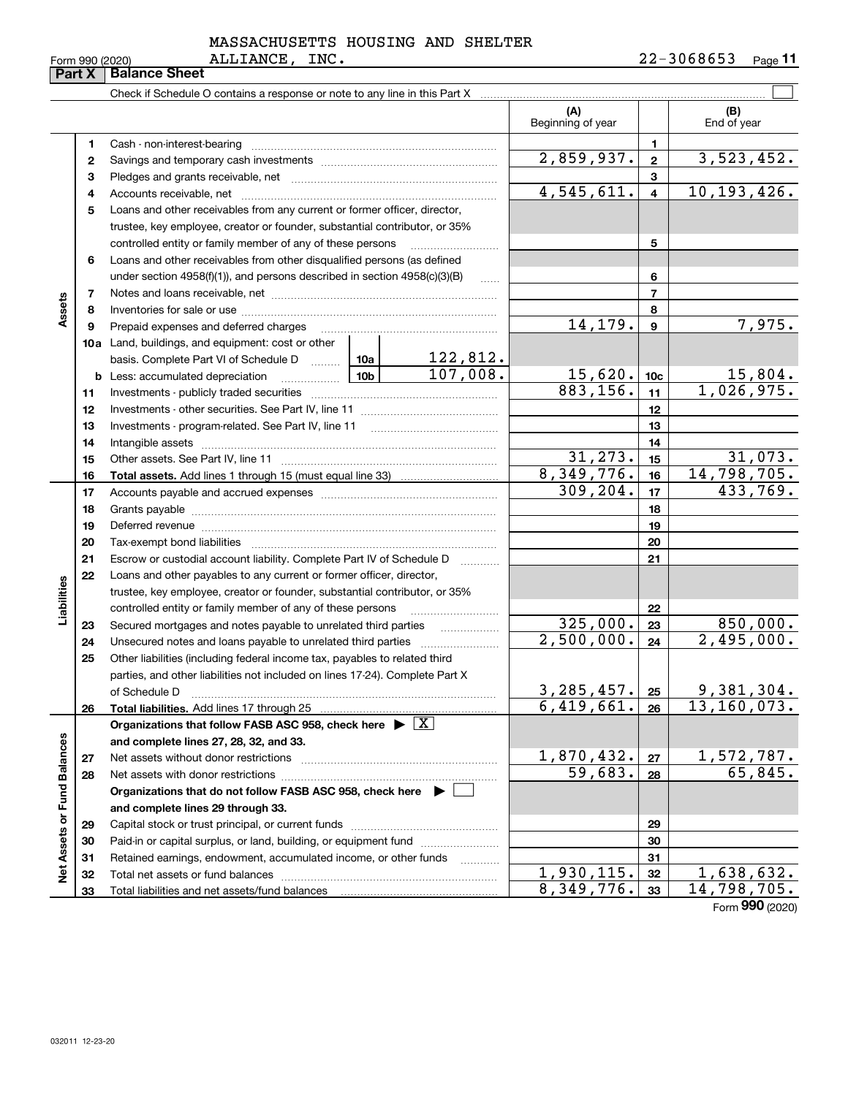$\overline{a}$ 

| MASSACHUSETTS HOUSING AND SHELTER |  |  |
|-----------------------------------|--|--|
|                                   |  |  |

|                             |    | Check if Schedule O contains a response or note to any line in this Part X         |  |          |                          |                 |                    |
|-----------------------------|----|------------------------------------------------------------------------------------|--|----------|--------------------------|-----------------|--------------------|
|                             |    |                                                                                    |  |          | (A)<br>Beginning of year |                 | (B)<br>End of year |
|                             | 1  | Cash - non-interest-bearing                                                        |  |          |                          | 1               |                    |
|                             | 2  |                                                                                    |  |          | 2,859,937.               | $\mathbf{2}$    | 3,523,452.         |
|                             | з  |                                                                                    |  |          |                          | 3               |                    |
|                             | 4  |                                                                                    |  |          | 4,545,611.               | 4               | 10, 193, 426.      |
|                             | 5  | Loans and other receivables from any current or former officer, director,          |  |          |                          |                 |                    |
|                             |    | trustee, key employee, creator or founder, substantial contributor, or 35%         |  |          |                          |                 |                    |
|                             |    | controlled entity or family member of any of these persons                         |  |          |                          | 5               |                    |
|                             | 6  | Loans and other receivables from other disqualified persons (as defined            |  |          |                          |                 |                    |
|                             |    | under section $4958(f)(1)$ , and persons described in section $4958(c)(3)(B)$      |  | 1.1.1.1  |                          | 6               |                    |
|                             | 7  |                                                                                    |  |          |                          | $\overline{7}$  |                    |
| Assets                      | 8  |                                                                                    |  |          |                          | 8               |                    |
|                             | 9  | Prepaid expenses and deferred charges                                              |  |          | 14,179.                  | 9               | 7,975.             |
|                             |    | 10a Land, buildings, and equipment: cost or other                                  |  |          |                          |                 |                    |
|                             |    | basis. Complete Part VI of Schedule D  10a                                         |  | 122,812. |                          |                 |                    |
|                             |    |                                                                                    |  | 107,008. | 15,620.                  | 10 <sub>c</sub> | 15,804.            |
|                             | 11 |                                                                                    |  |          | 883, 156.                | 11              | 1,026,975.         |
|                             | 12 |                                                                                    |  |          | 12                       |                 |                    |
|                             | 13 |                                                                                    |  |          | 13                       |                 |                    |
|                             | 14 |                                                                                    |  | 14       |                          |                 |                    |
|                             | 15 |                                                                                    |  | 31, 273. | 15                       | 31,073.         |                    |
|                             | 16 |                                                                                    |  |          | 8,349,776.               | 16              | 14,798,705.        |
|                             | 17 |                                                                                    |  | 309,204. | 17                       | 433,769.        |                    |
|                             | 18 |                                                                                    |  |          | 18                       |                 |                    |
|                             | 19 |                                                                                    |  | 19       |                          |                 |                    |
|                             | 20 |                                                                                    |  |          | 20                       |                 |                    |
|                             | 21 | Escrow or custodial account liability. Complete Part IV of Schedule D              |  | .        |                          | 21              |                    |
|                             | 22 | Loans and other payables to any current or former officer, director,               |  |          |                          |                 |                    |
| Liabilities                 |    | trustee, key employee, creator or founder, substantial contributor, or 35%         |  |          |                          |                 |                    |
|                             |    | controlled entity or family member of any of these persons                         |  |          |                          | 22              |                    |
|                             | 23 | Secured mortgages and notes payable to unrelated third parties                     |  | .        | 325,000.                 | 23              | 850,000.           |
|                             | 24 |                                                                                    |  |          | 2,500,000.               | 24              | 2,495,000.         |
|                             | 25 | Other liabilities (including federal income tax, payables to related third         |  |          |                          |                 |                    |
|                             |    | parties, and other liabilities not included on lines 17-24). Complete Part X       |  |          |                          |                 |                    |
|                             |    | of Schedule D                                                                      |  |          | $3,285,457$ . 25         |                 | 9,381,304.         |
|                             | 26 | Total liabilities. Add lines 17 through 25                                         |  |          | 6,419,661.               | 26              | 13,160,073.        |
|                             |    | Organizations that follow FASB ASC 958, check here $\blacktriangleright \boxed{X}$ |  |          |                          |                 |                    |
|                             |    | and complete lines 27, 28, 32, and 33.                                             |  |          |                          |                 |                    |
|                             | 27 | Net assets without donor restrictions                                              |  |          | 1,870,432.               | 27              | 1,572,787.         |
|                             | 28 | Net assets with donor restrictions                                                 |  |          | 59,683.                  | 28              | 65,845.            |
|                             |    | Organizations that do not follow FASB ASC 958, check here $\blacktriangleright$    |  |          |                          |                 |                    |
| Net Assets or Fund Balances |    | and complete lines 29 through 33.                                                  |  |          |                          |                 |                    |
|                             | 29 |                                                                                    |  |          | 29                       |                 |                    |
|                             | 30 | Paid-in or capital surplus, or land, building, or equipment fund                   |  |          |                          | 30              |                    |
|                             | 31 | Retained earnings, endowment, accumulated income, or other funds                   |  |          |                          | 31              |                    |
|                             | 32 | Total net assets or fund balances                                                  |  |          | 1,930,115.               | 32              | 1,638,632.         |
|                             | 33 |                                                                                    |  |          | 8,349,776.               | 33              | 14,798,705.        |

Form (2020) **990**

# **Part X Balance Sheet** ALLIANCE, INC.

 $\overline{a}$ 

 $\overline{a}$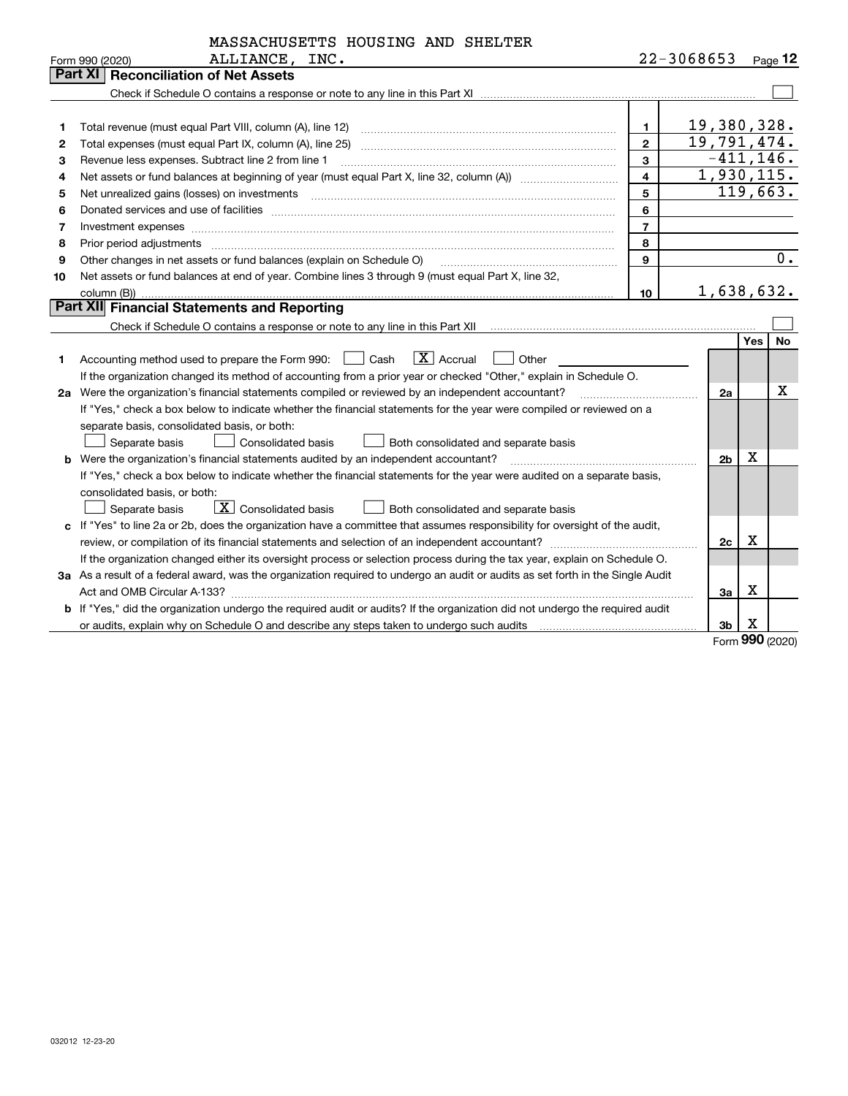|                 | MASSACHUSETTS HOUSING AND SHELTER                                                                                                                                                                                              |                |             |                |            |           |  |  |
|-----------------|--------------------------------------------------------------------------------------------------------------------------------------------------------------------------------------------------------------------------------|----------------|-------------|----------------|------------|-----------|--|--|
| Form 990 (2020) | ALLIANCE, INC.                                                                                                                                                                                                                 |                | 22-3068653  |                |            | Page $12$ |  |  |
| <b>Part XI</b>  | <b>Reconciliation of Net Assets</b>                                                                                                                                                                                            |                |             |                |            |           |  |  |
|                 |                                                                                                                                                                                                                                |                |             |                |            |           |  |  |
|                 |                                                                                                                                                                                                                                |                |             |                |            |           |  |  |
| 1               |                                                                                                                                                                                                                                | $\mathbf{1}$   | 19,380,328. |                |            |           |  |  |
| 2               | Total expenses (must equal Part IX, column (A), line 25)                                                                                                                                                                       | $\overline{2}$ | 19,791,474. |                |            |           |  |  |
| 3               | Revenue less expenses. Subtract line 2 from line 1                                                                                                                                                                             | 3              |             | $-411, 146.$   |            |           |  |  |
| 4               | 1,930,115.<br>$\overline{\mathbf{4}}$                                                                                                                                                                                          |                |             |                |            |           |  |  |
| 5               | Net unrealized gains (losses) on investments [11] matter continuum matter is a set of the state of the state o                                                                                                                 | 5              |             |                |            | 119,663.  |  |  |
| 6               | Donated services and use of facilities [111] Donated and the service of facilities [11] Donated services and use of facilities [11] Donated and the service of the service of the service of the service of the service of the | 6              |             |                |            |           |  |  |
| 7               | Investment expenses www.communication.com/www.communication.com/www.communication.com/www.communication.com/ww                                                                                                                 | $\overline{7}$ |             |                |            |           |  |  |
| 8               | Prior period adjustments                                                                                                                                                                                                       | 8              |             |                |            |           |  |  |
| 9               | Other changes in net assets or fund balances (explain on Schedule O)                                                                                                                                                           | 9              |             |                |            | 0.        |  |  |
| 10              | Net assets or fund balances at end of year. Combine lines 3 through 9 (must equal Part X, line 32,                                                                                                                             |                |             |                |            |           |  |  |
|                 | column (B))                                                                                                                                                                                                                    | 10             |             | 1,638,632.     |            |           |  |  |
|                 | Part XII Financial Statements and Reporting                                                                                                                                                                                    |                |             |                |            |           |  |  |
|                 |                                                                                                                                                                                                                                |                |             |                |            |           |  |  |
|                 |                                                                                                                                                                                                                                |                |             |                | <b>Yes</b> | No        |  |  |
| 1               | $\boxed{\mathbf{X}}$ Accrual<br>Accounting method used to prepare the Form 990: <u>II</u> Cash<br>Other                                                                                                                        |                |             |                |            |           |  |  |
|                 | If the organization changed its method of accounting from a prior year or checked "Other," explain in Schedule O.                                                                                                              |                |             |                |            |           |  |  |
|                 | 2a Were the organization's financial statements compiled or reviewed by an independent accountant?                                                                                                                             |                |             | 2a             |            | x         |  |  |
|                 | If "Yes," check a box below to indicate whether the financial statements for the year were compiled or reviewed on a                                                                                                           |                |             |                |            |           |  |  |
|                 | separate basis, consolidated basis, or both:                                                                                                                                                                                   |                |             |                |            |           |  |  |
|                 | <b>Consolidated basis</b><br>Separate basis<br>Both consolidated and separate basis                                                                                                                                            |                |             |                |            |           |  |  |
|                 | b Were the organization's financial statements audited by an independent accountant?                                                                                                                                           |                |             | 2 <sub>b</sub> | х          |           |  |  |
|                 | If "Yes," check a box below to indicate whether the financial statements for the year were audited on a separate basis,                                                                                                        |                |             |                |            |           |  |  |
|                 | consolidated basis, or both:                                                                                                                                                                                                   |                |             |                |            |           |  |  |
|                 | $\boxed{\textbf{X}}$ Consolidated basis<br>Both consolidated and separate basis<br>Separate basis                                                                                                                              |                |             |                |            |           |  |  |
|                 | c If "Yes" to line 2a or 2b, does the organization have a committee that assumes responsibility for oversight of the audit,                                                                                                    |                |             |                |            |           |  |  |
|                 |                                                                                                                                                                                                                                |                |             | 2c             | х          |           |  |  |
|                 | If the organization changed either its oversight process or selection process during the tax year, explain on Schedule O.                                                                                                      |                |             |                |            |           |  |  |
|                 | 3a As a result of a federal award, was the organization required to undergo an audit or audits as set forth in the Single Audit                                                                                                |                |             |                |            |           |  |  |
|                 |                                                                                                                                                                                                                                |                |             | 3a             | X          |           |  |  |
|                 | b If "Yes," did the organization undergo the required audit or audits? If the organization did not undergo the required audit                                                                                                  |                |             |                |            |           |  |  |
|                 |                                                                                                                                                                                                                                |                |             | 3b             | X          |           |  |  |

Form (2020) **990**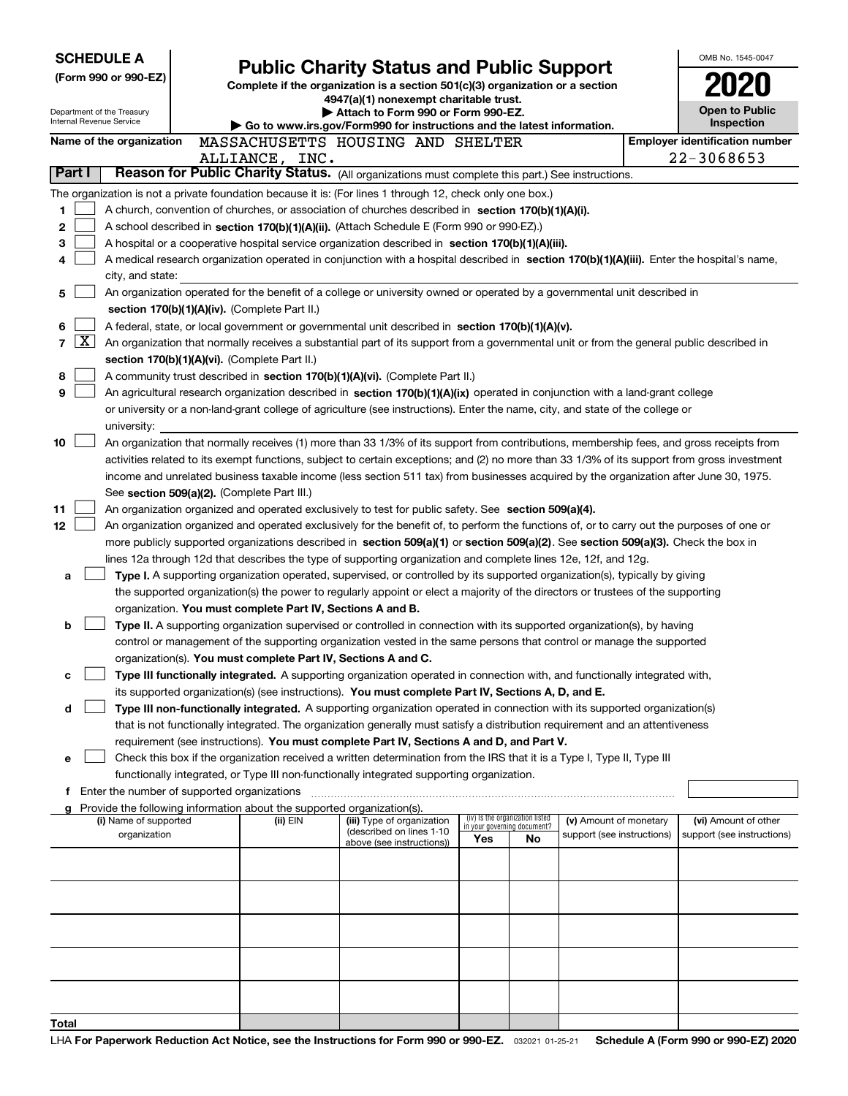| <b>SCHEDULE A</b> |                                                                                                                                              |  | <b>Public Charity Status and Public Support</b>                                    |                                                                                                                                                                                                                                                 |                                 |    |                            | OMB No. 1545-0047 |                                       |  |  |
|-------------------|----------------------------------------------------------------------------------------------------------------------------------------------|--|------------------------------------------------------------------------------------|-------------------------------------------------------------------------------------------------------------------------------------------------------------------------------------------------------------------------------------------------|---------------------------------|----|----------------------------|-------------------|---------------------------------------|--|--|
|                   | (Form 990 or 990-EZ)                                                                                                                         |  |                                                                                    | Complete if the organization is a section 501(c)(3) organization or a section                                                                                                                                                                   |                                 |    |                            |                   |                                       |  |  |
|                   |                                                                                                                                              |  |                                                                                    | 4947(a)(1) nonexempt charitable trust.                                                                                                                                                                                                          |                                 |    |                            |                   |                                       |  |  |
|                   | Department of the Treasury<br>Internal Revenue Service                                                                                       |  |                                                                                    | Attach to Form 990 or Form 990-EZ.                                                                                                                                                                                                              |                                 |    |                            |                   | <b>Open to Public</b>                 |  |  |
|                   |                                                                                                                                              |  |                                                                                    | Go to www.irs.gov/Form990 for instructions and the latest information.                                                                                                                                                                          |                                 |    |                            |                   | Inspection                            |  |  |
|                   | Name of the organization                                                                                                                     |  |                                                                                    | MASSACHUSETTS HOUSING AND SHELTER                                                                                                                                                                                                               |                                 |    |                            |                   | <b>Employer identification number</b> |  |  |
| Part I            |                                                                                                                                              |  | ALLIANCE, INC.                                                                     |                                                                                                                                                                                                                                                 |                                 |    |                            |                   | 22-3068653                            |  |  |
|                   |                                                                                                                                              |  |                                                                                    | Reason for Public Charity Status. (All organizations must complete this part.) See instructions.                                                                                                                                                |                                 |    |                            |                   |                                       |  |  |
|                   |                                                                                                                                              |  |                                                                                    | The organization is not a private foundation because it is: (For lines 1 through 12, check only one box.)                                                                                                                                       |                                 |    |                            |                   |                                       |  |  |
| 1                 |                                                                                                                                              |  |                                                                                    | A church, convention of churches, or association of churches described in section 170(b)(1)(A)(i).                                                                                                                                              |                                 |    |                            |                   |                                       |  |  |
| 2<br>з            |                                                                                                                                              |  |                                                                                    | A school described in section 170(b)(1)(A)(ii). (Attach Schedule E (Form 990 or 990-EZ).)                                                                                                                                                       |                                 |    |                            |                   |                                       |  |  |
| 4                 |                                                                                                                                              |  |                                                                                    | A hospital or a cooperative hospital service organization described in section 170(b)(1)(A)(iii).<br>A medical research organization operated in conjunction with a hospital described in section 170(b)(1)(A)(iii). Enter the hospital's name, |                                 |    |                            |                   |                                       |  |  |
|                   | city, and state:                                                                                                                             |  |                                                                                    |                                                                                                                                                                                                                                                 |                                 |    |                            |                   |                                       |  |  |
| 5                 |                                                                                                                                              |  |                                                                                    | An organization operated for the benefit of a college or university owned or operated by a governmental unit described in                                                                                                                       |                                 |    |                            |                   |                                       |  |  |
|                   |                                                                                                                                              |  | section 170(b)(1)(A)(iv). (Complete Part II.)                                      |                                                                                                                                                                                                                                                 |                                 |    |                            |                   |                                       |  |  |
| 6                 |                                                                                                                                              |  |                                                                                    | A federal, state, or local government or governmental unit described in section 170(b)(1)(A)(v).                                                                                                                                                |                                 |    |                            |                   |                                       |  |  |
| $\mathbf{X}$<br>7 |                                                                                                                                              |  |                                                                                    | An organization that normally receives a substantial part of its support from a governmental unit or from the general public described in                                                                                                       |                                 |    |                            |                   |                                       |  |  |
|                   |                                                                                                                                              |  | section 170(b)(1)(A)(vi). (Complete Part II.)                                      |                                                                                                                                                                                                                                                 |                                 |    |                            |                   |                                       |  |  |
| 8                 |                                                                                                                                              |  |                                                                                    | A community trust described in section 170(b)(1)(A)(vi). (Complete Part II.)                                                                                                                                                                    |                                 |    |                            |                   |                                       |  |  |
| 9                 |                                                                                                                                              |  |                                                                                    | An agricultural research organization described in section 170(b)(1)(A)(ix) operated in conjunction with a land-grant college                                                                                                                   |                                 |    |                            |                   |                                       |  |  |
|                   |                                                                                                                                              |  |                                                                                    | or university or a non-land-grant college of agriculture (see instructions). Enter the name, city, and state of the college or                                                                                                                  |                                 |    |                            |                   |                                       |  |  |
|                   | university:                                                                                                                                  |  |                                                                                    |                                                                                                                                                                                                                                                 |                                 |    |                            |                   |                                       |  |  |
| 10                |                                                                                                                                              |  |                                                                                    | An organization that normally receives (1) more than 33 1/3% of its support from contributions, membership fees, and gross receipts from                                                                                                        |                                 |    |                            |                   |                                       |  |  |
|                   | activities related to its exempt functions, subject to certain exceptions; and (2) no more than 33 1/3% of its support from gross investment |  |                                                                                    |                                                                                                                                                                                                                                                 |                                 |    |                            |                   |                                       |  |  |
|                   |                                                                                                                                              |  |                                                                                    | income and unrelated business taxable income (less section 511 tax) from businesses acquired by the organization after June 30, 1975.                                                                                                           |                                 |    |                            |                   |                                       |  |  |
|                   |                                                                                                                                              |  | See section 509(a)(2). (Complete Part III.)                                        |                                                                                                                                                                                                                                                 |                                 |    |                            |                   |                                       |  |  |
| 11                | An organization organized and operated exclusively to test for public safety. See section 509(a)(4).                                         |  |                                                                                    |                                                                                                                                                                                                                                                 |                                 |    |                            |                   |                                       |  |  |
| 12                |                                                                                                                                              |  |                                                                                    | An organization organized and operated exclusively for the benefit of, to perform the functions of, or to carry out the purposes of one or                                                                                                      |                                 |    |                            |                   |                                       |  |  |
|                   |                                                                                                                                              |  |                                                                                    | more publicly supported organizations described in section 509(a)(1) or section 509(a)(2). See section 509(a)(3). Check the box in                                                                                                              |                                 |    |                            |                   |                                       |  |  |
|                   |                                                                                                                                              |  |                                                                                    | lines 12a through 12d that describes the type of supporting organization and complete lines 12e, 12f, and 12g.<br>Type I. A supporting organization operated, supervised, or controlled by its supported organization(s), typically by giving   |                                 |    |                            |                   |                                       |  |  |
| а                 |                                                                                                                                              |  |                                                                                    | the supported organization(s) the power to regularly appoint or elect a majority of the directors or trustees of the supporting                                                                                                                 |                                 |    |                            |                   |                                       |  |  |
|                   |                                                                                                                                              |  | organization. You must complete Part IV, Sections A and B.                         |                                                                                                                                                                                                                                                 |                                 |    |                            |                   |                                       |  |  |
| b                 |                                                                                                                                              |  |                                                                                    | Type II. A supporting organization supervised or controlled in connection with its supported organization(s), by having                                                                                                                         |                                 |    |                            |                   |                                       |  |  |
|                   |                                                                                                                                              |  |                                                                                    | control or management of the supporting organization vested in the same persons that control or manage the supported                                                                                                                            |                                 |    |                            |                   |                                       |  |  |
|                   |                                                                                                                                              |  | organization(s). You must complete Part IV, Sections A and C.                      |                                                                                                                                                                                                                                                 |                                 |    |                            |                   |                                       |  |  |
| с                 |                                                                                                                                              |  |                                                                                    | Type III functionally integrated. A supporting organization operated in connection with, and functionally integrated with,                                                                                                                      |                                 |    |                            |                   |                                       |  |  |
|                   |                                                                                                                                              |  |                                                                                    | its supported organization(s) (see instructions). You must complete Part IV, Sections A, D, and E.                                                                                                                                              |                                 |    |                            |                   |                                       |  |  |
| d                 |                                                                                                                                              |  |                                                                                    | Type III non-functionally integrated. A supporting organization operated in connection with its supported organization(s)                                                                                                                       |                                 |    |                            |                   |                                       |  |  |
|                   |                                                                                                                                              |  |                                                                                    | that is not functionally integrated. The organization generally must satisfy a distribution requirement and an attentiveness                                                                                                                    |                                 |    |                            |                   |                                       |  |  |
|                   |                                                                                                                                              |  |                                                                                    | requirement (see instructions). You must complete Part IV, Sections A and D, and Part V.                                                                                                                                                        |                                 |    |                            |                   |                                       |  |  |
| е                 |                                                                                                                                              |  |                                                                                    | Check this box if the organization received a written determination from the IRS that it is a Type I, Type II, Type III                                                                                                                         |                                 |    |                            |                   |                                       |  |  |
|                   |                                                                                                                                              |  |                                                                                    | functionally integrated, or Type III non-functionally integrated supporting organization.                                                                                                                                                       |                                 |    |                            |                   |                                       |  |  |
| f                 | Enter the number of supported organizations                                                                                                  |  |                                                                                    |                                                                                                                                                                                                                                                 |                                 |    |                            |                   |                                       |  |  |
|                   | (i) Name of supported                                                                                                                        |  | Provide the following information about the supported organization(s).<br>(ii) EIN | (iii) Type of organization                                                                                                                                                                                                                      | (iv) Is the organization listed |    | (v) Amount of monetary     |                   | (vi) Amount of other                  |  |  |
|                   | organization                                                                                                                                 |  |                                                                                    | (described on lines 1-10                                                                                                                                                                                                                        | in your governing document?     |    | support (see instructions) |                   | support (see instructions)            |  |  |
|                   |                                                                                                                                              |  |                                                                                    | above (see instructions))                                                                                                                                                                                                                       | Yes                             | No |                            |                   |                                       |  |  |
|                   |                                                                                                                                              |  |                                                                                    |                                                                                                                                                                                                                                                 |                                 |    |                            |                   |                                       |  |  |
|                   |                                                                                                                                              |  |                                                                                    |                                                                                                                                                                                                                                                 |                                 |    |                            |                   |                                       |  |  |
|                   |                                                                                                                                              |  |                                                                                    |                                                                                                                                                                                                                                                 |                                 |    |                            |                   |                                       |  |  |
|                   |                                                                                                                                              |  |                                                                                    |                                                                                                                                                                                                                                                 |                                 |    |                            |                   |                                       |  |  |
|                   |                                                                                                                                              |  |                                                                                    |                                                                                                                                                                                                                                                 |                                 |    |                            |                   |                                       |  |  |
|                   |                                                                                                                                              |  |                                                                                    |                                                                                                                                                                                                                                                 |                                 |    |                            |                   |                                       |  |  |
|                   |                                                                                                                                              |  |                                                                                    |                                                                                                                                                                                                                                                 |                                 |    |                            |                   |                                       |  |  |
|                   |                                                                                                                                              |  |                                                                                    |                                                                                                                                                                                                                                                 |                                 |    |                            |                   |                                       |  |  |
|                   |                                                                                                                                              |  |                                                                                    |                                                                                                                                                                                                                                                 |                                 |    |                            |                   |                                       |  |  |
| Total             |                                                                                                                                              |  |                                                                                    |                                                                                                                                                                                                                                                 |                                 |    |                            |                   |                                       |  |  |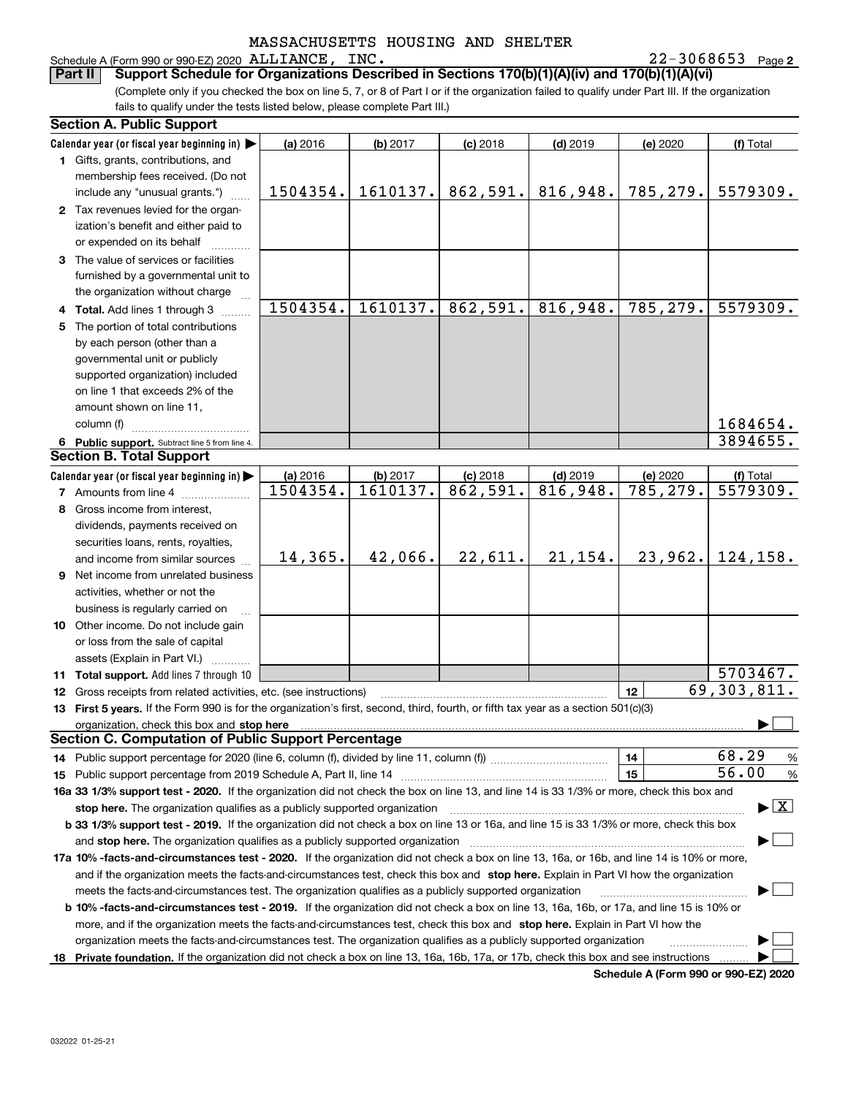# Schedule A (Form 990 or 990-EZ) 2020 ALLIANCE, INC.<br>**Part II** Support Schedule for Organizations Desc

**2** ALLIANCE, INC. 22-3068653

(Complete only if you checked the box on line 5, 7, or 8 of Part I or if the organization failed to qualify under Part III. If the organization fails to qualify under the tests listed below, please complete Part III.) **Bupport Schedule for Organizations Described in Sections 170(b)(1)(A)(iv) and 170(b)(1)(A)(vi)** 

| <b>Section A. Public Support</b>                                                                                                               |          |          |            |            |                        |                                          |
|------------------------------------------------------------------------------------------------------------------------------------------------|----------|----------|------------|------------|------------------------|------------------------------------------|
| Calendar year (or fiscal year beginning in) $\blacktriangleright$                                                                              | (a) 2016 | (b) 2017 | $(c)$ 2018 | $(d)$ 2019 | (e) 2020               | (f) Total                                |
| 1 Gifts, grants, contributions, and                                                                                                            |          |          |            |            |                        |                                          |
| membership fees received. (Do not                                                                                                              |          |          |            |            |                        |                                          |
| include any "unusual grants.")                                                                                                                 | 1504354. | 1610137. | 862,591.   | 816,948.   | 785,279.               | 5579309.                                 |
| 2 Tax revenues levied for the organ-                                                                                                           |          |          |            |            |                        |                                          |
| ization's benefit and either paid to                                                                                                           |          |          |            |            |                        |                                          |
| or expended on its behalf                                                                                                                      |          |          |            |            |                        |                                          |
| 3 The value of services or facilities                                                                                                          |          |          |            |            |                        |                                          |
| furnished by a governmental unit to                                                                                                            |          |          |            |            |                        |                                          |
| the organization without charge                                                                                                                |          |          |            |            |                        |                                          |
| 4 Total. Add lines 1 through 3                                                                                                                 | 1504354. | 1610137. | 862,591.   | 816,948.   | 785,279.               | 5579309.                                 |
| 5 The portion of total contributions                                                                                                           |          |          |            |            |                        |                                          |
| by each person (other than a                                                                                                                   |          |          |            |            |                        |                                          |
| governmental unit or publicly                                                                                                                  |          |          |            |            |                        |                                          |
| supported organization) included                                                                                                               |          |          |            |            |                        |                                          |
| on line 1 that exceeds 2% of the                                                                                                               |          |          |            |            |                        |                                          |
| amount shown on line 11,                                                                                                                       |          |          |            |            |                        |                                          |
| column (f)                                                                                                                                     |          |          |            |            |                        | 1684654.                                 |
| 6 Public support. Subtract line 5 from line 4.                                                                                                 |          |          |            |            |                        | 3894655.                                 |
| <b>Section B. Total Support</b>                                                                                                                |          |          |            |            |                        |                                          |
| Calendar year (or fiscal year beginning in)                                                                                                    | (a) 2016 | (b) 2017 | $(c)$ 2018 | $(d)$ 2019 | (e) 2020               | (f) Total                                |
| <b>7</b> Amounts from line 4                                                                                                                   | 1504354. | 1610137. | 862,591.   | 816,948.   | $\overline{785,}$ 279. | 5579309.                                 |
| 8 Gross income from interest,                                                                                                                  |          |          |            |            |                        |                                          |
| dividends, payments received on                                                                                                                |          |          |            |            |                        |                                          |
| securities loans, rents, royalties,                                                                                                            |          |          |            |            |                        |                                          |
| and income from similar sources                                                                                                                | 14,365.  | 42,066.  | 22,611.    | 21, 154.   | 23,962.                | 124, 158.                                |
| 9 Net income from unrelated business                                                                                                           |          |          |            |            |                        |                                          |
| activities, whether or not the                                                                                                                 |          |          |            |            |                        |                                          |
| business is regularly carried on                                                                                                               |          |          |            |            |                        |                                          |
| 10 Other income. Do not include gain                                                                                                           |          |          |            |            |                        |                                          |
| or loss from the sale of capital                                                                                                               |          |          |            |            |                        |                                          |
| assets (Explain in Part VI.) <b>Constant</b>                                                                                                   |          |          |            |            |                        |                                          |
| <b>11 Total support.</b> Add lines 7 through 10                                                                                                |          |          |            |            |                        | $\overline{5703467}$ .                   |
| <b>12</b> Gross receipts from related activities, etc. (see instructions)                                                                      |          |          |            |            | 12                     | 69, 303, 811.                            |
| 13 First 5 years. If the Form 990 is for the organization's first, second, third, fourth, or fifth tax year as a section 501(c)(3)             |          |          |            |            |                        |                                          |
| organization, check this box and stop here                                                                                                     |          |          |            |            |                        |                                          |
| <b>Section C. Computation of Public Support Percentage</b>                                                                                     |          |          |            |            |                        |                                          |
| 14 Public support percentage for 2020 (line 6, column (f), divided by line 11, column (f) <i>mummumumum</i>                                    |          |          |            |            | 14                     | 68.29<br>%                               |
|                                                                                                                                                |          |          |            |            | 15                     | 56.00<br>%                               |
| 16a 33 1/3% support test - 2020. If the organization did not check the box on line 13, and line 14 is 33 1/3% or more, check this box and      |          |          |            |            |                        |                                          |
| stop here. The organization qualifies as a publicly supported organization                                                                     |          |          |            |            |                        | $\blacktriangleright$ $\boxed{\text{X}}$ |
| b 33 1/3% support test - 2019. If the organization did not check a box on line 13 or 16a, and line 15 is 33 1/3% or more, check this box       |          |          |            |            |                        |                                          |
| and stop here. The organization qualifies as a publicly supported organization                                                                 |          |          |            |            |                        |                                          |
| 17a 10% -facts-and-circumstances test - 2020. If the organization did not check a box on line 13, 16a, or 16b, and line 14 is 10% or more,     |          |          |            |            |                        |                                          |
| and if the organization meets the facts-and-circumstances test, check this box and stop here. Explain in Part VI how the organization          |          |          |            |            |                        |                                          |
| meets the facts-and-circumstances test. The organization qualifies as a publicly supported organization                                        |          |          |            |            |                        |                                          |
| <b>b 10% -facts-and-circumstances test - 2019.</b> If the organization did not check a box on line 13, 16a, 16b, or 17a, and line 15 is 10% or |          |          |            |            |                        |                                          |
| more, and if the organization meets the facts-and-circumstances test, check this box and stop here. Explain in Part VI how the                 |          |          |            |            |                        |                                          |
| organization meets the facts-and-circumstances test. The organization qualifies as a publicly supported organization                           |          |          |            |            |                        |                                          |
| 18 Private foundation. If the organization did not check a box on line 13, 16a, 16b, 17a, or 17b, check this box and see instructions          |          |          |            |            |                        |                                          |
|                                                                                                                                                |          |          |            |            |                        |                                          |

**Schedule A (Form 990 or 990-EZ) 2020**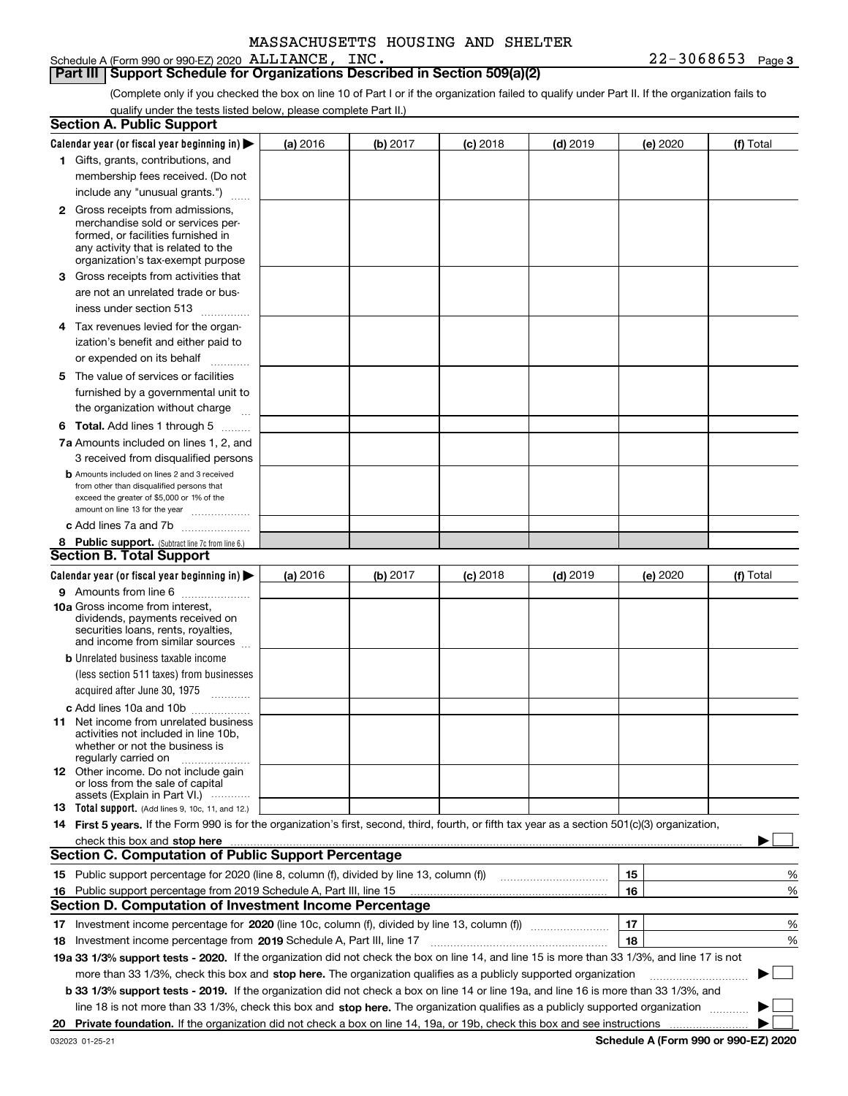Schedule A (Form 990 or 990-EZ) 2020 ALLIANCE, INC.

**Part III Support Schedule for Organizations Described in Section 509(a)(2)** 

(Complete only if you checked the box on line 10 of Part I or if the organization failed to qualify under Part II. If the organization fails to qualify under the tests listed below, please complete Part II.)

|    | <b>Section A. Public Support</b>                                                                                                                                                                                               |          |          |            |            |          |             |
|----|--------------------------------------------------------------------------------------------------------------------------------------------------------------------------------------------------------------------------------|----------|----------|------------|------------|----------|-------------|
|    | Calendar year (or fiscal year beginning in) $\blacktriangleright$                                                                                                                                                              | (a) 2016 | (b) 2017 | $(c)$ 2018 | $(d)$ 2019 | (e) 2020 | (f) Total   |
|    | 1 Gifts, grants, contributions, and                                                                                                                                                                                            |          |          |            |            |          |             |
|    | membership fees received. (Do not                                                                                                                                                                                              |          |          |            |            |          |             |
|    | include any "unusual grants.")                                                                                                                                                                                                 |          |          |            |            |          |             |
|    | <b>2</b> Gross receipts from admissions,                                                                                                                                                                                       |          |          |            |            |          |             |
|    | merchandise sold or services per-                                                                                                                                                                                              |          |          |            |            |          |             |
|    | formed, or facilities furnished in                                                                                                                                                                                             |          |          |            |            |          |             |
|    | any activity that is related to the<br>organization's tax-exempt purpose                                                                                                                                                       |          |          |            |            |          |             |
|    | 3 Gross receipts from activities that                                                                                                                                                                                          |          |          |            |            |          |             |
|    | are not an unrelated trade or bus-                                                                                                                                                                                             |          |          |            |            |          |             |
|    | iness under section 513                                                                                                                                                                                                        |          |          |            |            |          |             |
|    | 4 Tax revenues levied for the organ-                                                                                                                                                                                           |          |          |            |            |          |             |
|    | ization's benefit and either paid to                                                                                                                                                                                           |          |          |            |            |          |             |
|    | or expended on its behalf<br>.                                                                                                                                                                                                 |          |          |            |            |          |             |
|    | 5 The value of services or facilities                                                                                                                                                                                          |          |          |            |            |          |             |
|    | furnished by a governmental unit to                                                                                                                                                                                            |          |          |            |            |          |             |
|    | the organization without charge                                                                                                                                                                                                |          |          |            |            |          |             |
|    | <b>6 Total.</b> Add lines 1 through 5                                                                                                                                                                                          |          |          |            |            |          |             |
|    | 7a Amounts included on lines 1, 2, and                                                                                                                                                                                         |          |          |            |            |          |             |
|    | 3 received from disqualified persons                                                                                                                                                                                           |          |          |            |            |          |             |
|    | <b>b</b> Amounts included on lines 2 and 3 received                                                                                                                                                                            |          |          |            |            |          |             |
|    | from other than disqualified persons that                                                                                                                                                                                      |          |          |            |            |          |             |
|    | exceed the greater of \$5,000 or 1% of the<br>amount on line 13 for the year                                                                                                                                                   |          |          |            |            |          |             |
|    | c Add lines 7a and 7b                                                                                                                                                                                                          |          |          |            |            |          |             |
|    | 8 Public support. (Subtract line 7c from line 6.)                                                                                                                                                                              |          |          |            |            |          |             |
|    | <b>Section B. Total Support</b>                                                                                                                                                                                                |          |          |            |            |          |             |
|    | Calendar year (or fiscal year beginning in)                                                                                                                                                                                    | (a) 2016 | (b) 2017 | $(c)$ 2018 | $(d)$ 2019 | (e) 2020 | (f) Total   |
|    | 9 Amounts from line 6                                                                                                                                                                                                          |          |          |            |            |          |             |
|    | <b>10a</b> Gross income from interest,                                                                                                                                                                                         |          |          |            |            |          |             |
|    | dividends, payments received on                                                                                                                                                                                                |          |          |            |            |          |             |
|    | securities loans, rents, royalties,<br>and income from similar sources                                                                                                                                                         |          |          |            |            |          |             |
|    | <b>b</b> Unrelated business taxable income                                                                                                                                                                                     |          |          |            |            |          |             |
|    | (less section 511 taxes) from businesses                                                                                                                                                                                       |          |          |            |            |          |             |
|    | acquired after June 30, 1975 [10001]                                                                                                                                                                                           |          |          |            |            |          |             |
|    | c Add lines 10a and 10b                                                                                                                                                                                                        |          |          |            |            |          |             |
|    | 11 Net income from unrelated business                                                                                                                                                                                          |          |          |            |            |          |             |
|    | activities not included in line 10b,                                                                                                                                                                                           |          |          |            |            |          |             |
|    | whether or not the business is<br>regularly carried on                                                                                                                                                                         |          |          |            |            |          |             |
|    | <b>12</b> Other income. Do not include gain                                                                                                                                                                                    |          |          |            |            |          |             |
|    | or loss from the sale of capital                                                                                                                                                                                               |          |          |            |            |          |             |
|    | assets (Explain in Part VI.)<br><b>13</b> Total support. (Add lines 9, 10c, 11, and 12.)                                                                                                                                       |          |          |            |            |          |             |
|    | 14 First 5 years. If the Form 990 is for the organization's first, second, third, fourth, or fifth tax year as a section 501(c)(3) organization,                                                                               |          |          |            |            |          |             |
|    | check this box and stop here manufactured and control the state of the state of the state of the state of the state of the state of the state of the state of the state of the state of the state of the state of the state of |          |          |            |            |          |             |
|    | <b>Section C. Computation of Public Support Percentage</b>                                                                                                                                                                     |          |          |            |            |          |             |
|    | 15 Public support percentage for 2020 (line 8, column (f), divided by line 13, column (f))                                                                                                                                     |          |          |            |            | 15       | %           |
|    | 16 Public support percentage from 2019 Schedule A, Part III, line 15                                                                                                                                                           |          |          |            |            | 16       | %           |
|    | <b>Section D. Computation of Investment Income Percentage</b>                                                                                                                                                                  |          |          |            |            |          |             |
|    | 17 Investment income percentage for 2020 (line 10c, column (f), divided by line 13, column (f))                                                                                                                                |          |          |            |            | 17       | %           |
|    | <b>18</b> Investment income percentage from <b>2019</b> Schedule A, Part III, line 17                                                                                                                                          |          |          |            |            | 18       | %           |
|    | 19a 33 1/3% support tests - 2020. If the organization did not check the box on line 14, and line 15 is more than 33 1/3%, and line 17 is not                                                                                   |          |          |            |            |          |             |
|    | more than 33 1/3%, check this box and stop here. The organization qualifies as a publicly supported organization                                                                                                               |          |          |            |            |          | $\sim$<br>▶ |
|    | b 33 1/3% support tests - 2019. If the organization did not check a box on line 14 or line 19a, and line 16 is more than 33 1/3%, and                                                                                          |          |          |            |            |          |             |
|    | line 18 is not more than 33 1/3%, check this box and stop here. The organization qualifies as a publicly supported organization                                                                                                |          |          |            |            |          |             |
| 20 |                                                                                                                                                                                                                                |          |          |            |            |          |             |
|    |                                                                                                                                                                                                                                |          |          |            |            |          |             |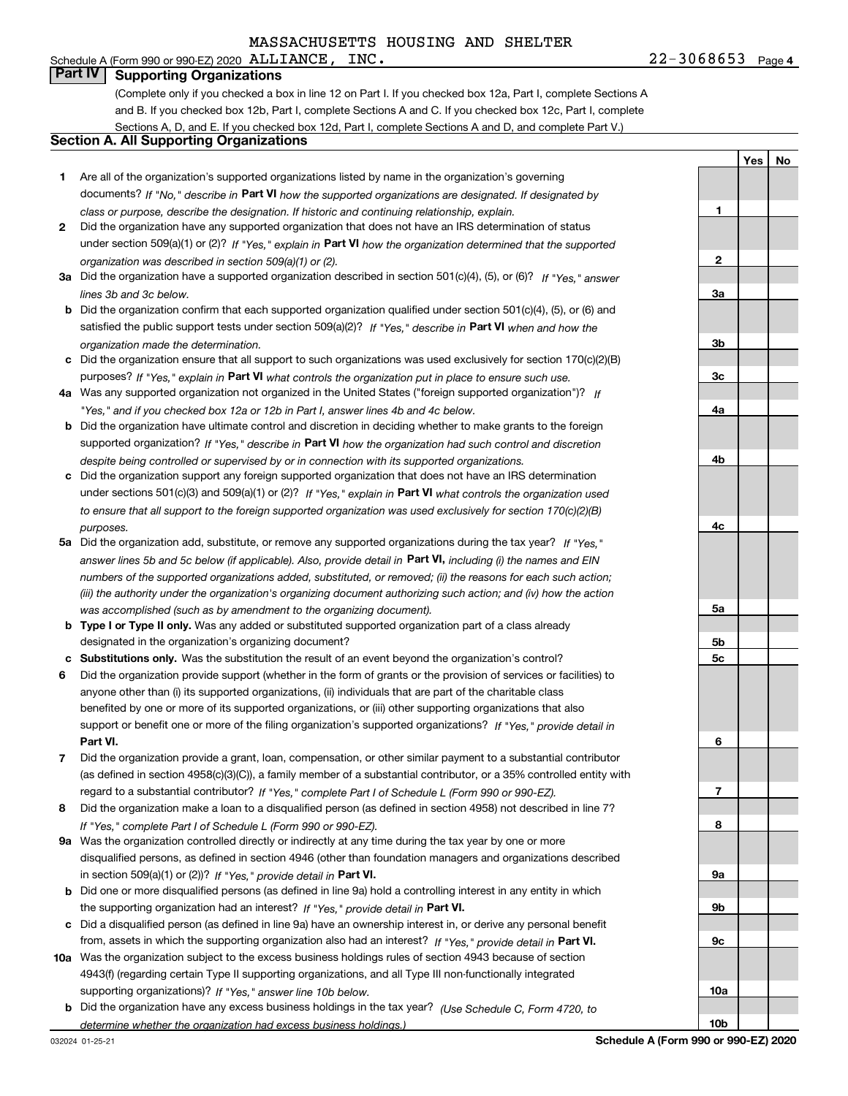## Schedule A (Form 990 or 990-EZ) 2020  $\,$  ALLIANCE, INC.

**Part IV Supporting Organizations**

(Complete only if you checked a box in line 12 on Part I. If you checked box 12a, Part I, complete Sections A and B. If you checked box 12b, Part I, complete Sections A and C. If you checked box 12c, Part I, complete Sections A, D, and E. If you checked box 12d, Part I, complete Sections A and D, and complete Part V.)

#### **Section A. All Supporting Organizations**

- **1** Are all of the organization's supported organizations listed by name in the organization's governing documents? If "No," describe in **Part VI** how the supported organizations are designated. If designated by *class or purpose, describe the designation. If historic and continuing relationship, explain.*
- **2** Did the organization have any supported organization that does not have an IRS determination of status under section 509(a)(1) or (2)? If "Yes," explain in Part VI how the organization determined that the supported *organization was described in section 509(a)(1) or (2).*
- **3a** Did the organization have a supported organization described in section 501(c)(4), (5), or (6)? If "Yes," answer *lines 3b and 3c below.*
- **b** Did the organization confirm that each supported organization qualified under section 501(c)(4), (5), or (6) and satisfied the public support tests under section 509(a)(2)? If "Yes," describe in **Part VI** when and how the *organization made the determination.*
- **c**Did the organization ensure that all support to such organizations was used exclusively for section 170(c)(2)(B) purposes? If "Yes," explain in **Part VI** what controls the organization put in place to ensure such use.
- **4a***If* Was any supported organization not organized in the United States ("foreign supported organization")? *"Yes," and if you checked box 12a or 12b in Part I, answer lines 4b and 4c below.*
- **b** Did the organization have ultimate control and discretion in deciding whether to make grants to the foreign supported organization? If "Yes," describe in **Part VI** how the organization had such control and discretion *despite being controlled or supervised by or in connection with its supported organizations.*
- **c** Did the organization support any foreign supported organization that does not have an IRS determination under sections 501(c)(3) and 509(a)(1) or (2)? If "Yes," explain in **Part VI** what controls the organization used *to ensure that all support to the foreign supported organization was used exclusively for section 170(c)(2)(B) purposes.*
- **5a***If "Yes,"* Did the organization add, substitute, or remove any supported organizations during the tax year? answer lines 5b and 5c below (if applicable). Also, provide detail in **Part VI,** including (i) the names and EIN *numbers of the supported organizations added, substituted, or removed; (ii) the reasons for each such action; (iii) the authority under the organization's organizing document authorizing such action; and (iv) how the action was accomplished (such as by amendment to the organizing document).*
- **b** Type I or Type II only. Was any added or substituted supported organization part of a class already designated in the organization's organizing document?
- **cSubstitutions only.**  Was the substitution the result of an event beyond the organization's control?
- **6** Did the organization provide support (whether in the form of grants or the provision of services or facilities) to **Part VI.** *If "Yes," provide detail in* support or benefit one or more of the filing organization's supported organizations? anyone other than (i) its supported organizations, (ii) individuals that are part of the charitable class benefited by one or more of its supported organizations, or (iii) other supporting organizations that also
- **7**Did the organization provide a grant, loan, compensation, or other similar payment to a substantial contributor *If "Yes," complete Part I of Schedule L (Form 990 or 990-EZ).* regard to a substantial contributor? (as defined in section 4958(c)(3)(C)), a family member of a substantial contributor, or a 35% controlled entity with
- **8** Did the organization make a loan to a disqualified person (as defined in section 4958) not described in line 7? *If "Yes," complete Part I of Schedule L (Form 990 or 990-EZ).*
- **9a** Was the organization controlled directly or indirectly at any time during the tax year by one or more in section 509(a)(1) or (2))? If "Yes," *provide detail in* <code>Part VI.</code> disqualified persons, as defined in section 4946 (other than foundation managers and organizations described
- **b** Did one or more disqualified persons (as defined in line 9a) hold a controlling interest in any entity in which the supporting organization had an interest? If "Yes," provide detail in P**art VI**.
- **c**Did a disqualified person (as defined in line 9a) have an ownership interest in, or derive any personal benefit from, assets in which the supporting organization also had an interest? If "Yes," provide detail in P**art VI.**
- **10a** Was the organization subject to the excess business holdings rules of section 4943 because of section supporting organizations)? If "Yes," answer line 10b below. 4943(f) (regarding certain Type II supporting organizations, and all Type III non-functionally integrated
- **b** Did the organization have any excess business holdings in the tax year? (Use Schedule C, Form 4720, to *determine whether the organization had excess business holdings.)*

**Yes**

**No**

**Schedule A (Form 990 or 990-EZ) 2020**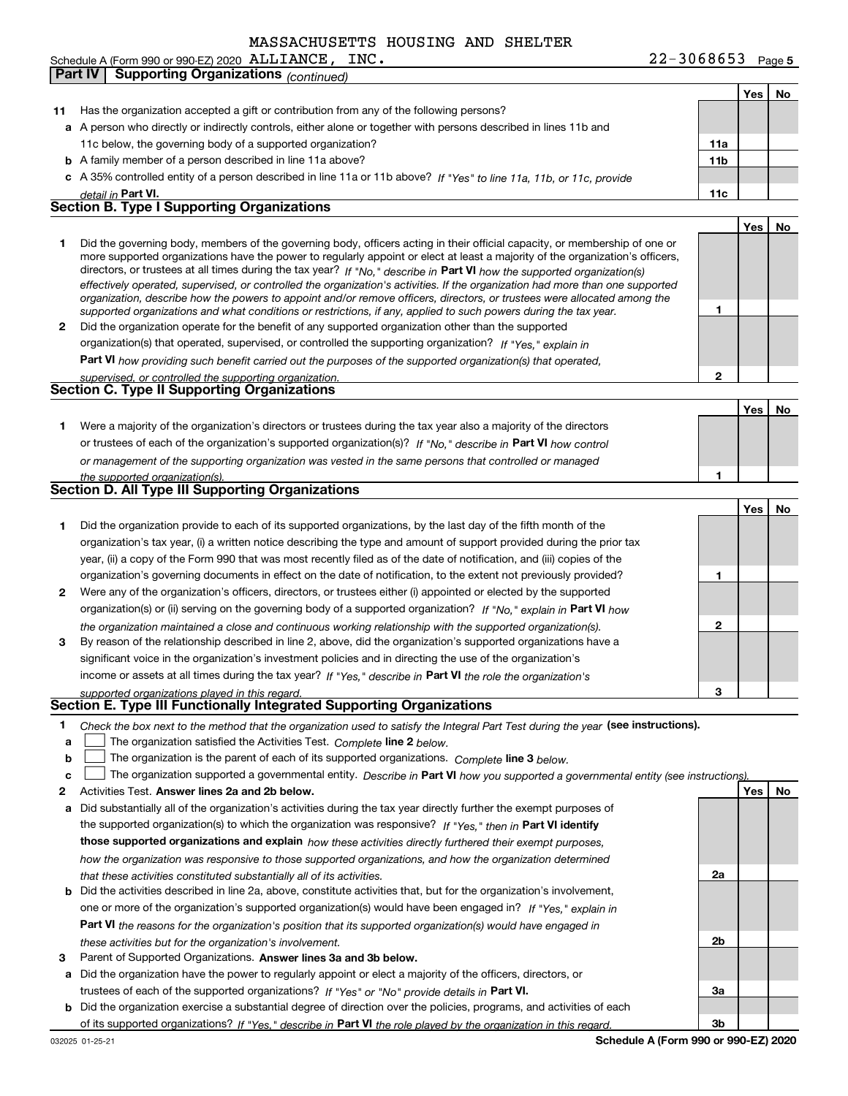| 11 | Has the organization accepted a gift or contribution from any of the following persons?                                                                                                                                                                                                                                                                                                                                                                                                                                  |                 |     |    |
|----|--------------------------------------------------------------------------------------------------------------------------------------------------------------------------------------------------------------------------------------------------------------------------------------------------------------------------------------------------------------------------------------------------------------------------------------------------------------------------------------------------------------------------|-----------------|-----|----|
|    | a A person who directly or indirectly controls, either alone or together with persons described in lines 11b and                                                                                                                                                                                                                                                                                                                                                                                                         |                 |     |    |
|    | 11c below, the governing body of a supported organization?                                                                                                                                                                                                                                                                                                                                                                                                                                                               | 11a             |     |    |
|    | <b>b</b> A family member of a person described in line 11a above?                                                                                                                                                                                                                                                                                                                                                                                                                                                        | 11 <sub>b</sub> |     |    |
|    | c A 35% controlled entity of a person described in line 11a or 11b above? If "Yes" to line 11a, 11b, or 11c, provide                                                                                                                                                                                                                                                                                                                                                                                                     |                 |     |    |
|    | detail in Part VI.                                                                                                                                                                                                                                                                                                                                                                                                                                                                                                       | 11c             |     |    |
|    | <b>Section B. Type I Supporting Organizations</b>                                                                                                                                                                                                                                                                                                                                                                                                                                                                        |                 |     |    |
|    |                                                                                                                                                                                                                                                                                                                                                                                                                                                                                                                          |                 | Yes | No |
| 1  | Did the governing body, members of the governing body, officers acting in their official capacity, or membership of one or<br>more supported organizations have the power to regularly appoint or elect at least a majority of the organization's officers,<br>directors, or trustees at all times during the tax year? If "No," describe in Part VI how the supported organization(s)<br>effectively operated, supervised, or controlled the organization's activities. If the organization had more than one supported |                 |     |    |
|    | organization, describe how the powers to appoint and/or remove officers, directors, or trustees were allocated among the<br>supported organizations and what conditions or restrictions, if any, applied to such powers during the tax year.                                                                                                                                                                                                                                                                             | 1               |     |    |
| 2  | Did the organization operate for the benefit of any supported organization other than the supported                                                                                                                                                                                                                                                                                                                                                                                                                      |                 |     |    |
|    | organization(s) that operated, supervised, or controlled the supporting organization? If "Yes," explain in                                                                                                                                                                                                                                                                                                                                                                                                               |                 |     |    |
|    | Part VI how providing such benefit carried out the purposes of the supported organization(s) that operated,                                                                                                                                                                                                                                                                                                                                                                                                              |                 |     |    |
|    | supervised, or controlled the supporting organization.<br>Section C. Type II Supporting Organizations                                                                                                                                                                                                                                                                                                                                                                                                                    | 2               |     |    |
|    |                                                                                                                                                                                                                                                                                                                                                                                                                                                                                                                          |                 |     |    |
|    |                                                                                                                                                                                                                                                                                                                                                                                                                                                                                                                          |                 | Yes | No |
| 1. | Were a majority of the organization's directors or trustees during the tax year also a majority of the directors                                                                                                                                                                                                                                                                                                                                                                                                         |                 |     |    |
|    | or trustees of each of the organization's supported organization(s)? If "No." describe in Part VI how control                                                                                                                                                                                                                                                                                                                                                                                                            |                 |     |    |
|    | or management of the supporting organization was vested in the same persons that controlled or managed                                                                                                                                                                                                                                                                                                                                                                                                                   |                 |     |    |
|    | the supported organization(s).<br>Section D. All Type III Supporting Organizations                                                                                                                                                                                                                                                                                                                                                                                                                                       |                 |     |    |
|    |                                                                                                                                                                                                                                                                                                                                                                                                                                                                                                                          |                 |     |    |
|    |                                                                                                                                                                                                                                                                                                                                                                                                                                                                                                                          |                 | Yes | No |
| 1  | Did the organization provide to each of its supported organizations, by the last day of the fifth month of the                                                                                                                                                                                                                                                                                                                                                                                                           |                 |     |    |
|    | organization's tax year, (i) a written notice describing the type and amount of support provided during the prior tax                                                                                                                                                                                                                                                                                                                                                                                                    |                 |     |    |
|    | year, (ii) a copy of the Form 990 that was most recently filed as of the date of notification, and (iii) copies of the                                                                                                                                                                                                                                                                                                                                                                                                   | 1               |     |    |
|    | organization's governing documents in effect on the date of notification, to the extent not previously provided?                                                                                                                                                                                                                                                                                                                                                                                                         |                 |     |    |
| 2  | Were any of the organization's officers, directors, or trustees either (i) appointed or elected by the supported                                                                                                                                                                                                                                                                                                                                                                                                         |                 |     |    |
|    | organization(s) or (ii) serving on the governing body of a supported organization? If "No," explain in Part VI how                                                                                                                                                                                                                                                                                                                                                                                                       | 2               |     |    |
| 3  | the organization maintained a close and continuous working relationship with the supported organization(s).<br>By reason of the relationship described in line 2, above, did the organization's supported organizations have a                                                                                                                                                                                                                                                                                           |                 |     |    |
|    | significant voice in the organization's investment policies and in directing the use of the organization's                                                                                                                                                                                                                                                                                                                                                                                                               |                 |     |    |
|    | income or assets at all times during the tax year? If "Yes," describe in Part VI the role the organization's                                                                                                                                                                                                                                                                                                                                                                                                             |                 |     |    |
|    | supported organizations played in this regard.                                                                                                                                                                                                                                                                                                                                                                                                                                                                           | 3               |     |    |
|    | Section E. Type III Functionally Integrated Supporting Organizations                                                                                                                                                                                                                                                                                                                                                                                                                                                     |                 |     |    |
| 1  | Check the box next to the method that the organization used to satisfy the Integral Part Test during the year <b>(see instructions).</b>                                                                                                                                                                                                                                                                                                                                                                                 |                 |     |    |
| a  | The organization satisfied the Activities Test. Complete line 2 below.                                                                                                                                                                                                                                                                                                                                                                                                                                                   |                 |     |    |
| b  | The organization is the parent of each of its supported organizations. Complete line 3 below.                                                                                                                                                                                                                                                                                                                                                                                                                            |                 |     |    |
| c  | The organization supported a governmental entity. Describe in Part VI how you supported a governmental entity (see instructions)                                                                                                                                                                                                                                                                                                                                                                                         |                 |     |    |
| 2  | Activities Test. Answer lines 2a and 2b below.                                                                                                                                                                                                                                                                                                                                                                                                                                                                           |                 | Yes | No |
| а  | Did substantially all of the organization's activities during the tax year directly further the exempt purposes of                                                                                                                                                                                                                                                                                                                                                                                                       |                 |     |    |
|    | the supported organization(s) to which the organization was responsive? If "Yes." then in Part VI identify                                                                                                                                                                                                                                                                                                                                                                                                               |                 |     |    |
|    | those supported organizations and explain how these activities directly furthered their exempt purposes,                                                                                                                                                                                                                                                                                                                                                                                                                 |                 |     |    |
|    | how the organization was responsive to those supported organizations, and how the organization determined                                                                                                                                                                                                                                                                                                                                                                                                                |                 |     |    |
|    | that these activities constituted substantially all of its activities.                                                                                                                                                                                                                                                                                                                                                                                                                                                   | 2a              |     |    |
| b  | Did the activities described in line 2a, above, constitute activities that, but for the organization's involvement,                                                                                                                                                                                                                                                                                                                                                                                                      |                 |     |    |
|    | one or more of the organization's supported organization(s) would have been engaged in? If "Yes," explain in                                                                                                                                                                                                                                                                                                                                                                                                             |                 |     |    |
|    | <b>Part VI</b> the reasons for the organization's position that its supported organization(s) would have engaged in                                                                                                                                                                                                                                                                                                                                                                                                      |                 |     |    |
|    | these activities but for the organization's involvement.                                                                                                                                                                                                                                                                                                                                                                                                                                                                 | 2b              |     |    |
| з  | Parent of Supported Organizations. Answer lines 3a and 3b below.                                                                                                                                                                                                                                                                                                                                                                                                                                                         |                 |     |    |
| а  | Did the organization have the power to regularly appoint or elect a majority of the officers, directors, or                                                                                                                                                                                                                                                                                                                                                                                                              |                 |     |    |
|    | trustees of each of the supported organizations? If "Yes" or "No" provide details in Part VI.                                                                                                                                                                                                                                                                                                                                                                                                                            | За              |     |    |
|    |                                                                                                                                                                                                                                                                                                                                                                                                                                                                                                                          |                 |     |    |

**b** Did the organization exercise a substantial degree of direction over the policies, programs, and activities of each of its supported organizations? If "Yes," describe in Part VI the role played by the organization in this regard.

**3b**

**Yes No**

| Schedule A (Form 990 or 990-EZ) 2020 ALLIANCE, INC. |  |
|-----------------------------------------------------|--|
| <b>Part IV Supporting Organizations (continued)</b> |  |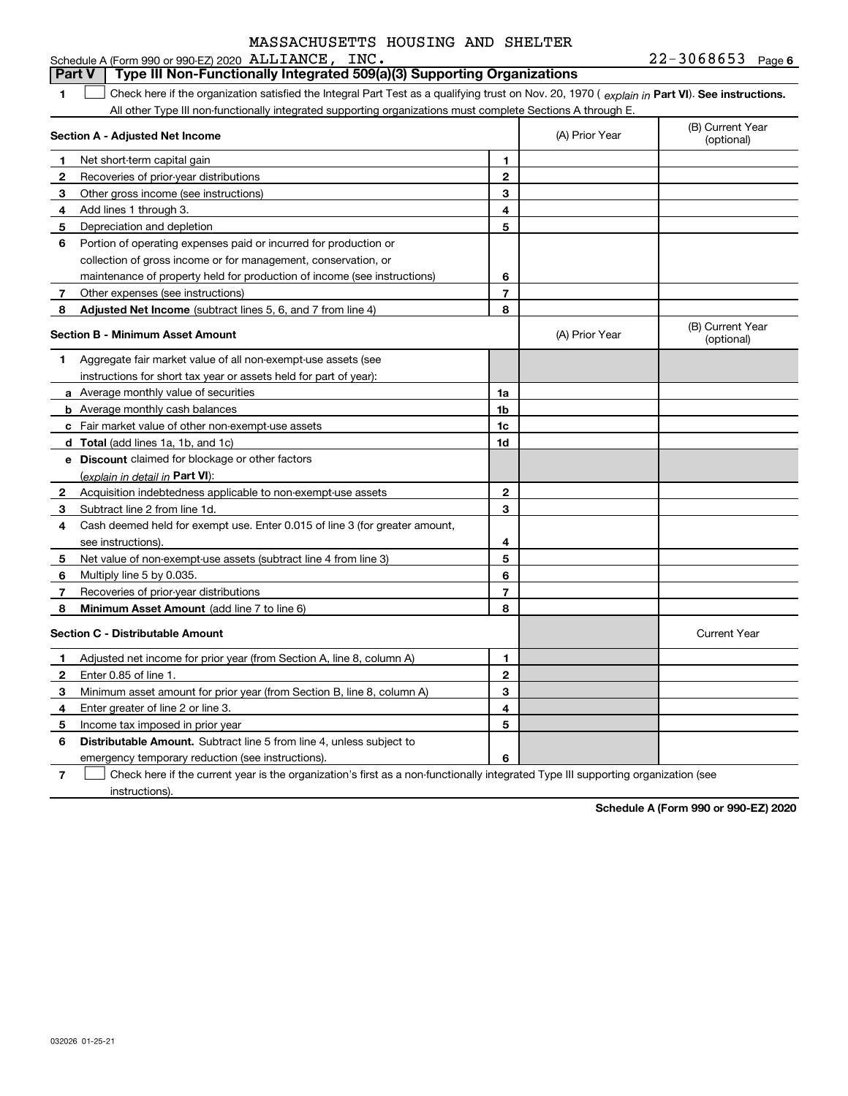#### **6**ALLIANCE, INC. 22-3068653 **1Part VI** Check here if the organization satisfied the Integral Part Test as a qualifying trust on Nov. 20, 1970 ( explain in Part **VI**). See instructions. **Section A - Adjusted Net Income 123** Other gross income (see instructions) **4**Add lines 1 through 3. **56** Portion of operating expenses paid or incurred for production or **7** Other expenses (see instructions) **8** Adjusted Net Income (subtract lines 5, 6, and 7 from line 4) **8 8 1234567Section B - Minimum Asset Amount 1**Aggregate fair market value of all non-exempt-use assets (see **2**Acquisition indebtedness applicable to non-exempt-use assets **3** Subtract line 2 from line 1d. **4**Cash deemed held for exempt use. Enter 0.015 of line 3 (for greater amount, **5** Net value of non-exempt-use assets (subtract line 4 from line 3) **678a** Average monthly value of securities **b** Average monthly cash balances **c**Fair market value of other non-exempt-use assets **dTotal**  (add lines 1a, 1b, and 1c) **eDiscount** claimed for blockage or other factors **1a1b1c1d2345678**(explain in detail in Part VI): **Minimum Asset Amount**  (add line 7 to line 6) **Section C - Distributable Amount 123456123456Distributable Amount.** Subtract line 5 from line 4, unless subject to Schedule A (Form 990 or 990-EZ) 2020 ALLIANCE, INC All other Type III non-functionally integrated supporting organizations must complete Sections A through E. (B) Current Year (optional)(A) Prior Year Net short-term capital gain Recoveries of prior-year distributions Depreciation and depletion collection of gross income or for management, conservation, or maintenance of property held for production of income (see instructions) (B) Current Year (optional)(A) Prior Year instructions for short tax year or assets held for part of year): see instructions). Multiply line 5 by 0.035. Recoveries of prior-year distributions Current Year Adjusted net income for prior year (from Section A, line 8, column A) Enter 0.85 of line 1. Minimum asset amount for prior year (from Section B, line 8, column A) Enter greater of line 2 or line 3. Income tax imposed in prior year emergency temporary reduction (see instructions). **Part V Type III Non-Functionally Integrated 509(a)(3) Supporting Organizations**   $\mathcal{L}^{\text{max}}$

**7**Check here if the current year is the organization's first as a non-functionally integrated Type III supporting organization (see instructions). $\mathcal{L}^{\text{max}}$ 

**Schedule A (Form 990 or 990-EZ) 2020**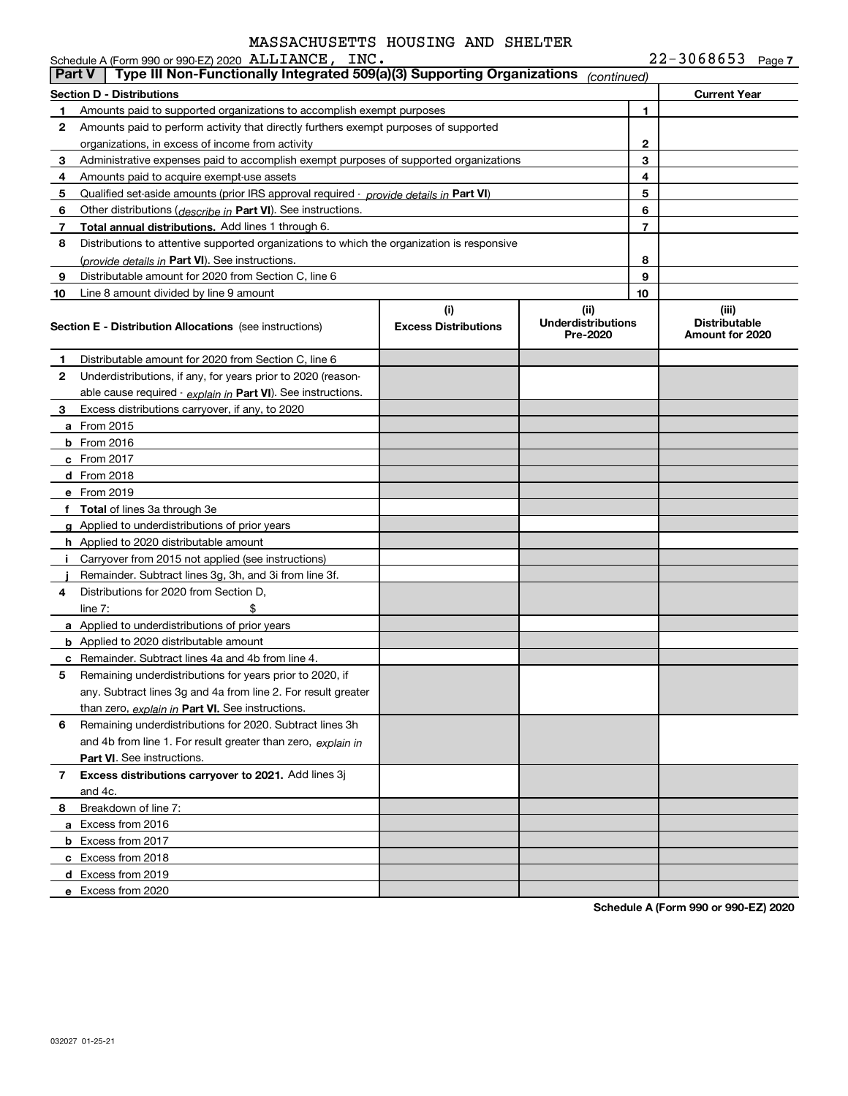| $22 - 3068653$<br>Page 7 |  |
|--------------------------|--|
|--------------------------|--|

|               | Schedule A (Form 990 or 990-EZ) 2020 ALLIANCE, INC.                                           |                                    |                                               |    | $22 - 3068653$ Page 7                            |
|---------------|-----------------------------------------------------------------------------------------------|------------------------------------|-----------------------------------------------|----|--------------------------------------------------|
| <b>Part V</b> | Type III Non-Functionally Integrated 509(a)(3) Supporting Organizations                       |                                    | (continued)                                   |    |                                                  |
|               | Section D - Distributions                                                                     |                                    |                                               |    | <b>Current Year</b>                              |
| 1             | Amounts paid to supported organizations to accomplish exempt purposes                         |                                    |                                               | 1  |                                                  |
| 2             | Amounts paid to perform activity that directly furthers exempt purposes of supported          |                                    |                                               |    |                                                  |
|               | organizations, in excess of income from activity                                              |                                    |                                               | 2  |                                                  |
| 3             | Administrative expenses paid to accomplish exempt purposes of supported organizations         |                                    |                                               | 3  |                                                  |
| 4             | Amounts paid to acquire exempt-use assets                                                     |                                    |                                               | 4  |                                                  |
| 5             | Qualified set-aside amounts (prior IRS approval required - <i>provide details in</i> Part VI) |                                    |                                               | 5  |                                                  |
| 6             | Other distributions ( <i>describe in</i> Part VI). See instructions.                          |                                    |                                               | 6  |                                                  |
| 7             | Total annual distributions. Add lines 1 through 6.                                            |                                    |                                               | 7  |                                                  |
| 8             | Distributions to attentive supported organizations to which the organization is responsive    |                                    |                                               |    |                                                  |
|               | (provide details in Part VI). See instructions.                                               |                                    |                                               | 8  |                                                  |
| 9             | Distributable amount for 2020 from Section C, line 6                                          |                                    |                                               | 9  |                                                  |
| 10            | Line 8 amount divided by line 9 amount                                                        |                                    |                                               | 10 |                                                  |
|               | <b>Section E - Distribution Allocations</b> (see instructions)                                | (i)<br><b>Excess Distributions</b> | (ii)<br><b>Underdistributions</b><br>Pre-2020 |    | (iii)<br><b>Distributable</b><br>Amount for 2020 |
| 1             | Distributable amount for 2020 from Section C, line 6                                          |                                    |                                               |    |                                                  |
| 2             | Underdistributions, if any, for years prior to 2020 (reason-                                  |                                    |                                               |    |                                                  |
|               | able cause required - explain in Part VI). See instructions.                                  |                                    |                                               |    |                                                  |
| 3             | Excess distributions carryover, if any, to 2020                                               |                                    |                                               |    |                                                  |
|               | <b>a</b> From 2015                                                                            |                                    |                                               |    |                                                  |
|               | $b$ From 2016                                                                                 |                                    |                                               |    |                                                  |
|               | c From 2017                                                                                   |                                    |                                               |    |                                                  |
|               | d From 2018                                                                                   |                                    |                                               |    |                                                  |
|               | e From 2019                                                                                   |                                    |                                               |    |                                                  |
|               | f Total of lines 3a through 3e                                                                |                                    |                                               |    |                                                  |
|               | g Applied to underdistributions of prior years                                                |                                    |                                               |    |                                                  |
|               | <b>h</b> Applied to 2020 distributable amount                                                 |                                    |                                               |    |                                                  |
|               | i Carryover from 2015 not applied (see instructions)                                          |                                    |                                               |    |                                                  |
|               | Remainder. Subtract lines 3g, 3h, and 3i from line 3f.                                        |                                    |                                               |    |                                                  |
| 4             | Distributions for 2020 from Section D.                                                        |                                    |                                               |    |                                                  |
|               | \$<br>line $7:$                                                                               |                                    |                                               |    |                                                  |
|               | a Applied to underdistributions of prior years                                                |                                    |                                               |    |                                                  |
|               | <b>b</b> Applied to 2020 distributable amount                                                 |                                    |                                               |    |                                                  |
|               | <b>c</b> Remainder. Subtract lines 4a and 4b from line 4.                                     |                                    |                                               |    |                                                  |
|               | Remaining underdistributions for years prior to 2020, if                                      |                                    |                                               |    |                                                  |
|               | any. Subtract lines 3g and 4a from line 2. For result greater                                 |                                    |                                               |    |                                                  |
|               | than zero, explain in Part VI. See instructions.                                              |                                    |                                               |    |                                                  |
| 6             | Remaining underdistributions for 2020. Subtract lines 3h                                      |                                    |                                               |    |                                                  |
|               | and 4b from line 1. For result greater than zero, explain in                                  |                                    |                                               |    |                                                  |
|               | <b>Part VI.</b> See instructions.                                                             |                                    |                                               |    |                                                  |
| 7             | Excess distributions carryover to 2021. Add lines 3j                                          |                                    |                                               |    |                                                  |
|               | and 4c.                                                                                       |                                    |                                               |    |                                                  |
| 8             | Breakdown of line 7:                                                                          |                                    |                                               |    |                                                  |
|               | a Excess from 2016                                                                            |                                    |                                               |    |                                                  |
|               | <b>b</b> Excess from 2017                                                                     |                                    |                                               |    |                                                  |
|               | c Excess from 2018                                                                            |                                    |                                               |    |                                                  |
|               | d Excess from 2019                                                                            |                                    |                                               |    |                                                  |
|               | e Excess from 2020                                                                            |                                    |                                               |    |                                                  |
|               |                                                                                               |                                    |                                               |    |                                                  |

**Schedule A (Form 990 or 990-EZ) 2020**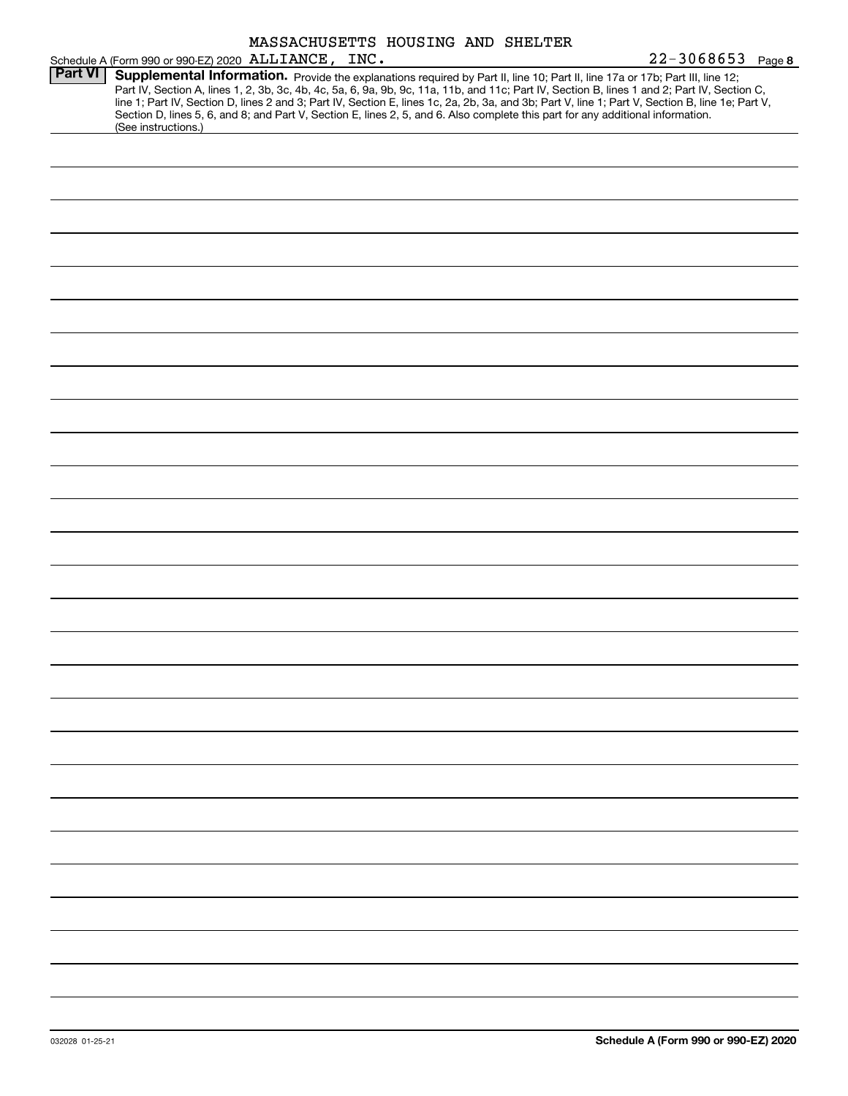|                | MASSACHUSETTS HOUSING AND SHELTER                                                                                                                |
|----------------|--------------------------------------------------------------------------------------------------------------------------------------------------|
|                | $22 - 3068653$ Page 8<br>Schedule A (Form 990 or 990-EZ) 2020 ALLIANCE, INC.                                                                     |
| <b>Part VI</b> | Supplemental Information. Provide the explanations required by Part II, line 10; Part II, line 17a or 17b; Part III, line 12;                    |
|                | Part IV, Section A, lines 1, 2, 3b, 3c, 4b, 4c, 5a, 6, 9a, 9b, 9c, 11a, 11b, and 11c; Part IV, Section B, lines 1 and 2; Part IV, Section C,     |
|                | line 1; Part IV, Section D, lines 2 and 3; Part IV, Section E, lines 1c, 2a, 2b, 3a, and 3b; Part V, line 1; Part V, Section B, line 1e; Part V, |
|                | Section D, lines 5, 6, and 8; and Part V, Section E, lines 2, 5, and 6. Also complete this part for any additional information.                  |
|                | (See instructions.)                                                                                                                              |
|                |                                                                                                                                                  |
|                |                                                                                                                                                  |
|                |                                                                                                                                                  |
|                |                                                                                                                                                  |
|                |                                                                                                                                                  |
|                |                                                                                                                                                  |
|                |                                                                                                                                                  |
|                |                                                                                                                                                  |
|                |                                                                                                                                                  |
|                |                                                                                                                                                  |
|                |                                                                                                                                                  |
|                |                                                                                                                                                  |
|                |                                                                                                                                                  |
|                |                                                                                                                                                  |
|                |                                                                                                                                                  |
|                |                                                                                                                                                  |
|                |                                                                                                                                                  |
|                |                                                                                                                                                  |
|                |                                                                                                                                                  |
|                |                                                                                                                                                  |
|                |                                                                                                                                                  |
|                |                                                                                                                                                  |
|                |                                                                                                                                                  |
|                |                                                                                                                                                  |
|                |                                                                                                                                                  |
|                |                                                                                                                                                  |
|                |                                                                                                                                                  |
|                |                                                                                                                                                  |
|                |                                                                                                                                                  |
|                |                                                                                                                                                  |
|                |                                                                                                                                                  |
|                |                                                                                                                                                  |
|                |                                                                                                                                                  |
|                |                                                                                                                                                  |
|                |                                                                                                                                                  |
|                |                                                                                                                                                  |
|                |                                                                                                                                                  |
|                |                                                                                                                                                  |
|                |                                                                                                                                                  |
|                |                                                                                                                                                  |
|                |                                                                                                                                                  |
|                |                                                                                                                                                  |
|                |                                                                                                                                                  |
|                |                                                                                                                                                  |
|                |                                                                                                                                                  |
|                |                                                                                                                                                  |
|                |                                                                                                                                                  |
|                |                                                                                                                                                  |
|                |                                                                                                                                                  |
|                |                                                                                                                                                  |
|                |                                                                                                                                                  |
|                |                                                                                                                                                  |
|                |                                                                                                                                                  |
|                |                                                                                                                                                  |
|                |                                                                                                                                                  |
|                |                                                                                                                                                  |
|                |                                                                                                                                                  |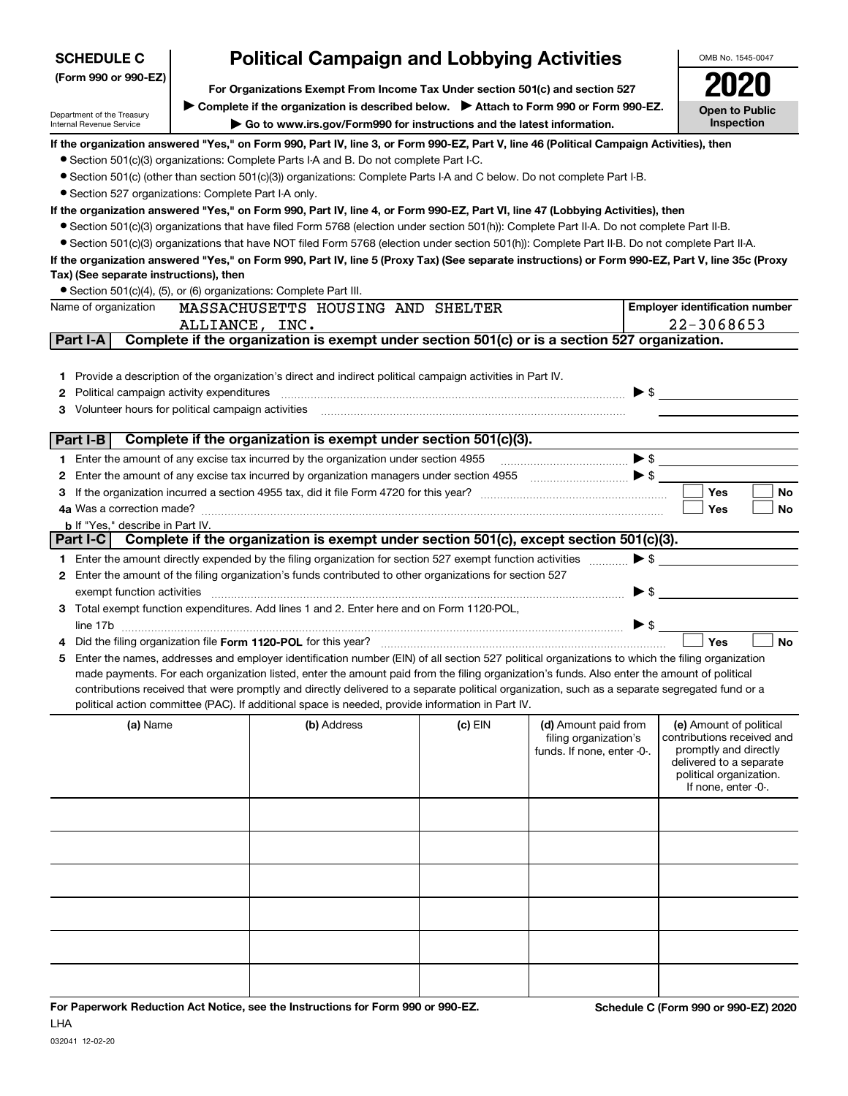| <b>SCHEDULE C</b>                                    | <b>Political Campaign and Lobbying Activities</b>                             |                                                                                                                                                                                                                                                                                                |           | OMB No. 1545-0047          |                          |                                                  |
|------------------------------------------------------|-------------------------------------------------------------------------------|------------------------------------------------------------------------------------------------------------------------------------------------------------------------------------------------------------------------------------------------------------------------------------------------|-----------|----------------------------|--------------------------|--------------------------------------------------|
| (Form 990 or 990-EZ)                                 | For Organizations Exempt From Income Tax Under section 501(c) and section 527 |                                                                                                                                                                                                                                                                                                |           |                            |                          | 2020                                             |
|                                                      |                                                                               |                                                                                                                                                                                                                                                                                                |           |                            |                          |                                                  |
| Department of the Treasury                           |                                                                               | ► Complete if the organization is described below. ► Attach to Form 990 or Form 990-EZ.                                                                                                                                                                                                        |           |                            |                          | <b>Open to Public</b><br>Inspection              |
| Internal Revenue Service                             |                                                                               | Go to www.irs.gov/Form990 for instructions and the latest information.                                                                                                                                                                                                                         |           |                            |                          |                                                  |
|                                                      |                                                                               | If the organization answered "Yes," on Form 990, Part IV, line 3, or Form 990-EZ, Part V, line 46 (Political Campaign Activities), then                                                                                                                                                        |           |                            |                          |                                                  |
|                                                      |                                                                               | • Section 501(c)(3) organizations: Complete Parts I-A and B. Do not complete Part I-C.                                                                                                                                                                                                         |           |                            |                          |                                                  |
|                                                      |                                                                               | • Section 501(c) (other than section 501(c)(3)) organizations: Complete Parts I-A and C below. Do not complete Part I-B.                                                                                                                                                                       |           |                            |                          |                                                  |
| • Section 527 organizations: Complete Part I-A only. |                                                                               | If the organization answered "Yes," on Form 990, Part IV, line 4, or Form 990-EZ, Part VI, line 47 (Lobbying Activities), then                                                                                                                                                                 |           |                            |                          |                                                  |
|                                                      |                                                                               | • Section 501(c)(3) organizations that have filed Form 5768 (election under section 501(h)): Complete Part II-A. Do not complete Part II-B.                                                                                                                                                    |           |                            |                          |                                                  |
|                                                      |                                                                               | • Section 501(c)(3) organizations that have NOT filed Form 5768 (election under section 501(h)): Complete Part II-B. Do not complete Part II-A.                                                                                                                                                |           |                            |                          |                                                  |
|                                                      |                                                                               | If the organization answered "Yes," on Form 990, Part IV, line 5 (Proxy Tax) (See separate instructions) or Form 990-EZ, Part V, line 35c (Proxy                                                                                                                                               |           |                            |                          |                                                  |
| Tax) (See separate instructions), then               |                                                                               |                                                                                                                                                                                                                                                                                                |           |                            |                          |                                                  |
|                                                      |                                                                               | • Section 501(c)(4), (5), or (6) organizations: Complete Part III.                                                                                                                                                                                                                             |           |                            |                          |                                                  |
| Name of organization                                 |                                                                               | MASSACHUSETTS HOUSING AND SHELTER                                                                                                                                                                                                                                                              |           |                            |                          | <b>Employer identification number</b>            |
|                                                      | ALLIANCE, INC.                                                                |                                                                                                                                                                                                                                                                                                |           |                            |                          | 22-3068653                                       |
| Part I-A                                             |                                                                               | Complete if the organization is exempt under section 501(c) or is a section 527 organization.                                                                                                                                                                                                  |           |                            |                          |                                                  |
|                                                      |                                                                               |                                                                                                                                                                                                                                                                                                |           |                            |                          |                                                  |
| 1.                                                   |                                                                               | Provide a description of the organization's direct and indirect political campaign activities in Part IV.                                                                                                                                                                                      |           |                            |                          |                                                  |
| Political campaign activity expenditures<br>2        |                                                                               |                                                                                                                                                                                                                                                                                                |           |                            |                          |                                                  |
| 3.                                                   |                                                                               |                                                                                                                                                                                                                                                                                                |           |                            |                          |                                                  |
| Part I-B                                             |                                                                               | Complete if the organization is exempt under section 501(c)(3).                                                                                                                                                                                                                                |           |                            |                          |                                                  |
| 1.                                                   |                                                                               |                                                                                                                                                                                                                                                                                                |           |                            |                          |                                                  |
| 2                                                    |                                                                               | Enter the amount of any excise tax incurred by organization managers under section 4955 [100] [100] S [100] S                                                                                                                                                                                  |           |                            |                          |                                                  |
| З                                                    |                                                                               |                                                                                                                                                                                                                                                                                                |           |                            |                          | Yes<br>No                                        |
|                                                      |                                                                               |                                                                                                                                                                                                                                                                                                |           |                            |                          | Yes<br>No                                        |
| <b>b</b> If "Yes," describe in Part IV.              |                                                                               |                                                                                                                                                                                                                                                                                                |           |                            |                          |                                                  |
| Part I-C                                             |                                                                               | Complete if the organization is exempt under section 501(c), except section 501(c)(3).                                                                                                                                                                                                         |           |                            |                          |                                                  |
|                                                      |                                                                               | 1 Enter the amount directly expended by the filing organization for section 527 exempt function activities                                                                                                                                                                                     |           |                            |                          | $\blacktriangleright$ \$                         |
| 2                                                    |                                                                               | Enter the amount of the filing organization's funds contributed to other organizations for section 527                                                                                                                                                                                         |           |                            |                          |                                                  |
|                                                      |                                                                               | exempt function activities encourance and contact the contract of the contract of the contract of the contract of the contract of the contract of the contract of the contract of the contract of the contract of the contract                                                                 |           |                            | $\blacktriangleright$ \$ |                                                  |
| 3.                                                   |                                                                               | Total exempt function expenditures. Add lines 1 and 2. Enter here and on Form 1120-POL,                                                                                                                                                                                                        |           |                            |                          |                                                  |
|                                                      |                                                                               |                                                                                                                                                                                                                                                                                                |           |                            | $\blacktriangleright$ \$ |                                                  |
|                                                      |                                                                               |                                                                                                                                                                                                                                                                                                |           |                            |                          | Yes<br><b>No</b>                                 |
|                                                      |                                                                               | Enter the names, addresses and employer identification number (EIN) of all section 527 political organizations to which the filing organization<br>made payments. For each organization listed, enter the amount paid from the filing organization's funds. Also enter the amount of political |           |                            |                          |                                                  |
|                                                      |                                                                               | contributions received that were promptly and directly delivered to a separate political organization, such as a separate segregated fund or a                                                                                                                                                 |           |                            |                          |                                                  |
|                                                      |                                                                               | political action committee (PAC). If additional space is needed, provide information in Part IV.                                                                                                                                                                                               |           |                            |                          |                                                  |
| (a) Name                                             |                                                                               | (b) Address                                                                                                                                                                                                                                                                                    | $(c)$ EIN | (d) Amount paid from       |                          | (e) Amount of political                          |
|                                                      |                                                                               |                                                                                                                                                                                                                                                                                                |           | filing organization's      |                          | contributions received and                       |
|                                                      |                                                                               |                                                                                                                                                                                                                                                                                                |           | funds. If none, enter -0-. |                          | promptly and directly<br>delivered to a separate |
|                                                      |                                                                               |                                                                                                                                                                                                                                                                                                |           |                            |                          | political organization.                          |
|                                                      |                                                                               |                                                                                                                                                                                                                                                                                                |           |                            |                          | If none, enter -0-.                              |
|                                                      |                                                                               |                                                                                                                                                                                                                                                                                                |           |                            |                          |                                                  |
|                                                      |                                                                               |                                                                                                                                                                                                                                                                                                |           |                            |                          |                                                  |
|                                                      |                                                                               |                                                                                                                                                                                                                                                                                                |           |                            |                          |                                                  |
|                                                      |                                                                               |                                                                                                                                                                                                                                                                                                |           |                            |                          |                                                  |
|                                                      |                                                                               |                                                                                                                                                                                                                                                                                                |           |                            |                          |                                                  |
|                                                      |                                                                               |                                                                                                                                                                                                                                                                                                |           |                            |                          |                                                  |
|                                                      |                                                                               |                                                                                                                                                                                                                                                                                                |           |                            |                          |                                                  |
|                                                      |                                                                               |                                                                                                                                                                                                                                                                                                |           |                            |                          |                                                  |
|                                                      |                                                                               |                                                                                                                                                                                                                                                                                                |           |                            |                          |                                                  |
|                                                      |                                                                               |                                                                                                                                                                                                                                                                                                |           |                            |                          |                                                  |

 $\mathbf{r}$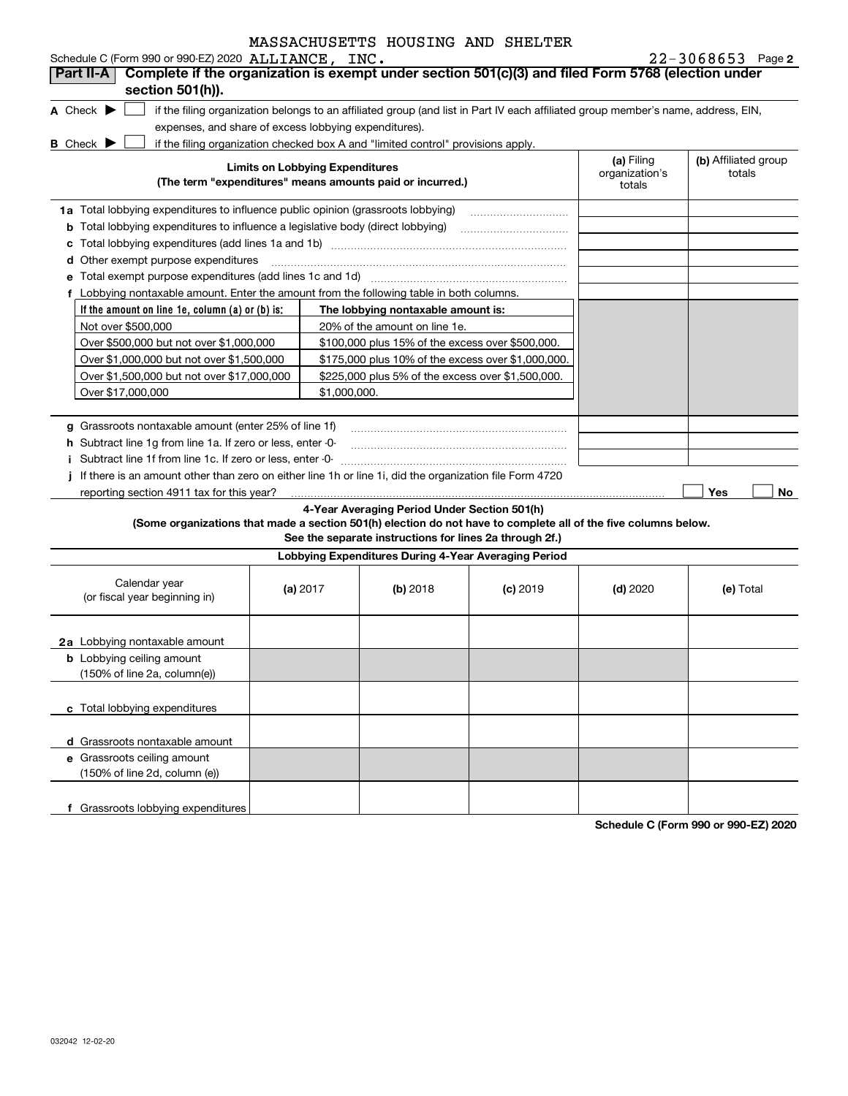| MASSACHUSETTS HOUSING AND SHELTER |  |  |
|-----------------------------------|--|--|
|                                   |  |  |

**If the amount on line 1e, column (a) or (b) is: 2** ALLIANCE, INC. 22-3068653 **A** Check  $\blacktriangleright$ **B** Check  $\blacktriangleright$ **Limits on Lobbying Expenditures (The term "expenditures" means amounts paid or incurred.) (a) (b)**  Filing **1a**Total lobbying expenditures to influence public opinion (grassroots lobbying) **b** Total lobbying expenditures to influence a legislative body (direct lobbying) **c**Total lobbying expenditures (add lines 1a and 1b) ~~~~~~~~~~~~~~~~~~~~~~~~**d**Other exempt purpose expenditures ~~~~~~~~~~~~~~~~~~~~~~~~~~~~~~**efThe lobbying nontaxable amount is: g**Grassroots nontaxable amount (enter 25% of line 1f) **h** Subtract line 1g from line 1a. If zero or less, enter -0**ij**If there is an amount other than zero on either line 1h or line 1i, did the organization file Form 4720 **Yes No 4-Year Averaging Period Under Section 501(h) (Some organizations that made a section 501(h) election do not have to complete all of the five columns below. See the separate instructions for lines 2a through 2f.) Lobbying Expenditures During 4-Year Averaging Period (a)** 2017 **(b)** 2018 (c) 2019 (d) 2020 (e) **2a**Lobbying nontaxable amount **b** Lobbying ceiling amount **c**Total lobbying expenditures **d** Grassroots nontaxable amount **e** Grassroots ceiling amount **f** Grassroots lobbying expenditures Schedule C (Form 990 or 990-EZ) 2020 ALLIANCE, INC if the filing organization belongs to an affiliated group (and list in Part IV each affiliated group member's name, address, EIN, expenses, and share of excess lobbying expenditures). if the filing organization checked box A and "limited control" provisions apply. organization's totals(b) Affiliated group totalsTotal exempt purpose expenditures (add lines 1c and 1d) Lobbying nontaxable amount. Enter the amount from the following table in both columns. Not over \$500,000 Over \$500,000 but not over \$1,000,000 Over \$1,000,000 but not over \$1,500,000 Over \$1,500,000 but not over \$17,000,000 Over \$17,000,000 20% of the amount on line 1e. \$100,000 plus 15% of the excess over \$500,000. \$175,000 plus 10% of the excess over \$1,000,000. \$225,000 plus 5% of the excess over \$1,500,000. \$1,000,000.Subtract line 1f from line 1c. If zero or less, enter -0- ~~~~~~~~~~~~~~~~~~~~~~~reporting section 4911 tax for this year? Calendar year (or fiscal year beginning in) (a) 2017 2018 2019 2020 Total (150% of line 2a, column(e)) (150% of line 2d, column (e)) **Part II-A Complete if the organization is exempt under section 501(c)(3) and filed Form 5768 (election under section 501(h)).**  $\mathcal{L}^{\text{max}}$ 

**Schedule C (Form 990 or 990-EZ) 2020**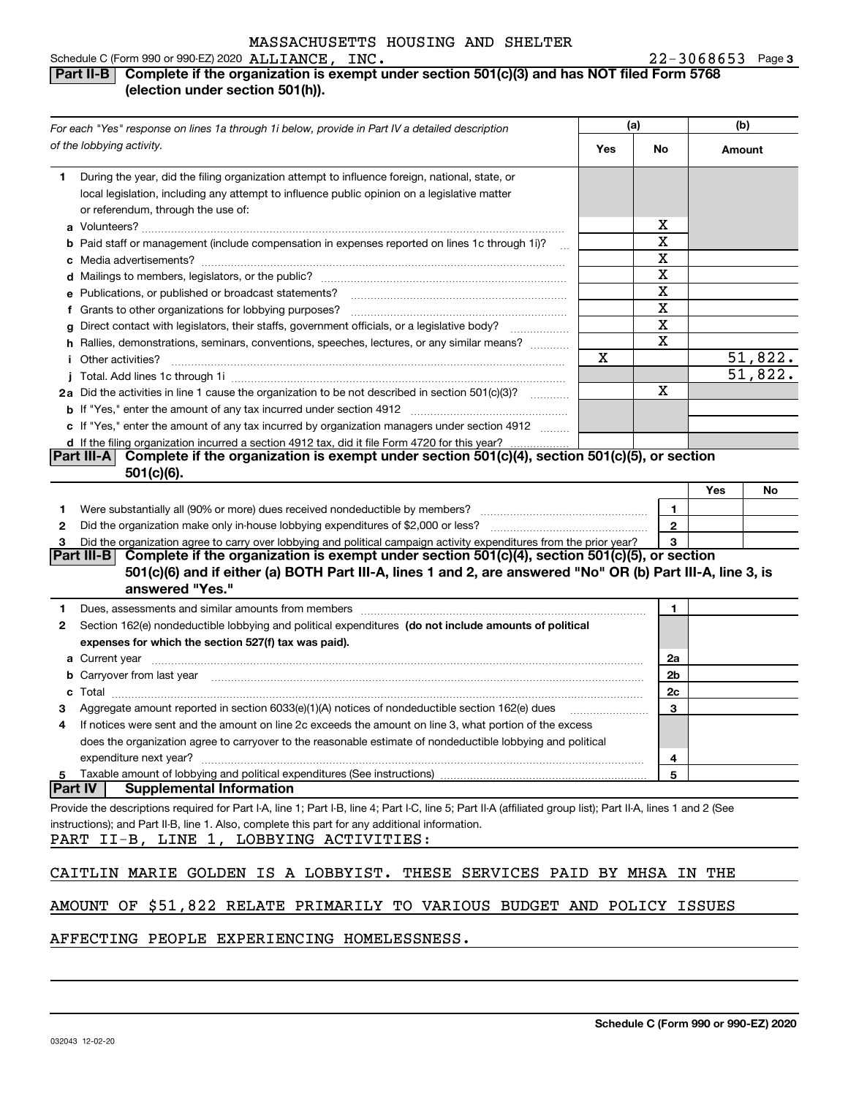#### Schedule C (Form 990 or 990-EZ) 2020 Page ALLIANCE, INC. 22-3068653

#### **3**

#### **Part II-B Complete if the organization is exempt under section 501(c)(3) and has NOT filed Form 5768 (election under section 501(h)).**

| For each "Yes" response on lines 1a through 1i below, provide in Part IV a detailed description                                                                                                                                     |     | (a)          | (b)    |         |
|-------------------------------------------------------------------------------------------------------------------------------------------------------------------------------------------------------------------------------------|-----|--------------|--------|---------|
| of the lobbying activity.                                                                                                                                                                                                           | Yes | No           | Amount |         |
| During the year, did the filing organization attempt to influence foreign, national, state, or<br>1                                                                                                                                 |     |              |        |         |
| local legislation, including any attempt to influence public opinion on a legislative matter                                                                                                                                        |     |              |        |         |
| or referendum, through the use of:                                                                                                                                                                                                  |     |              |        |         |
|                                                                                                                                                                                                                                     |     | x            |        |         |
| <b>b</b> Paid staff or management (include compensation in expenses reported on lines 1c through 1i)?<br>$\sim$                                                                                                                     |     | х            |        |         |
|                                                                                                                                                                                                                                     |     | X            |        |         |
|                                                                                                                                                                                                                                     |     | х            |        |         |
| e Publications, or published or broadcast statements?                                                                                                                                                                               |     | X            |        |         |
| f Grants to other organizations for lobbying purposes?                                                                                                                                                                              |     | х            |        |         |
| g Direct contact with legislators, their staffs, government officials, or a legislative body?                                                                                                                                       |     | X            |        |         |
| h Rallies, demonstrations, seminars, conventions, speeches, lectures, or any similar means?                                                                                                                                         |     | х            |        |         |
| Other activities?                                                                                                                                                                                                                   | х   |              |        | 51,822. |
|                                                                                                                                                                                                                                     |     |              |        | 51,822. |
| 2a Did the activities in line 1 cause the organization to be not described in section 501(c)(3)?                                                                                                                                    |     | х            |        |         |
|                                                                                                                                                                                                                                     |     |              |        |         |
| c If "Yes," enter the amount of any tax incurred by organization managers under section 4912                                                                                                                                        |     |              |        |         |
| d If the filing organization incurred a section 4912 tax, did it file Form 4720 for this year?                                                                                                                                      |     |              |        |         |
| Complete if the organization is exempt under section 501(c)(4), section 501(c)(5), or section<br> Part III-A                                                                                                                        |     |              |        |         |
| $501(c)(6)$ .                                                                                                                                                                                                                       |     |              |        |         |
|                                                                                                                                                                                                                                     |     |              | Yes    | No      |
| 1                                                                                                                                                                                                                                   |     | 1            |        |         |
| 2                                                                                                                                                                                                                                   |     | $\mathbf{2}$ |        |         |
| Did the organization agree to carry over lobbying and political campaign activity expenditures from the prior year?                                                                                                                 |     | 3            |        |         |
| Part III-B<br>Complete if the organization is exempt under section 501(c)(4), section 501(c)(5), or section                                                                                                                         |     |              |        |         |
| 501(c)(6) and if either (a) BOTH Part III-A, lines 1 and 2, are answered "No" OR (b) Part III-A, line 3, is<br>answered "Yes."                                                                                                      |     |              |        |         |
| Dues, assessments and similar amounts from members [11] matter contracts and similar amounts from members [11] matter and similar amounts from members [11] matter and similar amounts from members [11] matter and similar am<br>1 |     | 1            |        |         |
| Section 162(e) nondeductible lobbying and political expenditures (do not include amounts of political<br>2                                                                                                                          |     |              |        |         |
| expenses for which the section 527(f) tax was paid).                                                                                                                                                                                |     |              |        |         |
| <b>a</b> Current year                                                                                                                                                                                                               |     | 2a           |        |         |
| <b>b</b> Carryover from last year manufactured and contain the contract of the contract of the contract of the contract of the contract of the contract of the contract of the contract of the contract of the contract of the cont |     | 2b           |        |         |
| c                                                                                                                                                                                                                                   |     | 2c           |        |         |
| Aggregate amount reported in section 6033(e)(1)(A) notices of nondeductible section 162(e) dues<br>з                                                                                                                                |     | 3            |        |         |
| If notices were sent and the amount on line 2c exceeds the amount on line 3, what portion of the excess<br>4                                                                                                                        |     |              |        |         |
| does the organization agree to carryover to the reasonable estimate of nondeductible lobbying and political                                                                                                                         |     |              |        |         |
| expenditure next year?                                                                                                                                                                                                              |     | 4            |        |         |
| Taxable amount of lobbying and political expenditures (See instructions)<br>5                                                                                                                                                       |     | 5            |        |         |
| <b>Part IV</b><br><b>Supplemental Information</b>                                                                                                                                                                                   |     |              |        |         |
| Provide the descriptions required for Part I-A, line 1; Part I-B, line 4; Part I-C, line 5; Part II-A (affiliated group list); Part II-A, lines 1 and 2 (See                                                                        |     |              |        |         |
| instructions); and Part II-B, line 1. Also, complete this part for any additional information.<br>PART II-B, LINE 1, LOBBYING ACTIVITIES:                                                                                           |     |              |        |         |
| CAITLIN MARIE GOLDEN IS A LOBBYIST. THESE SERVICES PAID BY MHSA IN THE                                                                                                                                                              |     |              |        |         |
| AMOUNT OF \$51,822 RELATE PRIMARILY TO VARIOUS BUDGET AND POLICY ISSUES                                                                                                                                                             |     |              |        |         |

#### AFFECTING PEOPLE EXPERIENCING HOMELESSNESS.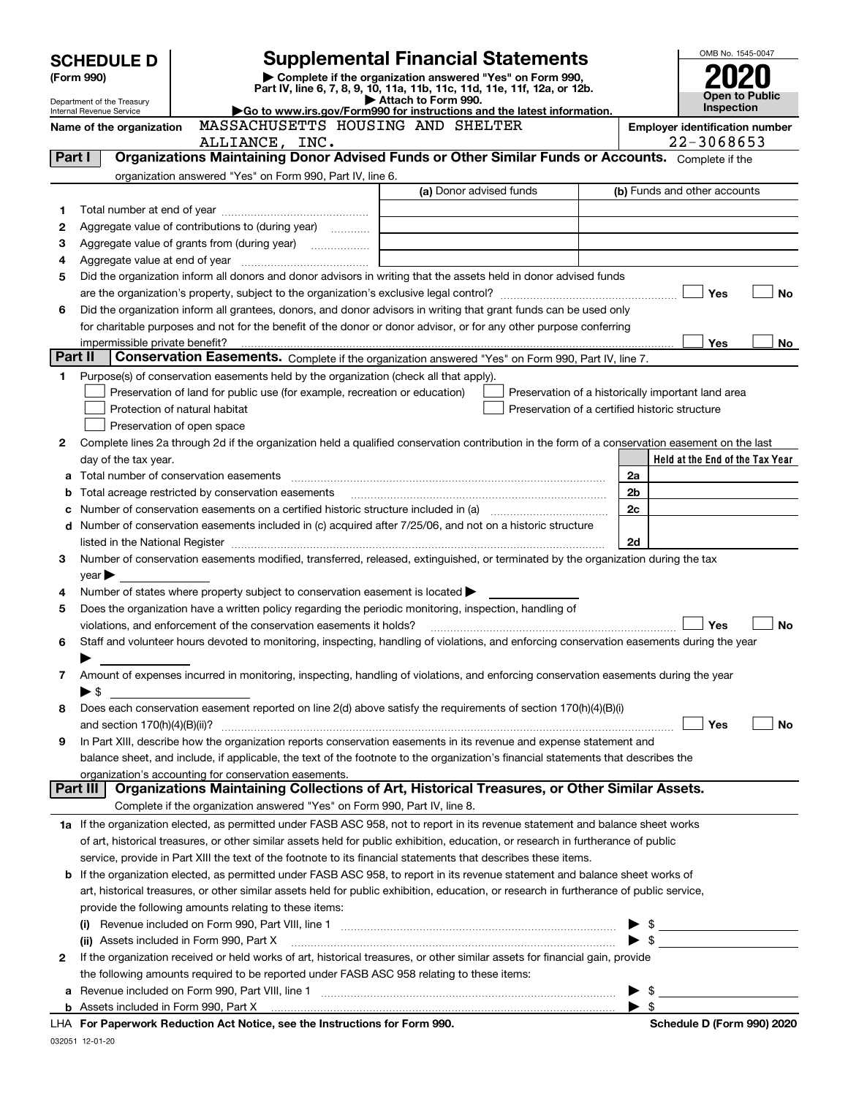| <b>Supplemental Financial Statements</b><br><b>SCHEDULE D</b> |                                |                                                                                                        |                                                                                                                                                                                                                                | OMB No. 1545-0047 |                         |                                       |    |
|---------------------------------------------------------------|--------------------------------|--------------------------------------------------------------------------------------------------------|--------------------------------------------------------------------------------------------------------------------------------------------------------------------------------------------------------------------------------|-------------------|-------------------------|---------------------------------------|----|
|                                                               | (Form 990)                     |                                                                                                        | Complete if the organization answered "Yes" on Form 990,<br>Part IV, line 6, 7, 8, 9, 10, 11a, 11b, 11c, 11d, 11e, 11f, 12a, or 12b.                                                                                           |                   |                         |                                       |    |
|                                                               | Department of the Treasury     |                                                                                                        | Attach to Form 990.                                                                                                                                                                                                            |                   |                         | Open to Public<br><b>Inspection</b>   |    |
|                                                               | Internal Revenue Service       | MASSACHUSETTS HOUSING AND SHELTER                                                                      | Go to www.irs.gov/Form990 for instructions and the latest information.                                                                                                                                                         |                   |                         | <b>Employer identification number</b> |    |
|                                                               | Name of the organization       | ALLIANCE, INC.                                                                                         |                                                                                                                                                                                                                                |                   |                         | 22-3068653                            |    |
| Part I                                                        |                                |                                                                                                        | Organizations Maintaining Donor Advised Funds or Other Similar Funds or Accounts. Complete if the                                                                                                                              |                   |                         |                                       |    |
|                                                               |                                | organization answered "Yes" on Form 990, Part IV, line 6.                                              |                                                                                                                                                                                                                                |                   |                         |                                       |    |
|                                                               |                                |                                                                                                        | (a) Donor advised funds                                                                                                                                                                                                        |                   |                         | (b) Funds and other accounts          |    |
| 1                                                             |                                |                                                                                                        |                                                                                                                                                                                                                                |                   |                         |                                       |    |
| 2                                                             |                                | Aggregate value of contributions to (during year)                                                      |                                                                                                                                                                                                                                |                   |                         |                                       |    |
| З                                                             |                                |                                                                                                        |                                                                                                                                                                                                                                |                   |                         |                                       |    |
| 4                                                             |                                |                                                                                                        |                                                                                                                                                                                                                                |                   |                         |                                       |    |
| 5                                                             |                                |                                                                                                        | Did the organization inform all donors and donor advisors in writing that the assets held in donor advised funds                                                                                                               |                   |                         |                                       |    |
|                                                               |                                |                                                                                                        |                                                                                                                                                                                                                                |                   |                         | Yes                                   | No |
| 6                                                             |                                |                                                                                                        | Did the organization inform all grantees, donors, and donor advisors in writing that grant funds can be used only                                                                                                              |                   |                         |                                       |    |
|                                                               |                                |                                                                                                        | for charitable purposes and not for the benefit of the donor or donor advisor, or for any other purpose conferring                                                                                                             |                   |                         |                                       |    |
|                                                               | impermissible private benefit? |                                                                                                        |                                                                                                                                                                                                                                |                   |                         | Yes                                   | No |
| Part II                                                       |                                |                                                                                                        | Conservation Easements. Complete if the organization answered "Yes" on Form 990, Part IV, line 7.                                                                                                                              |                   |                         |                                       |    |
| 1                                                             |                                | Purpose(s) of conservation easements held by the organization (check all that apply).                  |                                                                                                                                                                                                                                |                   |                         |                                       |    |
|                                                               |                                | Preservation of land for public use (for example, recreation or education)                             | Preservation of a historically important land area                                                                                                                                                                             |                   |                         |                                       |    |
|                                                               |                                | Protection of natural habitat                                                                          | Preservation of a certified historic structure                                                                                                                                                                                 |                   |                         |                                       |    |
|                                                               |                                | Preservation of open space                                                                             |                                                                                                                                                                                                                                |                   |                         |                                       |    |
| 2                                                             |                                |                                                                                                        | Complete lines 2a through 2d if the organization held a qualified conservation contribution in the form of a conservation easement on the last                                                                                 |                   |                         |                                       |    |
|                                                               | day of the tax year.           |                                                                                                        |                                                                                                                                                                                                                                |                   |                         | Held at the End of the Tax Year       |    |
| a                                                             |                                |                                                                                                        |                                                                                                                                                                                                                                |                   | 2a                      |                                       |    |
| b                                                             |                                | Total acreage restricted by conservation easements                                                     |                                                                                                                                                                                                                                |                   | 2b                      |                                       |    |
| c                                                             |                                |                                                                                                        |                                                                                                                                                                                                                                |                   | 2c                      |                                       |    |
| d                                                             |                                |                                                                                                        | Number of conservation easements included in (c) acquired after 7/25/06, and not on a historic structure                                                                                                                       |                   |                         |                                       |    |
|                                                               |                                |                                                                                                        | listed in the National Register [11, 1200] [12] The National Register [11, 1200] [12] The National Register [11, 1200] [12] The National Register [11, 1200] [12] The National Register [11] The National Register [11] The Na |                   | 2d                      |                                       |    |
| 3                                                             |                                |                                                                                                        | Number of conservation easements modified, transferred, released, extinguished, or terminated by the organization during the tax                                                                                               |                   |                         |                                       |    |
|                                                               | $year \blacktriangleright$     |                                                                                                        |                                                                                                                                                                                                                                |                   |                         |                                       |    |
| 4                                                             |                                | Number of states where property subject to conservation easement is located                            |                                                                                                                                                                                                                                |                   |                         |                                       |    |
| 5                                                             |                                | Does the organization have a written policy regarding the periodic monitoring, inspection, handling of |                                                                                                                                                                                                                                |                   |                         |                                       |    |
|                                                               |                                | violations, and enforcement of the conservation easements it holds?                                    |                                                                                                                                                                                                                                |                   |                         | Yes                                   | No |
| 6                                                             |                                |                                                                                                        | Staff and volunteer hours devoted to monitoring, inspecting, handling of violations, and enforcing conservation easements during the year                                                                                      |                   |                         |                                       |    |
|                                                               |                                |                                                                                                        |                                                                                                                                                                                                                                |                   |                         |                                       |    |
| 7                                                             |                                |                                                                                                        | Amount of expenses incurred in monitoring, inspecting, handling of violations, and enforcing conservation easements during the year                                                                                            |                   |                         |                                       |    |
|                                                               | $\blacktriangleright$ \$       |                                                                                                        |                                                                                                                                                                                                                                |                   |                         |                                       |    |
| 8                                                             |                                |                                                                                                        | Does each conservation easement reported on line 2(d) above satisfy the requirements of section 170(h)(4)(B)(i)                                                                                                                |                   |                         |                                       |    |
|                                                               |                                |                                                                                                        | In Part XIII, describe how the organization reports conservation easements in its revenue and expense statement and                                                                                                            |                   |                         | Yes                                   | No |
| 9                                                             |                                |                                                                                                        | balance sheet, and include, if applicable, the text of the footnote to the organization's financial statements that describes the                                                                                              |                   |                         |                                       |    |
|                                                               |                                | organization's accounting for conservation easements.                                                  |                                                                                                                                                                                                                                |                   |                         |                                       |    |
|                                                               | Part III                       |                                                                                                        | Organizations Maintaining Collections of Art, Historical Treasures, or Other Similar Assets.                                                                                                                                   |                   |                         |                                       |    |
|                                                               |                                | Complete if the organization answered "Yes" on Form 990, Part IV, line 8.                              |                                                                                                                                                                                                                                |                   |                         |                                       |    |
|                                                               |                                |                                                                                                        | 1a If the organization elected, as permitted under FASB ASC 958, not to report in its revenue statement and balance sheet works                                                                                                |                   |                         |                                       |    |
|                                                               |                                |                                                                                                        | of art, historical treasures, or other similar assets held for public exhibition, education, or research in furtherance of public                                                                                              |                   |                         |                                       |    |
|                                                               |                                |                                                                                                        | service, provide in Part XIII the text of the footnote to its financial statements that describes these items.                                                                                                                 |                   |                         |                                       |    |
| b                                                             |                                |                                                                                                        | If the organization elected, as permitted under FASB ASC 958, to report in its revenue statement and balance sheet works of                                                                                                    |                   |                         |                                       |    |
|                                                               |                                |                                                                                                        | art, historical treasures, or other similar assets held for public exhibition, education, or research in furtherance of public service,                                                                                        |                   |                         |                                       |    |
|                                                               |                                | provide the following amounts relating to these items:                                                 |                                                                                                                                                                                                                                |                   |                         |                                       |    |
|                                                               |                                |                                                                                                        |                                                                                                                                                                                                                                |                   |                         |                                       |    |
|                                                               |                                |                                                                                                        | (ii) Assets included in Form 990, Part X [11] [2000] [2010] Assets included in Form 990, Part X [11] [11] [200                                                                                                                 |                   |                         | $\bullet$ \$                          |    |
| 2                                                             |                                |                                                                                                        | If the organization received or held works of art, historical treasures, or other similar assets for financial gain, provide                                                                                                   |                   |                         |                                       |    |
|                                                               |                                | the following amounts required to be reported under FASB ASC 958 relating to these items:              |                                                                                                                                                                                                                                |                   |                         |                                       |    |
| а                                                             |                                |                                                                                                        |                                                                                                                                                                                                                                |                   | - \$<br>▶               |                                       |    |
|                                                               |                                |                                                                                                        |                                                                                                                                                                                                                                |                   | $\blacktriangleright$ s |                                       |    |
|                                                               |                                | LHA For Paperwork Reduction Act Notice, see the Instructions for Form 990.                             |                                                                                                                                                                                                                                |                   |                         | Schedule D (Form 990) 2020            |    |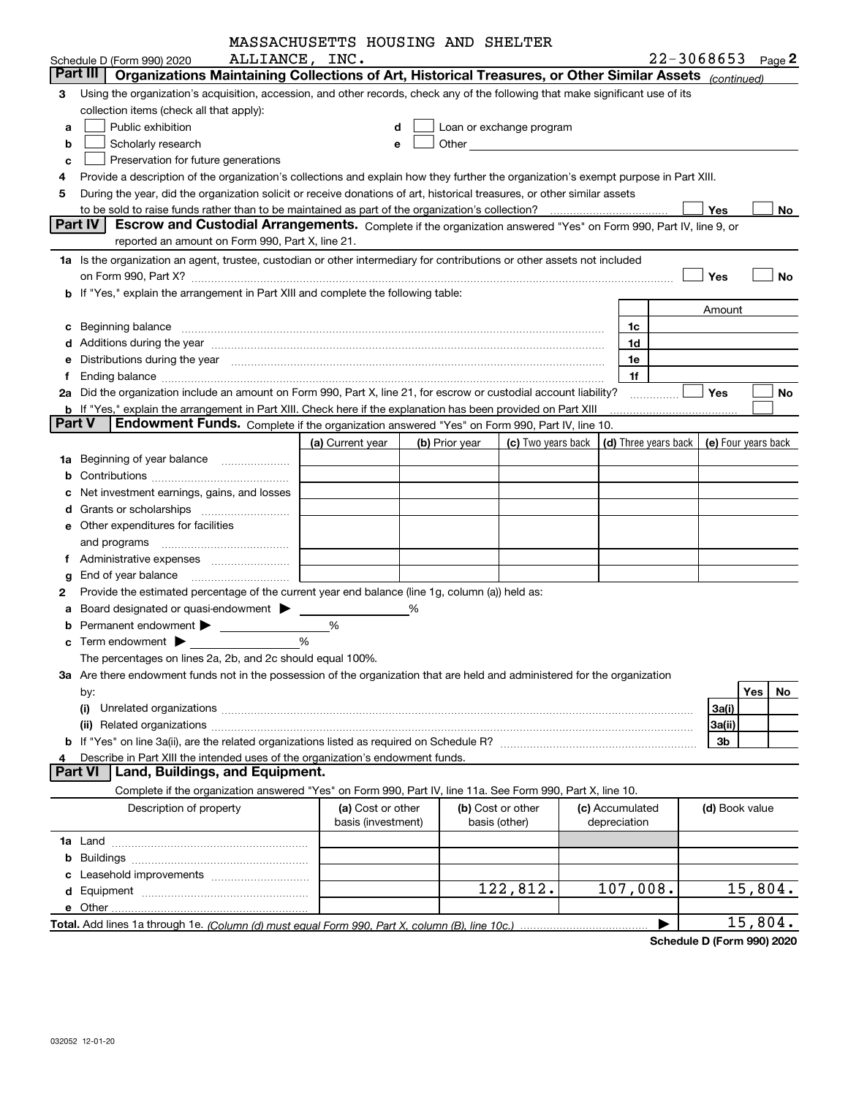|               |                                                                                                                                                                                                                                | MASSACHUSETTS HOUSING AND SHELTER       |                |                                    |                                                                                                                                                                                                                               |                                                          |                       |           |
|---------------|--------------------------------------------------------------------------------------------------------------------------------------------------------------------------------------------------------------------------------|-----------------------------------------|----------------|------------------------------------|-------------------------------------------------------------------------------------------------------------------------------------------------------------------------------------------------------------------------------|----------------------------------------------------------|-----------------------|-----------|
|               | ALLIANCE, INC.<br>Schedule D (Form 990) 2020                                                                                                                                                                                   |                                         |                |                                    |                                                                                                                                                                                                                               |                                                          | $22 - 3068653$ Page 2 |           |
|               | Organizations Maintaining Collections of Art, Historical Treasures, or Other Similar Assets (continued)<br>Part III                                                                                                            |                                         |                |                                    |                                                                                                                                                                                                                               |                                                          |                       |           |
| 3             | Using the organization's acquisition, accession, and other records, check any of the following that make significant use of its                                                                                                |                                         |                |                                    |                                                                                                                                                                                                                               |                                                          |                       |           |
|               | collection items (check all that apply):                                                                                                                                                                                       |                                         |                |                                    |                                                                                                                                                                                                                               |                                                          |                       |           |
| a             | Public exhibition                                                                                                                                                                                                              |                                         | d              |                                    | Loan or exchange program                                                                                                                                                                                                      |                                                          |                       |           |
| b             | Scholarly research                                                                                                                                                                                                             |                                         | е              |                                    | Other and the contract of the contract of the contract of the contract of the contract of the contract of the contract of the contract of the contract of the contract of the contract of the contract of the contract of the |                                                          |                       |           |
| c             | Preservation for future generations                                                                                                                                                                                            |                                         |                |                                    |                                                                                                                                                                                                                               |                                                          |                       |           |
|               | Provide a description of the organization's collections and explain how they further the organization's exempt purpose in Part XIII.                                                                                           |                                         |                |                                    |                                                                                                                                                                                                                               |                                                          |                       |           |
| 5             | During the year, did the organization solicit or receive donations of art, historical treasures, or other similar assets                                                                                                       |                                         |                |                                    |                                                                                                                                                                                                                               |                                                          |                       |           |
|               | Part IV                                                                                                                                                                                                                        |                                         |                |                                    |                                                                                                                                                                                                                               |                                                          | Yes                   | No.       |
|               | Escrow and Custodial Arrangements. Complete if the organization answered "Yes" on Form 990, Part IV, line 9, or<br>reported an amount on Form 990, Part X, line 21.                                                            |                                         |                |                                    |                                                                                                                                                                                                                               |                                                          |                       |           |
|               |                                                                                                                                                                                                                                |                                         |                |                                    |                                                                                                                                                                                                                               |                                                          |                       |           |
|               | 1a Is the organization an agent, trustee, custodian or other intermediary for contributions or other assets not included                                                                                                       |                                         |                |                                    |                                                                                                                                                                                                                               |                                                          |                       |           |
|               |                                                                                                                                                                                                                                |                                         |                |                                    |                                                                                                                                                                                                                               |                                                          | Yes                   | No        |
|               | b If "Yes," explain the arrangement in Part XIII and complete the following table:                                                                                                                                             |                                         |                |                                    |                                                                                                                                                                                                                               |                                                          |                       |           |
|               |                                                                                                                                                                                                                                |                                         |                |                                    |                                                                                                                                                                                                                               | 1c                                                       | Amount                |           |
| c             | Additions during the year manufactured and an annual contract of the year manufactured and a set of the year manufactured and a set of the year manufactured and a set of the year manufactured and set of the set of the set  |                                         |                |                                    |                                                                                                                                                                                                                               | 1d                                                       |                       |           |
|               | Distributions during the year manufactured and continuum control of the year manufactured and the year manufactured and the year manufactured and the year manufactured and the year manufactured and the year manufactured an |                                         |                |                                    |                                                                                                                                                                                                                               | 1e                                                       |                       |           |
|               |                                                                                                                                                                                                                                |                                         |                |                                    |                                                                                                                                                                                                                               | 1f                                                       |                       |           |
|               | 2a Did the organization include an amount on Form 990, Part X, line 21, for escrow or custodial account liability?                                                                                                             |                                         |                |                                    |                                                                                                                                                                                                                               |                                                          | <b>Yes</b>            | No        |
|               | <b>b</b> If "Yes," explain the arrangement in Part XIII. Check here if the explanation has been provided on Part XIII                                                                                                          |                                         |                |                                    |                                                                                                                                                                                                                               |                                                          |                       |           |
| <b>Part V</b> | Endowment Funds. Complete if the organization answered "Yes" on Form 990, Part IV, line 10.                                                                                                                                    |                                         |                |                                    |                                                                                                                                                                                                                               |                                                          |                       |           |
|               |                                                                                                                                                                                                                                | (a) Current year                        | (b) Prior year |                                    | (c) Two years back                                                                                                                                                                                                            | $\vert$ (d) Three years back $\vert$ (e) Four years back |                       |           |
| 1a            | Beginning of year balance                                                                                                                                                                                                      |                                         |                |                                    |                                                                                                                                                                                                                               |                                                          |                       |           |
|               |                                                                                                                                                                                                                                |                                         |                |                                    |                                                                                                                                                                                                                               |                                                          |                       |           |
|               | Net investment earnings, gains, and losses                                                                                                                                                                                     |                                         |                |                                    |                                                                                                                                                                                                                               |                                                          |                       |           |
|               |                                                                                                                                                                                                                                |                                         |                |                                    |                                                                                                                                                                                                                               |                                                          |                       |           |
|               | e Other expenditures for facilities                                                                                                                                                                                            |                                         |                |                                    |                                                                                                                                                                                                                               |                                                          |                       |           |
|               |                                                                                                                                                                                                                                |                                         |                |                                    |                                                                                                                                                                                                                               |                                                          |                       |           |
|               |                                                                                                                                                                                                                                |                                         |                |                                    |                                                                                                                                                                                                                               |                                                          |                       |           |
|               | End of year balance                                                                                                                                                                                                            |                                         |                |                                    |                                                                                                                                                                                                                               |                                                          |                       |           |
| 2             | Provide the estimated percentage of the current year end balance (line 1g, column (a)) held as:                                                                                                                                |                                         |                |                                    |                                                                                                                                                                                                                               |                                                          |                       |           |
|               | Board designated or quasi-endowment >                                                                                                                                                                                          |                                         | ℅              |                                    |                                                                                                                                                                                                                               |                                                          |                       |           |
|               |                                                                                                                                                                                                                                | %                                       |                |                                    |                                                                                                                                                                                                                               |                                                          |                       |           |
|               | $\mathbf c$ Term endowment $\blacktriangleright$                                                                                                                                                                               | %                                       |                |                                    |                                                                                                                                                                                                                               |                                                          |                       |           |
|               | The percentages on lines 2a, 2b, and 2c should equal 100%.                                                                                                                                                                     |                                         |                |                                    |                                                                                                                                                                                                                               |                                                          |                       |           |
|               | 3a Are there endowment funds not in the possession of the organization that are held and administered for the organization                                                                                                     |                                         |                |                                    |                                                                                                                                                                                                                               |                                                          |                       |           |
|               | by:                                                                                                                                                                                                                            |                                         |                |                                    |                                                                                                                                                                                                                               |                                                          |                       | Yes<br>No |
|               | (i)                                                                                                                                                                                                                            |                                         |                |                                    |                                                                                                                                                                                                                               |                                                          | 3a(i)                 |           |
|               |                                                                                                                                                                                                                                |                                         |                |                                    |                                                                                                                                                                                                                               |                                                          | 3a(ii)                |           |
|               |                                                                                                                                                                                                                                |                                         |                |                                    |                                                                                                                                                                                                                               |                                                          | 3b                    |           |
| 4             | Describe in Part XIII the intended uses of the organization's endowment funds.<br>Land, Buildings, and Equipment.<br><b>Part VI</b>                                                                                            |                                         |                |                                    |                                                                                                                                                                                                                               |                                                          |                       |           |
|               | Complete if the organization answered "Yes" on Form 990, Part IV, line 11a. See Form 990, Part X, line 10.                                                                                                                     |                                         |                |                                    |                                                                                                                                                                                                                               |                                                          |                       |           |
|               |                                                                                                                                                                                                                                |                                         |                |                                    |                                                                                                                                                                                                                               |                                                          |                       |           |
|               | Description of property                                                                                                                                                                                                        | (a) Cost or other<br>basis (investment) |                | (b) Cost or other<br>basis (other) |                                                                                                                                                                                                                               | (c) Accumulated<br>depreciation                          | (d) Book value        |           |
|               |                                                                                                                                                                                                                                |                                         |                |                                    |                                                                                                                                                                                                                               |                                                          |                       |           |
| b             |                                                                                                                                                                                                                                |                                         |                |                                    |                                                                                                                                                                                                                               |                                                          |                       |           |
|               |                                                                                                                                                                                                                                |                                         |                |                                    |                                                                                                                                                                                                                               |                                                          |                       |           |
|               |                                                                                                                                                                                                                                |                                         |                |                                    | 122,812.                                                                                                                                                                                                                      | 107,008.                                                 |                       | 15,804.   |
|               |                                                                                                                                                                                                                                |                                         |                |                                    |                                                                                                                                                                                                                               |                                                          |                       |           |
|               |                                                                                                                                                                                                                                |                                         |                |                                    |                                                                                                                                                                                                                               |                                                          |                       | 15,804.   |
|               |                                                                                                                                                                                                                                |                                         |                |                                    |                                                                                                                                                                                                                               |                                                          |                       |           |

**Schedule D (Form 990) 2020**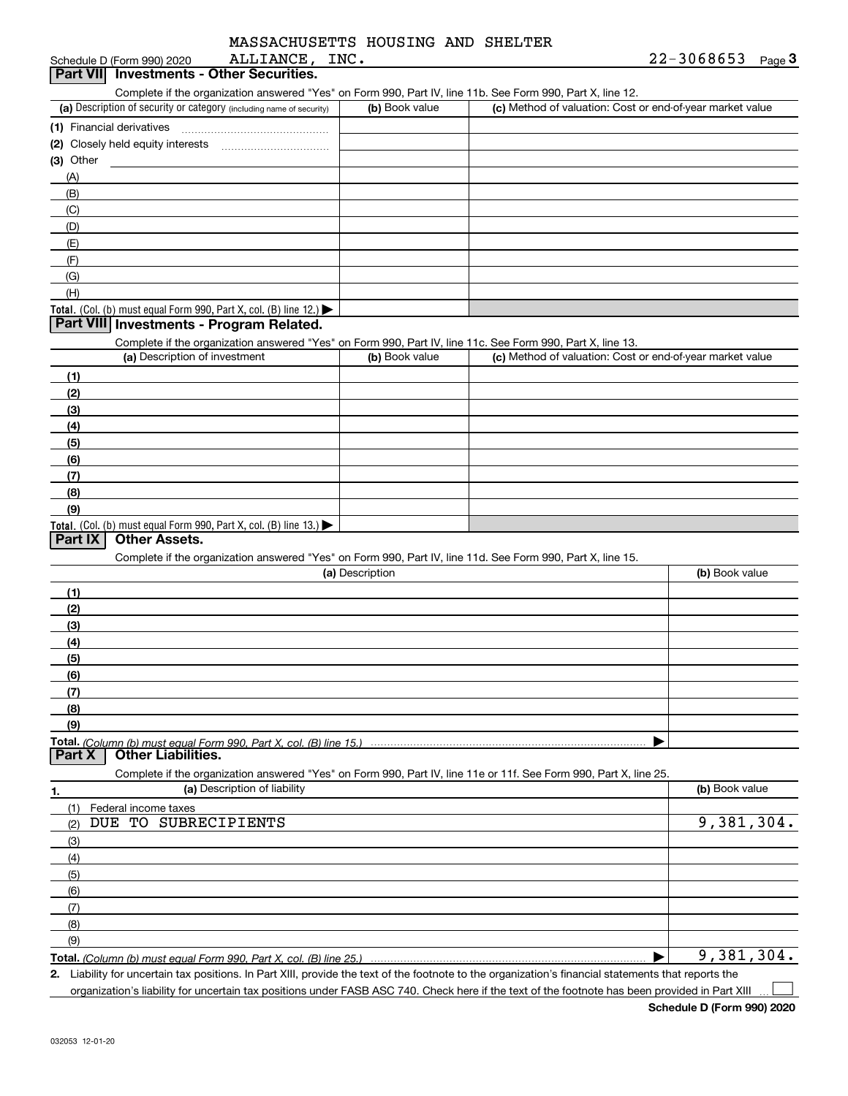| MASSACHUSETTS HOUSING AND SHELTER |  |  |
|-----------------------------------|--|--|
|                                   |  |  |

| ALLIANCE, INC.<br>Schedule D (Form 990) 2020                                                                      |                 |                                                           | $22 - 3068653$<br>Page $3$ |
|-------------------------------------------------------------------------------------------------------------------|-----------------|-----------------------------------------------------------|----------------------------|
| Part VII Investments - Other Securities.                                                                          |                 |                                                           |                            |
| Complete if the organization answered "Yes" on Form 990, Part IV, line 11b. See Form 990, Part X, line 12.        |                 |                                                           |                            |
| (a) Description of security or category (including name of security)                                              | (b) Book value  | (c) Method of valuation: Cost or end-of-year market value |                            |
|                                                                                                                   |                 |                                                           |                            |
|                                                                                                                   |                 |                                                           |                            |
| $(3)$ Other                                                                                                       |                 |                                                           |                            |
| (A)                                                                                                               |                 |                                                           |                            |
| (B)                                                                                                               |                 |                                                           |                            |
| (C)                                                                                                               |                 |                                                           |                            |
| (D)                                                                                                               |                 |                                                           |                            |
| (E)                                                                                                               |                 |                                                           |                            |
| (F)                                                                                                               |                 |                                                           |                            |
| (G)                                                                                                               |                 |                                                           |                            |
| (H)                                                                                                               |                 |                                                           |                            |
| Total. (Col. (b) must equal Form 990, Part X, col. (B) line 12.)                                                  |                 |                                                           |                            |
| Part VIII Investments - Program Related.                                                                          |                 |                                                           |                            |
| Complete if the organization answered "Yes" on Form 990, Part IV, line 11c. See Form 990, Part X, line 13.        |                 |                                                           |                            |
| (a) Description of investment                                                                                     | (b) Book value  | (c) Method of valuation: Cost or end-of-year market value |                            |
| (1)                                                                                                               |                 |                                                           |                            |
| (2)                                                                                                               |                 |                                                           |                            |
| (3)                                                                                                               |                 |                                                           |                            |
| (4)                                                                                                               |                 |                                                           |                            |
| (5)                                                                                                               |                 |                                                           |                            |
| (6)                                                                                                               |                 |                                                           |                            |
| (7)                                                                                                               |                 |                                                           |                            |
| (8)                                                                                                               |                 |                                                           |                            |
| (9)                                                                                                               |                 |                                                           |                            |
| Total. (Col. (b) must equal Form 990, Part X, col. (B) line 13.)                                                  |                 |                                                           |                            |
| Part IX<br><b>Other Assets.</b>                                                                                   |                 |                                                           |                            |
| Complete if the organization answered "Yes" on Form 990, Part IV, line 11d. See Form 990, Part X, line 15.        |                 |                                                           |                            |
|                                                                                                                   | (a) Description |                                                           | (b) Book value             |
| (1)                                                                                                               |                 |                                                           |                            |
| (2)                                                                                                               |                 |                                                           |                            |
| (3)                                                                                                               |                 |                                                           |                            |
| (4)                                                                                                               |                 |                                                           |                            |
| (5)                                                                                                               |                 |                                                           |                            |
| (6)                                                                                                               |                 |                                                           |                            |
| (7)                                                                                                               |                 |                                                           |                            |
| (8)                                                                                                               |                 |                                                           |                            |
| (9)                                                                                                               |                 |                                                           |                            |
| Part <sub>X</sub><br><b>Other Liabilities.</b>                                                                    |                 |                                                           |                            |
| Complete if the organization answered "Yes" on Form 990, Part IV, line 11e or 11f. See Form 990, Part X, line 25. |                 |                                                           |                            |
| (a) Description of liability<br>1.                                                                                |                 |                                                           | (b) Book value             |
| Federal income taxes<br>(1)                                                                                       |                 |                                                           |                            |
| TO SUBRECIPIENTS<br>DUE<br>(2)                                                                                    |                 |                                                           | 9,381,304.                 |
| (3)                                                                                                               |                 |                                                           |                            |
| (4)                                                                                                               |                 |                                                           |                            |
| (5)                                                                                                               |                 |                                                           |                            |
| (6)                                                                                                               |                 |                                                           |                            |
| (7)                                                                                                               |                 |                                                           |                            |
| (8)                                                                                                               |                 |                                                           |                            |
|                                                                                                                   |                 |                                                           |                            |

**Total.**  *(Column (b) must equal Form 990, Part X, col. (B) line 25.)*

 $\blacktriangleright$ Liability for uncertain tax positions. In Part XIII, provide the text of the footnote to the organization's financial statements that reports the 9,381,304.

**2.** organization's liability for uncertain tax positions under FASB ASC 740. Check here if the text of the footnote has been provided in Part XIII

**Schedule D (Form 990) 2020**

 $\mathcal{L}^{\text{max}}$ 

(9)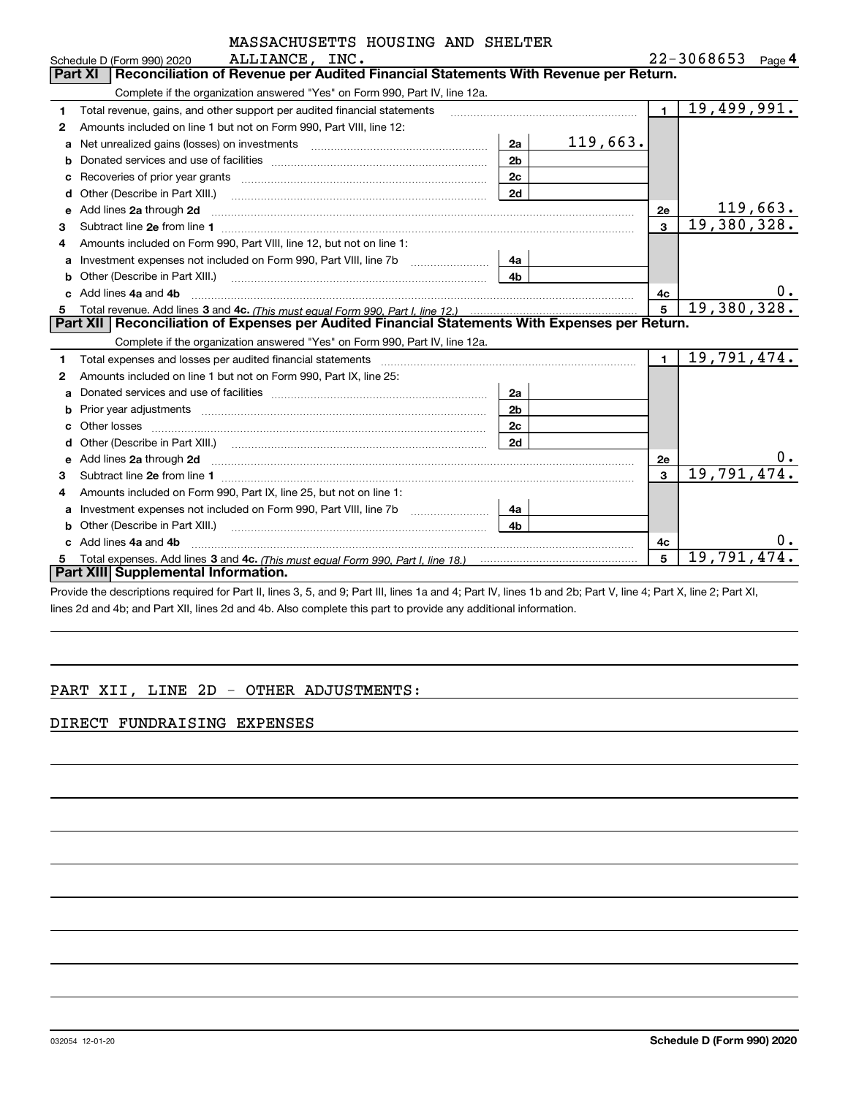|    | MASSACHUSETTS HOUSING AND SHELTER                                                                                                                                                                                                        |                |             |                |                       |
|----|------------------------------------------------------------------------------------------------------------------------------------------------------------------------------------------------------------------------------------------|----------------|-------------|----------------|-----------------------|
|    | ALLIANCE, INC.<br>Schedule D (Form 990) 2020                                                                                                                                                                                             |                |             |                | $22 - 3068653$ Page 4 |
|    | Reconciliation of Revenue per Audited Financial Statements With Revenue per Return.<br><b>Part XI</b>                                                                                                                                    |                |             |                |                       |
|    | Complete if the organization answered "Yes" on Form 990, Part IV, line 12a.                                                                                                                                                              |                |             |                |                       |
| 1  | Total revenue, gains, and other support per audited financial statements                                                                                                                                                                 |                |             | $\blacksquare$ | 19,499,991.           |
| 2  | Amounts included on line 1 but not on Form 990, Part VIII, line 12:                                                                                                                                                                      |                |             |                |                       |
| a  | Net unrealized gains (losses) on investments [11] matter contracts and the unrealized gains (losses) on investments                                                                                                                      | 2a             | 119,663.    |                |                       |
|    |                                                                                                                                                                                                                                          | 2 <sub>b</sub> |             |                |                       |
|    |                                                                                                                                                                                                                                          | 2c             |             |                |                       |
| d  | Other (Describe in Part XIII.) <b>COLOGIST: (2014)</b> (2014) <b>COLOGIST: (2014)</b> (2014) (2014) (2014) (2014) (2014) (2014) (2014) (2014) (2014) (2014) (2014) (2014) (2014) (2014) (2014) (2014) (2014) (2014) (2014) (2014) (2014) | 2d             |             |                |                       |
| е  | Add lines 2a through 2d                                                                                                                                                                                                                  |                |             | 2e             | 119,663.              |
| 3  |                                                                                                                                                                                                                                          |                |             | $\mathbf{a}$   | 19,380,328.           |
| 4  | Amounts included on Form 990, Part VIII, line 12, but not on line 1:                                                                                                                                                                     |                |             |                |                       |
| a  |                                                                                                                                                                                                                                          | 4a             |             |                |                       |
|    |                                                                                                                                                                                                                                          | 4 <sub>b</sub> |             |                |                       |
|    | Add lines 4a and 4b                                                                                                                                                                                                                      |                |             | 4с             | $0 \cdot$             |
| 5. |                                                                                                                                                                                                                                          | 5              | 19,380,328. |                |                       |
|    | Part XII   Reconciliation of Expenses per Audited Financial Statements With Expenses per Return.                                                                                                                                         |                |             |                |                       |
|    | Complete if the organization answered "Yes" on Form 990, Part IV, line 12a.                                                                                                                                                              |                |             |                |                       |
| 1  |                                                                                                                                                                                                                                          |                |             | $\blacksquare$ | 19,791,474.           |
| 2  | Amounts included on line 1 but not on Form 990, Part IX, line 25:                                                                                                                                                                        |                |             |                |                       |
| a  |                                                                                                                                                                                                                                          | 2a             |             |                |                       |
| b  |                                                                                                                                                                                                                                          | 2 <sub>b</sub> |             |                |                       |
|    |                                                                                                                                                                                                                                          | 2c             |             |                |                       |
|    |                                                                                                                                                                                                                                          | 2d             |             |                |                       |
| е  | Add lines 2a through 2d <b>contained a contained a contained a contained a</b> contained a contained a contained a contained a contained a contained a contained a contained a contained a contained a contained a contained a cont      |                |             | <b>2e</b>      | 0.                    |
| З. | Subtract line 2e from line 1                                                                                                                                                                                                             |                |             | $\mathbf{a}$   | 19,791,474.           |
| 4  | Amounts included on Form 990, Part IX, line 25, but not on line 1:                                                                                                                                                                       |                |             |                |                       |
| а  |                                                                                                                                                                                                                                          | 4a             |             |                |                       |
|    | Other (Describe in Part XIII.) <b>Construction Contract Construction</b> Chemistry Construction Chemistry Chemistry Chemistry Chemistry Chemistry Chemistry Chemistry Chemistry Chemistry Chemistry Chemistry Chemistry Chemistry C      | 4 <sub>h</sub> |             |                |                       |
| C  | Add lines 4a and 4b                                                                                                                                                                                                                      |                |             | 4c             |                       |
|    |                                                                                                                                                                                                                                          |                |             | 5              | 19,791,474            |
|    | Part XIII Supplemental Information.                                                                                                                                                                                                      |                |             |                |                       |

Provide the descriptions required for Part II, lines 3, 5, and 9; Part III, lines 1a and 4; Part IV, lines 1b and 2b; Part V, line 4; Part X, line 2; Part XI, lines 2d and 4b; and Part XII, lines 2d and 4b. Also complete this part to provide any additional information.

#### PART XII, LINE 2D - OTHER ADJUSTMENTS:

#### DIRECT FUNDRAISING EXPENSES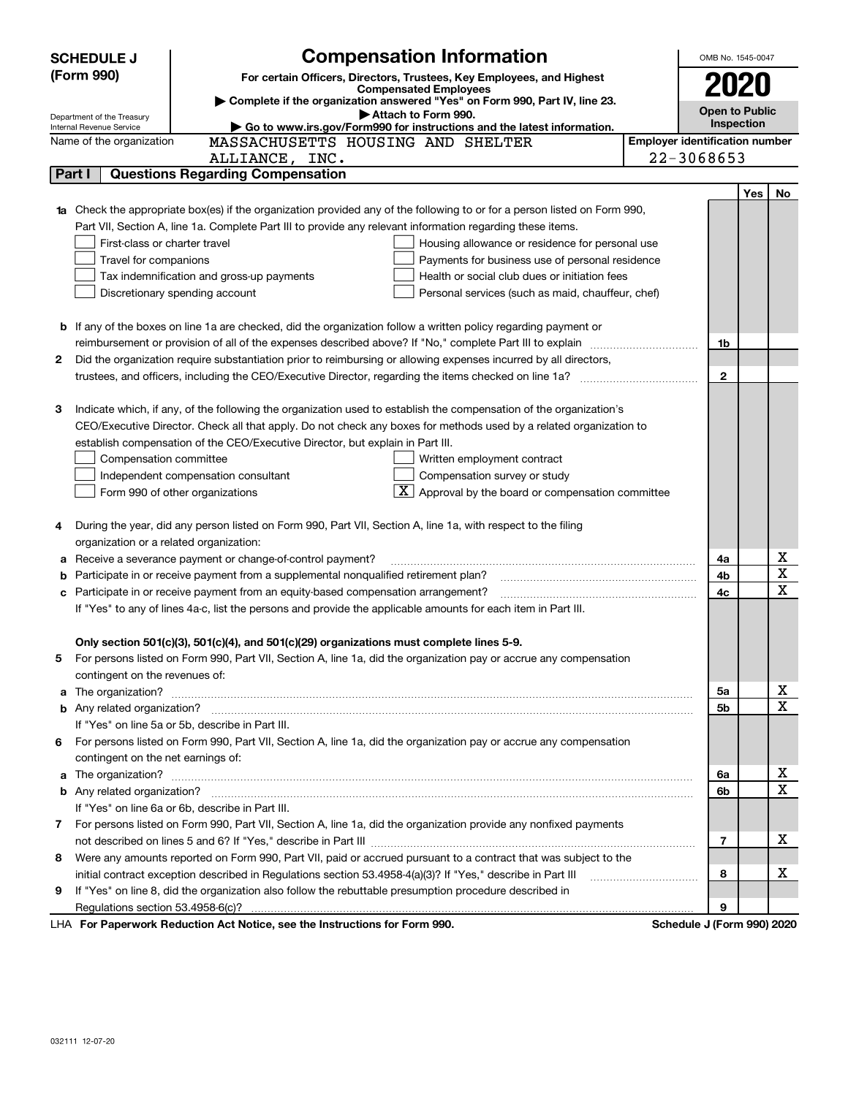|    | <b>Compensation Information</b><br><b>SCHEDULE J</b>                                                                                                                                                                                     |            | OMB No. 1545-0047                     |                            |     |             |  |  |
|----|------------------------------------------------------------------------------------------------------------------------------------------------------------------------------------------------------------------------------------------|------------|---------------------------------------|----------------------------|-----|-------------|--|--|
|    | (Form 990)<br>For certain Officers, Directors, Trustees, Key Employees, and Highest                                                                                                                                                      |            |                                       |                            |     |             |  |  |
|    | <b>Compensated Employees</b>                                                                                                                                                                                                             |            |                                       | 2020                       |     |             |  |  |
|    | Complete if the organization answered "Yes" on Form 990, Part IV, line 23.<br>Attach to Form 990.<br>Department of the Treasury                                                                                                          |            |                                       | <b>Open to Public</b>      |     |             |  |  |
|    | Go to www.irs.gov/Form990 for instructions and the latest information.<br>Internal Revenue Service                                                                                                                                       | Inspection |                                       |                            |     |             |  |  |
|    | MASSACHUSETTS HOUSING AND SHELTER<br>Name of the organization                                                                                                                                                                            |            | <b>Employer identification number</b> |                            |     |             |  |  |
|    | ALLIANCE, INC.                                                                                                                                                                                                                           |            |                                       | 22-3068653                 |     |             |  |  |
|    | <b>Questions Regarding Compensation</b><br>Part I                                                                                                                                                                                        |            |                                       |                            |     |             |  |  |
|    |                                                                                                                                                                                                                                          |            |                                       |                            | Yes | No          |  |  |
|    | Check the appropriate box(es) if the organization provided any of the following to or for a person listed on Form 990,                                                                                                                   |            |                                       |                            |     |             |  |  |
|    | Part VII, Section A, line 1a. Complete Part III to provide any relevant information regarding these items.                                                                                                                               |            |                                       |                            |     |             |  |  |
|    | First-class or charter travel<br>Housing allowance or residence for personal use                                                                                                                                                         |            |                                       |                            |     |             |  |  |
|    | Travel for companions<br>Payments for business use of personal residence                                                                                                                                                                 |            |                                       |                            |     |             |  |  |
|    | Health or social club dues or initiation fees<br>Tax indemnification and gross-up payments                                                                                                                                               |            |                                       |                            |     |             |  |  |
|    | Discretionary spending account<br>Personal services (such as maid, chauffeur, chef)                                                                                                                                                      |            |                                       |                            |     |             |  |  |
|    |                                                                                                                                                                                                                                          |            |                                       |                            |     |             |  |  |
| b  | If any of the boxes on line 1a are checked, did the organization follow a written policy regarding payment or                                                                                                                            |            |                                       |                            |     |             |  |  |
|    | reimbursement or provision of all of the expenses described above? If "No," complete Part III to explain                                                                                                                                 |            |                                       | 1b                         |     |             |  |  |
| 2  | Did the organization require substantiation prior to reimbursing or allowing expenses incurred by all directors,                                                                                                                         |            |                                       |                            |     |             |  |  |
|    |                                                                                                                                                                                                                                          |            |                                       | $\mathbf{2}$               |     |             |  |  |
|    |                                                                                                                                                                                                                                          |            |                                       |                            |     |             |  |  |
| з  | Indicate which, if any, of the following the organization used to establish the compensation of the organization's<br>CEO/Executive Director. Check all that apply. Do not check any boxes for methods used by a related organization to |            |                                       |                            |     |             |  |  |
|    | establish compensation of the CEO/Executive Director, but explain in Part III.                                                                                                                                                           |            |                                       |                            |     |             |  |  |
|    | Written employment contract<br>Compensation committee                                                                                                                                                                                    |            |                                       |                            |     |             |  |  |
|    | Compensation survey or study<br>Independent compensation consultant                                                                                                                                                                      |            |                                       |                            |     |             |  |  |
|    | Approval by the board or compensation committee<br>Form 990 of other organizations                                                                                                                                                       |            |                                       |                            |     |             |  |  |
|    |                                                                                                                                                                                                                                          |            |                                       |                            |     |             |  |  |
| 4  | During the year, did any person listed on Form 990, Part VII, Section A, line 1a, with respect to the filing                                                                                                                             |            |                                       |                            |     |             |  |  |
|    | organization or a related organization:                                                                                                                                                                                                  |            |                                       |                            |     |             |  |  |
| а  | Receive a severance payment or change-of-control payment?                                                                                                                                                                                |            |                                       | 4a                         |     | х           |  |  |
| b  | Participate in or receive payment from a supplemental nonqualified retirement plan?                                                                                                                                                      |            |                                       | 4b                         |     | $\mathbf X$ |  |  |
|    | Participate in or receive payment from an equity-based compensation arrangement?                                                                                                                                                         |            |                                       | 4с                         |     | $\mathbf X$ |  |  |
|    | If "Yes" to any of lines 4a-c, list the persons and provide the applicable amounts for each item in Part III.                                                                                                                            |            |                                       |                            |     |             |  |  |
|    |                                                                                                                                                                                                                                          |            |                                       |                            |     |             |  |  |
|    | Only section 501(c)(3), 501(c)(4), and 501(c)(29) organizations must complete lines 5-9.                                                                                                                                                 |            |                                       |                            |     |             |  |  |
| 5  | For persons listed on Form 990, Part VII, Section A, line 1a, did the organization pay or accrue any compensation                                                                                                                        |            |                                       |                            |     |             |  |  |
|    | contingent on the revenues of:                                                                                                                                                                                                           |            |                                       |                            |     |             |  |  |
| a  | The organization? <b>With the contract of the contract of the contract of the contract of the contract of the contract of the contract of the contract of the contract of the contract of the contract of the contract of the co</b>     |            |                                       | 5а                         |     | х           |  |  |
|    |                                                                                                                                                                                                                                          |            |                                       | 5b                         |     | $\mathbf X$ |  |  |
|    | If "Yes" on line 5a or 5b, describe in Part III.                                                                                                                                                                                         |            |                                       |                            |     |             |  |  |
| 6. | For persons listed on Form 990, Part VII, Section A, line 1a, did the organization pay or accrue any compensation                                                                                                                        |            |                                       |                            |     |             |  |  |
|    | contingent on the net earnings of:                                                                                                                                                                                                       |            |                                       |                            |     |             |  |  |
| a  |                                                                                                                                                                                                                                          |            |                                       | 6a                         |     | х           |  |  |
|    |                                                                                                                                                                                                                                          |            |                                       | 6b                         |     | $\mathbf X$ |  |  |
|    | If "Yes" on line 6a or 6b, describe in Part III.                                                                                                                                                                                         |            |                                       |                            |     |             |  |  |
|    | 7 For persons listed on Form 990, Part VII, Section A, line 1a, did the organization provide any nonfixed payments                                                                                                                       |            |                                       |                            |     |             |  |  |
|    |                                                                                                                                                                                                                                          |            |                                       | 7                          |     | х           |  |  |
| 8  | Were any amounts reported on Form 990, Part VII, paid or accrued pursuant to a contract that was subject to the                                                                                                                          |            |                                       |                            |     |             |  |  |
|    | initial contract exception described in Regulations section 53.4958-4(a)(3)? If "Yes," describe in Part III                                                                                                                              |            |                                       | 8                          |     | х           |  |  |
| 9  | If "Yes" on line 8, did the organization also follow the rebuttable presumption procedure described in                                                                                                                                   |            |                                       |                            |     |             |  |  |
|    |                                                                                                                                                                                                                                          |            |                                       | 9                          |     |             |  |  |
|    | LHA For Paperwork Reduction Act Notice, see the Instructions for Form 990.                                                                                                                                                               |            |                                       | Schedule J (Form 990) 2020 |     |             |  |  |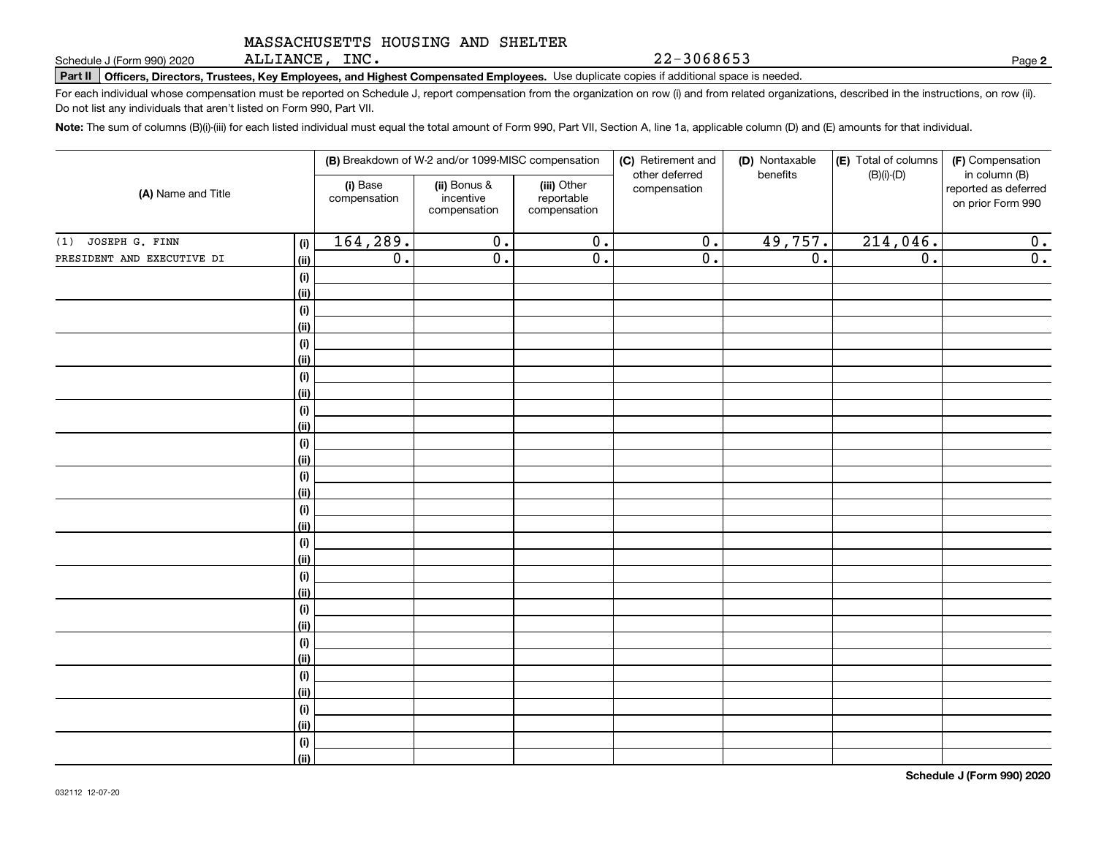ALLIANCE, INC.

22-3068653

**2**

**Part II Officers, Directors, Trustees, Key Employees, and Highest Compensated Employees.**  Schedule J (Form 990) 2020 Page Use duplicate copies if additional space is needed.

For each individual whose compensation must be reported on Schedule J, report compensation from the organization on row (i) and from related organizations, described in the instructions, on row (ii). Do not list any individuals that aren't listed on Form 990, Part VII.

**Note:**  The sum of columns (B)(i)-(iii) for each listed individual must equal the total amount of Form 990, Part VII, Section A, line 1a, applicable column (D) and (E) amounts for that individual.

| (A) Name and Title         |                              |                          | (B) Breakdown of W-2 and/or 1099-MISC compensation |                                           | (C) Retirement and<br>other deferred | (D) Nontaxable<br>benefits | (E) Total of columns<br>$(B)(i)-(D)$ | (F) Compensation<br>in column (B)         |
|----------------------------|------------------------------|--------------------------|----------------------------------------------------|-------------------------------------------|--------------------------------------|----------------------------|--------------------------------------|-------------------------------------------|
|                            |                              | (i) Base<br>compensation | (ii) Bonus &<br>incentive<br>compensation          | (iii) Other<br>reportable<br>compensation | compensation                         |                            |                                      | reported as deferred<br>on prior Form 990 |
| JOSEPH G. FINN<br>(1)      | (i)                          | 164,289.                 | $\overline{0}$ .                                   | $\overline{0}$ .                          | $\overline{0}$ .                     | 49,757.                    | 214,046.                             | 0.                                        |
| PRESIDENT AND EXECUTIVE DI | <u>(ii)</u>                  | $\overline{0}$ .         | $\overline{0}$ .                                   | $\overline{0}$ .                          | $\overline{0}$ .                     | $\overline{0}$ .           | $\overline{0}$ .                     | 0.                                        |
|                            | $\qquad \qquad \textbf{(i)}$ |                          |                                                    |                                           |                                      |                            |                                      |                                           |
|                            | <u>(ii)</u>                  |                          |                                                    |                                           |                                      |                            |                                      |                                           |
|                            | (i)                          |                          |                                                    |                                           |                                      |                            |                                      |                                           |
|                            | <u>(ii)</u>                  |                          |                                                    |                                           |                                      |                            |                                      |                                           |
|                            | (i)                          |                          |                                                    |                                           |                                      |                            |                                      |                                           |
|                            | <u>(ii)</u>                  |                          |                                                    |                                           |                                      |                            |                                      |                                           |
|                            | (i)                          |                          |                                                    |                                           |                                      |                            |                                      |                                           |
|                            | <u>(ii)</u>                  |                          |                                                    |                                           |                                      |                            |                                      |                                           |
|                            | (i)<br><u>(ii)</u>           |                          |                                                    |                                           |                                      |                            |                                      |                                           |
|                            | (i)                          |                          |                                                    |                                           |                                      |                            |                                      |                                           |
|                            | <u>(ii)</u>                  |                          |                                                    |                                           |                                      |                            |                                      |                                           |
|                            | (i)                          |                          |                                                    |                                           |                                      |                            |                                      |                                           |
|                            | <u>(ii)</u>                  |                          |                                                    |                                           |                                      |                            |                                      |                                           |
|                            | (i)                          |                          |                                                    |                                           |                                      |                            |                                      |                                           |
|                            | <u>(ii)</u>                  |                          |                                                    |                                           |                                      |                            |                                      |                                           |
|                            | (i)                          |                          |                                                    |                                           |                                      |                            |                                      |                                           |
|                            | <u>(ii)</u>                  |                          |                                                    |                                           |                                      |                            |                                      |                                           |
|                            | (i)                          |                          |                                                    |                                           |                                      |                            |                                      |                                           |
|                            | <u>(ii)</u>                  |                          |                                                    |                                           |                                      |                            |                                      |                                           |
|                            | (i)                          |                          |                                                    |                                           |                                      |                            |                                      |                                           |
|                            | <u>(ii)</u>                  |                          |                                                    |                                           |                                      |                            |                                      |                                           |
|                            | (i)                          |                          |                                                    |                                           |                                      |                            |                                      |                                           |
|                            | <u>(ii)</u>                  |                          |                                                    |                                           |                                      |                            |                                      |                                           |
|                            | (i)                          |                          |                                                    |                                           |                                      |                            |                                      |                                           |
|                            | <u>(ii)</u><br>(i)           |                          |                                                    |                                           |                                      |                            |                                      |                                           |
|                            | <u>(ii)</u>                  |                          |                                                    |                                           |                                      |                            |                                      |                                           |
|                            | (i)                          |                          |                                                    |                                           |                                      |                            |                                      |                                           |
|                            | $\overline{}}$               |                          |                                                    |                                           |                                      |                            |                                      |                                           |
|                            |                              |                          |                                                    |                                           |                                      |                            |                                      |                                           |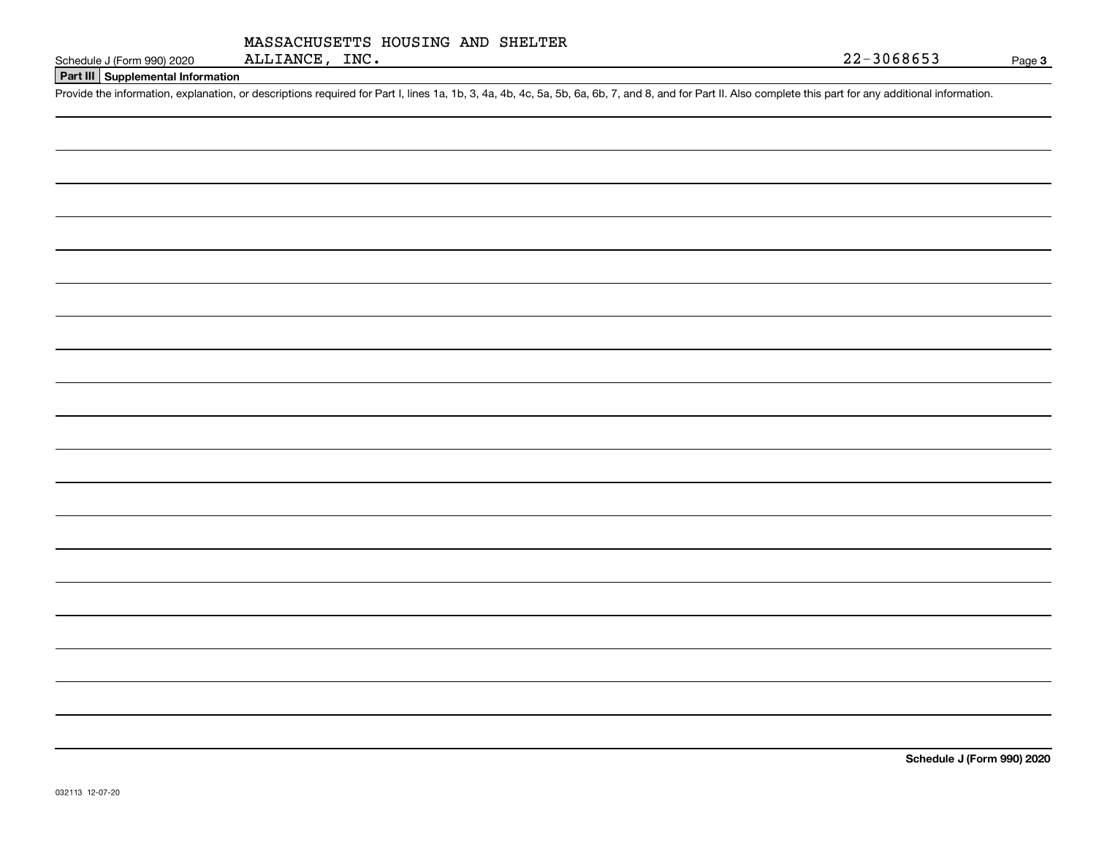| MASSACHUSETTS HOUSING AND SHELTER |  |  |
|-----------------------------------|--|--|
| ALLIANCE, INC.                    |  |  |

#### **Part III Supplemental Information**

Schedule J (Form 990) 2020 ALLIANCE, INC.<br>
Part III Supplemental Information<br>
Provide the information, explanation, or descriptions required for Part I, lines 1a, 1b, 3, 4a, 4b, 4c, 5a, 5b, 6a, 6b, 7, and 8, and for Part I

**Schedule J (Form 990) 2020**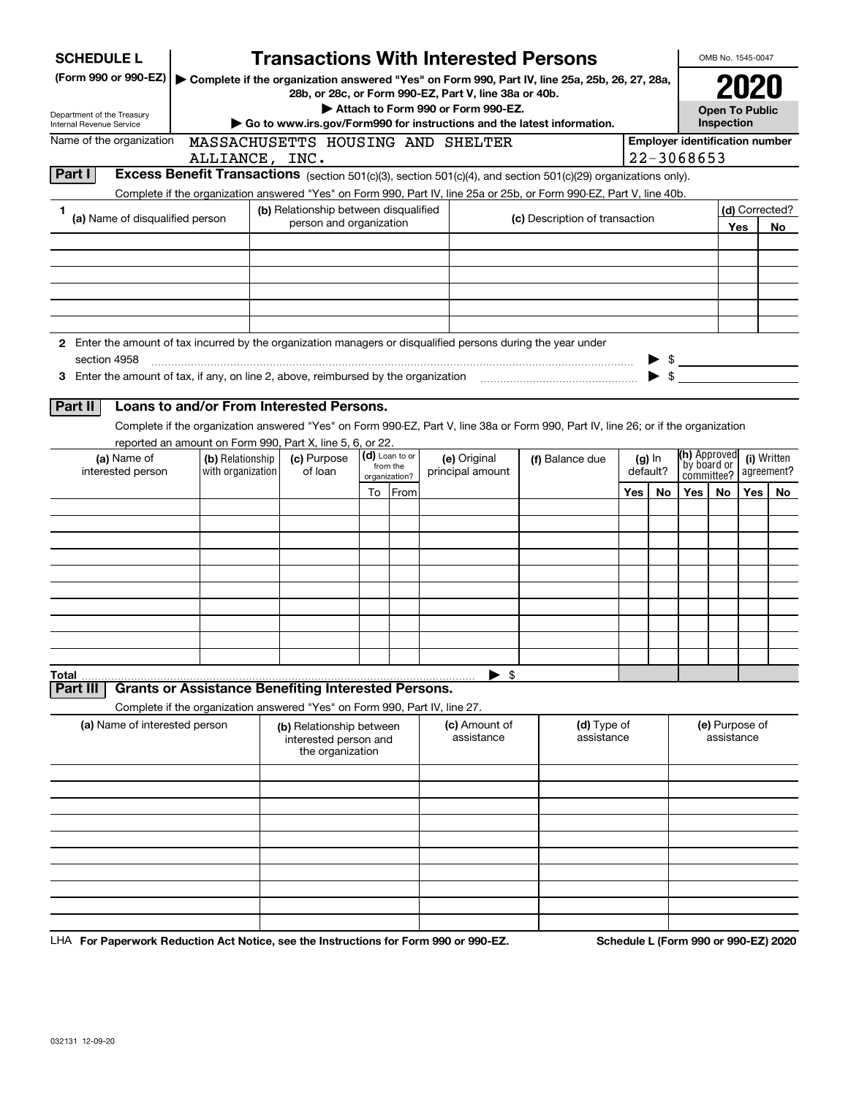| <b>SCHEDULE L</b>                                                                                             |                                                                                |  | <b>Transactions With Interested Persons</b>                                                                                                                   |                             |                 |  |                                    |            |                                                                                                                                    |         |                          |               | OMB No. 1545-0047            |     |                                       |
|---------------------------------------------------------------------------------------------------------------|--------------------------------------------------------------------------------|--|---------------------------------------------------------------------------------------------------------------------------------------------------------------|-----------------------------|-----------------|--|------------------------------------|------------|------------------------------------------------------------------------------------------------------------------------------------|---------|--------------------------|---------------|------------------------------|-----|---------------------------------------|
| (Form 990 or 990-EZ)                                                                                          |                                                                                |  | 28b, or 28c, or Form 990-EZ, Part V, line 38a or 40b.                                                                                                         |                             |                 |  |                                    |            | Complete if the organization answered "Yes" on Form 990, Part IV, line 25a, 25b, 26, 27, 28a,                                      |         |                          |               |                              |     |                                       |
| Department of the Treasury                                                                                    |                                                                                |  |                                                                                                                                                               |                             |                 |  | Attach to Form 990 or Form 990-EZ. |            |                                                                                                                                    |         |                          |               | <b>Open To Public</b>        |     |                                       |
| Internal Revenue Service                                                                                      |                                                                                |  | Go to www.irs.gov/Form990 for instructions and the latest information.                                                                                        |                             |                 |  |                                    |            |                                                                                                                                    |         |                          | Inspection    |                              |     |                                       |
| Name of the organization                                                                                      |                                                                                |  | MASSACHUSETTS HOUSING AND SHELTER                                                                                                                             |                             |                 |  |                                    |            |                                                                                                                                    |         |                          |               |                              |     | <b>Employer identification number</b> |
| Part I                                                                                                        | ALLIANCE, INC.                                                                 |  |                                                                                                                                                               |                             |                 |  |                                    |            | Excess Benefit Transactions (section 501(c)(3), section 501(c)(4), and section 501(c)(29) organizations only).                     |         |                          | 22-3068653    |                              |     |                                       |
|                                                                                                               |                                                                                |  |                                                                                                                                                               |                             |                 |  |                                    |            |                                                                                                                                    |         |                          |               |                              |     |                                       |
| 1                                                                                                             |                                                                                |  | Complete if the organization answered "Yes" on Form 990, Part IV, line 25a or 25b, or Form 990-EZ, Part V, line 40b.<br>(b) Relationship between disqualified |                             |                 |  |                                    |            | (d) Corrected?                                                                                                                     |         |                          |               |                              |     |                                       |
| (a) Name of disqualified person                                                                               |                                                                                |  | person and organization                                                                                                                                       |                             |                 |  | (c) Description of transaction     |            |                                                                                                                                    |         |                          |               |                              | Yes | No                                    |
|                                                                                                               |                                                                                |  |                                                                                                                                                               |                             |                 |  |                                    |            |                                                                                                                                    |         |                          |               |                              |     |                                       |
|                                                                                                               |                                                                                |  |                                                                                                                                                               |                             |                 |  |                                    |            |                                                                                                                                    |         |                          |               |                              |     |                                       |
|                                                                                                               |                                                                                |  |                                                                                                                                                               |                             |                 |  |                                    |            |                                                                                                                                    |         |                          |               |                              |     |                                       |
|                                                                                                               |                                                                                |  |                                                                                                                                                               |                             |                 |  |                                    |            |                                                                                                                                    |         |                          |               |                              |     |                                       |
|                                                                                                               |                                                                                |  |                                                                                                                                                               |                             |                 |  |                                    |            |                                                                                                                                    |         |                          |               |                              |     |                                       |
| 2 Enter the amount of tax incurred by the organization managers or disqualified persons during the year under |                                                                                |  |                                                                                                                                                               |                             |                 |  |                                    |            |                                                                                                                                    |         |                          |               |                              |     |                                       |
| section 4958                                                                                                  |                                                                                |  |                                                                                                                                                               |                             |                 |  |                                    |            |                                                                                                                                    |         | $\blacktriangleright$ \$ | $\frac{1}{2}$ |                              |     |                                       |
|                                                                                                               |                                                                                |  |                                                                                                                                                               |                             |                 |  |                                    |            |                                                                                                                                    |         |                          |               |                              |     |                                       |
| <b>Part II</b>                                                                                                | Loans to and/or From Interested Persons.                                       |  |                                                                                                                                                               |                             |                 |  |                                    |            |                                                                                                                                    |         |                          |               |                              |     |                                       |
|                                                                                                               |                                                                                |  |                                                                                                                                                               |                             |                 |  |                                    |            | Complete if the organization answered "Yes" on Form 990-EZ, Part V, line 38a or Form 990, Part IV, line 26; or if the organization |         |                          |               |                              |     |                                       |
|                                                                                                               | reported an amount on Form 990, Part X, line 5, 6, or 22.                      |  |                                                                                                                                                               |                             |                 |  |                                    |            |                                                                                                                                    |         |                          |               |                              |     |                                       |
| interested person                                                                                             | (c) Purpose<br>(a) Name of<br>(b) Relationship<br>with organization<br>of loan |  | (d) Loan to or<br>(e) Original<br>from the<br>principal amount                                                                                                |                             | (f) Balance due |  | $(g)$ In<br>default?               |            | (h) Approved<br>(i) Written<br>by board or<br>agreement?<br>committee?                                                             |         |                          |               |                              |     |                                       |
|                                                                                                               |                                                                                |  |                                                                                                                                                               | organization?<br>To<br>From |                 |  |                                    | Yes<br>No. |                                                                                                                                    | Yes $ $ | No                       | Yes           | No.                          |     |                                       |
|                                                                                                               |                                                                                |  |                                                                                                                                                               |                             |                 |  |                                    |            |                                                                                                                                    |         |                          |               |                              |     |                                       |
|                                                                                                               |                                                                                |  |                                                                                                                                                               |                             |                 |  |                                    |            |                                                                                                                                    |         |                          |               |                              |     |                                       |
|                                                                                                               |                                                                                |  |                                                                                                                                                               |                             |                 |  |                                    |            |                                                                                                                                    |         |                          |               |                              |     |                                       |
|                                                                                                               |                                                                                |  |                                                                                                                                                               |                             |                 |  |                                    |            |                                                                                                                                    |         |                          |               |                              |     |                                       |
|                                                                                                               |                                                                                |  |                                                                                                                                                               |                             |                 |  |                                    |            |                                                                                                                                    |         |                          |               |                              |     |                                       |
|                                                                                                               |                                                                                |  |                                                                                                                                                               |                             |                 |  |                                    |            |                                                                                                                                    |         |                          |               |                              |     |                                       |
|                                                                                                               |                                                                                |  |                                                                                                                                                               |                             |                 |  |                                    |            |                                                                                                                                    |         |                          |               |                              |     |                                       |
|                                                                                                               |                                                                                |  |                                                                                                                                                               |                             |                 |  |                                    |            |                                                                                                                                    |         |                          |               |                              |     |                                       |
|                                                                                                               |                                                                                |  |                                                                                                                                                               |                             |                 |  |                                    |            |                                                                                                                                    |         |                          |               |                              |     |                                       |
| Total<br><b>Part II</b>                                                                                       | <b>Grants or Assistance Benefiting Interested Persons.</b>                     |  |                                                                                                                                                               |                             |                 |  | \$                                 |            |                                                                                                                                    |         |                          |               |                              |     |                                       |
|                                                                                                               | Complete if the organization answered "Yes" on Form 990, Part IV, line 27.     |  |                                                                                                                                                               |                             |                 |  |                                    |            |                                                                                                                                    |         |                          |               |                              |     |                                       |
| (a) Name of interested person                                                                                 |                                                                                |  | (b) Relationship between<br>interested person and                                                                                                             |                             |                 |  | (c) Amount of<br>assistance        |            | (d) Type of<br>assistance                                                                                                          |         |                          |               | (e) Purpose of<br>assistance |     |                                       |
|                                                                                                               |                                                                                |  | the organization                                                                                                                                              |                             |                 |  |                                    |            |                                                                                                                                    |         |                          |               |                              |     |                                       |
|                                                                                                               |                                                                                |  |                                                                                                                                                               |                             |                 |  |                                    |            |                                                                                                                                    |         |                          |               |                              |     |                                       |
|                                                                                                               |                                                                                |  |                                                                                                                                                               |                             |                 |  |                                    |            |                                                                                                                                    |         |                          |               |                              |     |                                       |
|                                                                                                               |                                                                                |  |                                                                                                                                                               |                             |                 |  |                                    |            |                                                                                                                                    |         |                          |               |                              |     |                                       |
|                                                                                                               |                                                                                |  |                                                                                                                                                               |                             |                 |  |                                    |            |                                                                                                                                    |         |                          |               |                              |     |                                       |
|                                                                                                               |                                                                                |  |                                                                                                                                                               |                             |                 |  |                                    |            |                                                                                                                                    |         |                          |               |                              |     |                                       |
|                                                                                                               |                                                                                |  |                                                                                                                                                               |                             |                 |  |                                    |            |                                                                                                                                    |         |                          |               |                              |     |                                       |
|                                                                                                               |                                                                                |  |                                                                                                                                                               |                             |                 |  |                                    |            |                                                                                                                                    |         |                          |               |                              |     |                                       |
|                                                                                                               |                                                                                |  |                                                                                                                                                               |                             |                 |  |                                    |            |                                                                                                                                    |         |                          |               |                              |     |                                       |
|                                                                                                               |                                                                                |  |                                                                                                                                                               |                             |                 |  |                                    |            |                                                                                                                                    |         |                          |               |                              |     |                                       |

LHA For Paperwork Reduction Act Notice, see the Instructions for Form 990 or 990-EZ. Schedule L (Form 990 or 990-EZ) 2020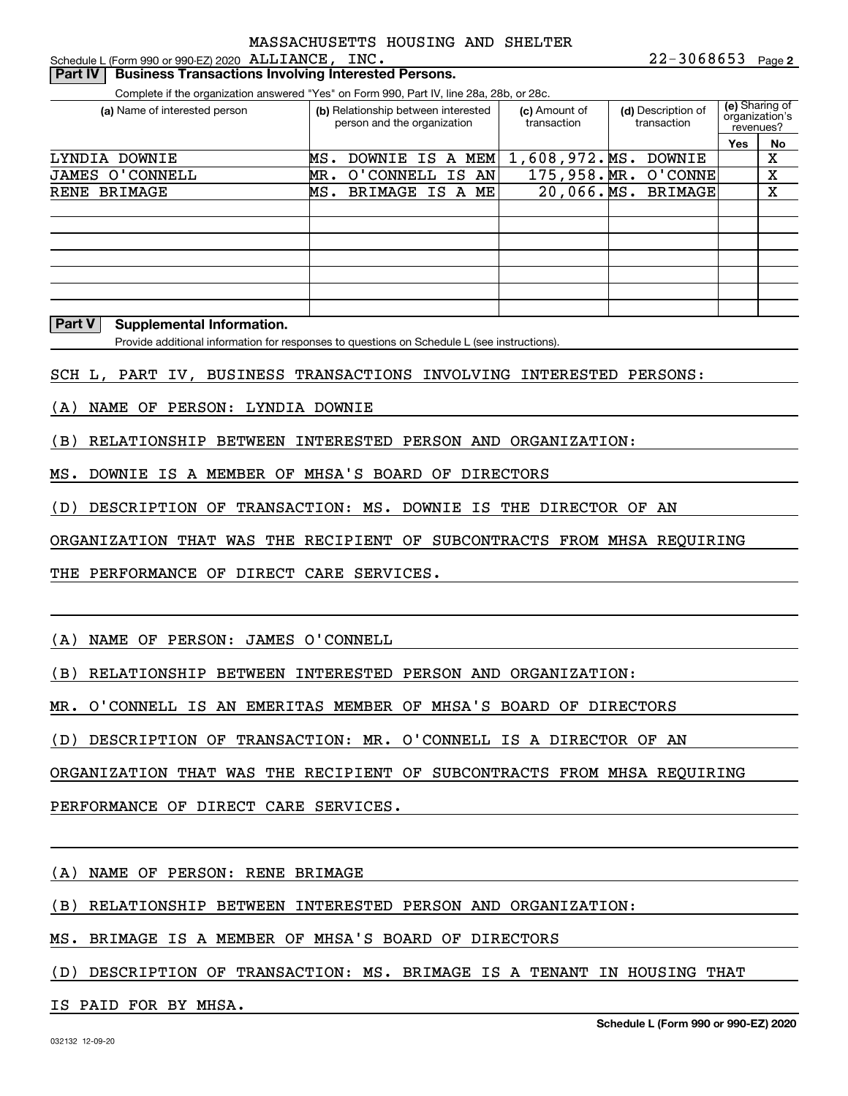Schedule L (Form 990 or 990-EZ) 2020 Page ALLIANCE, INC.

#### **Part IV | Business Transactions Involving Interested Persons.**

Complete if the organization answered "Yes" on Form 990, Part IV, line 28a, 28b, or 28c.

| (a) Name of interested person |     | (b) Relationship between interested<br>person and the organization |          | (c) Amount of<br>transaction | (d) Description of<br>transaction |  |                | (e) Sharing of<br>organization's<br>revenues? |    |
|-------------------------------|-----|--------------------------------------------------------------------|----------|------------------------------|-----------------------------------|--|----------------|-----------------------------------------------|----|
|                               |     |                                                                    |          |                              |                                   |  |                | Yes                                           | No |
| LYNDIA DOWNIE                 | MS. | DOWNIE                                                             | IS A MEM |                              | 1,608,972.MS.                     |  | <b>DOWNIE</b>  |                                               | х  |
| JAMES O'CONNELL               | MR. | O'CONNELL                                                          |          | IS AN                        | 175,958.MR.                       |  | O'CONNE        |                                               | Χ  |
| BRIMAGE<br>RENE               | MS. | BRIMAGE IS A ME                                                    |          |                              | $20,066.\overline{\text{MS.}}$    |  | <b>BRIMAGE</b> |                                               | X  |
|                               |     |                                                                    |          |                              |                                   |  |                |                                               |    |
|                               |     |                                                                    |          |                              |                                   |  |                |                                               |    |
|                               |     |                                                                    |          |                              |                                   |  |                |                                               |    |
|                               |     |                                                                    |          |                              |                                   |  |                |                                               |    |
|                               |     |                                                                    |          |                              |                                   |  |                |                                               |    |
|                               |     |                                                                    |          |                              |                                   |  |                |                                               |    |
|                               |     |                                                                    |          |                              |                                   |  |                |                                               |    |

#### **Part V Supplemental Information.**

Provide additional information for responses to questions on Schedule L (see instructions).

SCH L, PART IV, BUSINESS TRANSACTIONS INVOLVING INTERESTED PERSONS:

(A) NAME OF PERSON: LYNDIA DOWNIE

(B) RELATIONSHIP BETWEEN INTERESTED PERSON AND ORGANIZATION:

MS. DOWNIE IS A MEMBER OF MHSA'S BOARD OF DIRECTORS

(D) DESCRIPTION OF TRANSACTION: MS. DOWNIE IS THE DIRECTOR OF AN

ORGANIZATION THAT WAS THE RECIPIENT OF SUBCONTRACTS FROM MHSA REQUIRING

THE PERFORMANCE OF DIRECT CARE SERVICES.

(A) NAME OF PERSON: JAMES O'CONNELL

(B) RELATIONSHIP BETWEEN INTERESTED PERSON AND ORGANIZATION:

MR. O'CONNELL IS AN EMERITAS MEMBER OF MHSA'S BOARD OF DIRECTORS

(D) DESCRIPTION OF TRANSACTION: MR. O'CONNELL IS A DIRECTOR OF AN

ORGANIZATION THAT WAS THE RECIPIENT OF SUBCONTRACTS FROM MHSA REQUIRING

PERFORMANCE OF DIRECT CARE SERVICES.

(A) NAME OF PERSON: RENE BRIMAGE

(B) RELATIONSHIP BETWEEN INTERESTED PERSON AND ORGANIZATION:

MS. BRIMAGE IS A MEMBER OF MHSA'S BOARD OF DIRECTORS

(D) DESCRIPTION OF TRANSACTION: MS. BRIMAGE IS A TENANT IN HOUSING THAT

IS PAID FOR BY MHSA.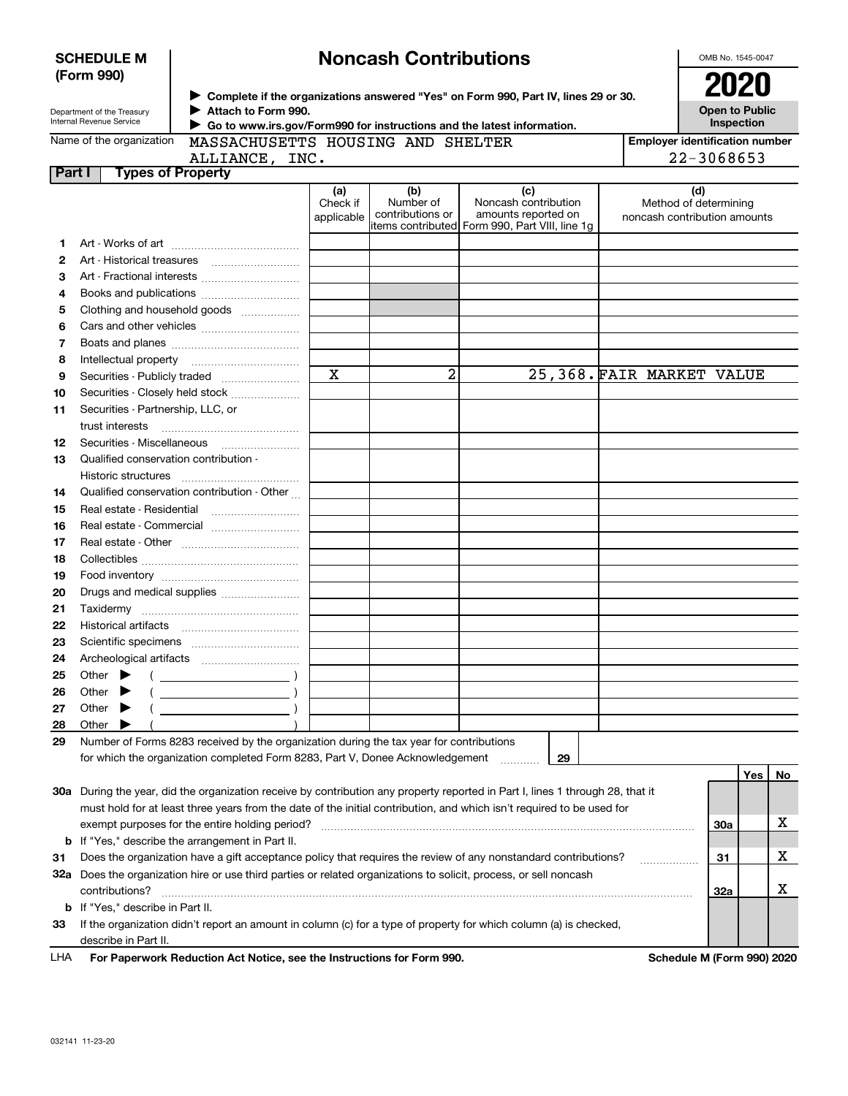| <b>SCHEDULE M</b> |  |
|-------------------|--|
| (Form 990)        |  |

## **Noncash Contributions**

OMB No. 1545-0047

| Department of the Treasury |
|----------------------------|
| Internal Revenue Service   |

**Complete if the organizations answered "Yes" on Form 990, Part IV, lines 29 or 30.** <sup>J</sup>**2020 Attach to Form 990.** J

**Open to Public Inspection**

| Name of the organization |
|--------------------------|
|--------------------------|

 **Go to www.irs.gov/Form990 for instructions and the latest information.** J

MASSACHUSETTS HOUSING AND SHELTER

| <b>Employer identification number</b> |
|---------------------------------------|
| 22-3068653                            |

**Part I Types of Property** ALLIANCE, INC.

| + - 14 + |  |
|----------|--|
|          |  |
|          |  |
|          |  |
|          |  |

|    |                                                                                                                                | (a)<br>Check if | (b)<br>Number of | (c)<br>Noncash contribution                                           | (d)<br>Method of determining |     |     |    |
|----|--------------------------------------------------------------------------------------------------------------------------------|-----------------|------------------|-----------------------------------------------------------------------|------------------------------|-----|-----|----|
|    |                                                                                                                                | applicable      | contributions or | amounts reported on<br>items contributed Form 990, Part VIII, line 1g | noncash contribution amounts |     |     |    |
| 1. |                                                                                                                                |                 |                  |                                                                       |                              |     |     |    |
| 2  |                                                                                                                                |                 |                  |                                                                       |                              |     |     |    |
| З  |                                                                                                                                |                 |                  |                                                                       |                              |     |     |    |
| 4  |                                                                                                                                |                 |                  |                                                                       |                              |     |     |    |
| 5  | Clothing and household goods                                                                                                   |                 |                  |                                                                       |                              |     |     |    |
| 6  |                                                                                                                                |                 |                  |                                                                       |                              |     |     |    |
| 7  |                                                                                                                                |                 |                  |                                                                       |                              |     |     |    |
| 8  |                                                                                                                                |                 |                  |                                                                       |                              |     |     |    |
| 9  |                                                                                                                                | X               | $\overline{a}$   |                                                                       | 25,368. FAIR MARKET VALUE    |     |     |    |
| 10 | Securities - Closely held stock                                                                                                |                 |                  |                                                                       |                              |     |     |    |
| 11 | Securities - Partnership, LLC, or                                                                                              |                 |                  |                                                                       |                              |     |     |    |
|    | trust interests                                                                                                                |                 |                  |                                                                       |                              |     |     |    |
| 12 | Securities - Miscellaneous                                                                                                     |                 |                  |                                                                       |                              |     |     |    |
| 13 | Qualified conservation contribution -                                                                                          |                 |                  |                                                                       |                              |     |     |    |
|    |                                                                                                                                |                 |                  |                                                                       |                              |     |     |    |
| 14 | Qualified conservation contribution - Other                                                                                    |                 |                  |                                                                       |                              |     |     |    |
| 15 |                                                                                                                                |                 |                  |                                                                       |                              |     |     |    |
| 16 | Real estate - Commercial                                                                                                       |                 |                  |                                                                       |                              |     |     |    |
| 17 |                                                                                                                                |                 |                  |                                                                       |                              |     |     |    |
| 18 |                                                                                                                                |                 |                  |                                                                       |                              |     |     |    |
| 19 |                                                                                                                                |                 |                  |                                                                       |                              |     |     |    |
| 20 | Drugs and medical supplies                                                                                                     |                 |                  |                                                                       |                              |     |     |    |
| 21 |                                                                                                                                |                 |                  |                                                                       |                              |     |     |    |
| 22 |                                                                                                                                |                 |                  |                                                                       |                              |     |     |    |
| 23 |                                                                                                                                |                 |                  |                                                                       |                              |     |     |    |
| 24 |                                                                                                                                |                 |                  |                                                                       |                              |     |     |    |
| 25 | Other $\blacktriangleright$                                                                                                    |                 |                  |                                                                       |                              |     |     |    |
| 26 | Other $\blacktriangleright$                                                                                                    |                 |                  |                                                                       |                              |     |     |    |
| 27 | Other $\blacktriangleright$                                                                                                    |                 |                  |                                                                       |                              |     |     |    |
| 28 | Other $\blacktriangleright$                                                                                                    |                 |                  |                                                                       |                              |     |     |    |
| 29 | Number of Forms 8283 received by the organization during the tax year for contributions                                        |                 |                  |                                                                       |                              |     |     |    |
|    | for which the organization completed Form 8283, Part V, Donee Acknowledgement                                                  |                 |                  | 29                                                                    |                              |     |     |    |
|    |                                                                                                                                |                 |                  |                                                                       |                              |     | Yes | No |
|    | 30a During the year, did the organization receive by contribution any property reported in Part I, lines 1 through 28, that it |                 |                  |                                                                       |                              |     |     |    |
|    | must hold for at least three years from the date of the initial contribution, and which isn't required to be used for          |                 |                  |                                                                       |                              |     |     |    |
|    | exempt purposes for the entire holding period?                                                                                 |                 |                  |                                                                       |                              | 30a |     | х  |
| b  | If "Yes," describe the arrangement in Part II.                                                                                 |                 |                  |                                                                       |                              |     |     |    |
| 31 | Does the organization have a gift acceptance policy that requires the review of any nonstandard contributions?                 |                 |                  |                                                                       | .                            | 31  |     | х  |
|    | 32a Does the organization hire or use third parties or related organizations to solicit, process, or sell noncash              |                 |                  |                                                                       |                              |     |     |    |
|    | contributions?                                                                                                                 |                 |                  |                                                                       |                              | 32a |     | х  |
| b  | If "Yes," describe in Part II.                                                                                                 |                 |                  |                                                                       |                              |     |     |    |
| 33 | If the organization didn't report an amount in column (c) for a type of property for which column (a) is checked,              |                 |                  |                                                                       |                              |     |     |    |
|    | describe in Part II.                                                                                                           |                 |                  |                                                                       |                              |     |     |    |

For Paperwork Reduction Act Notice, see the Instructions for Form 990. **Schedule M (Form 990) 2020** LHA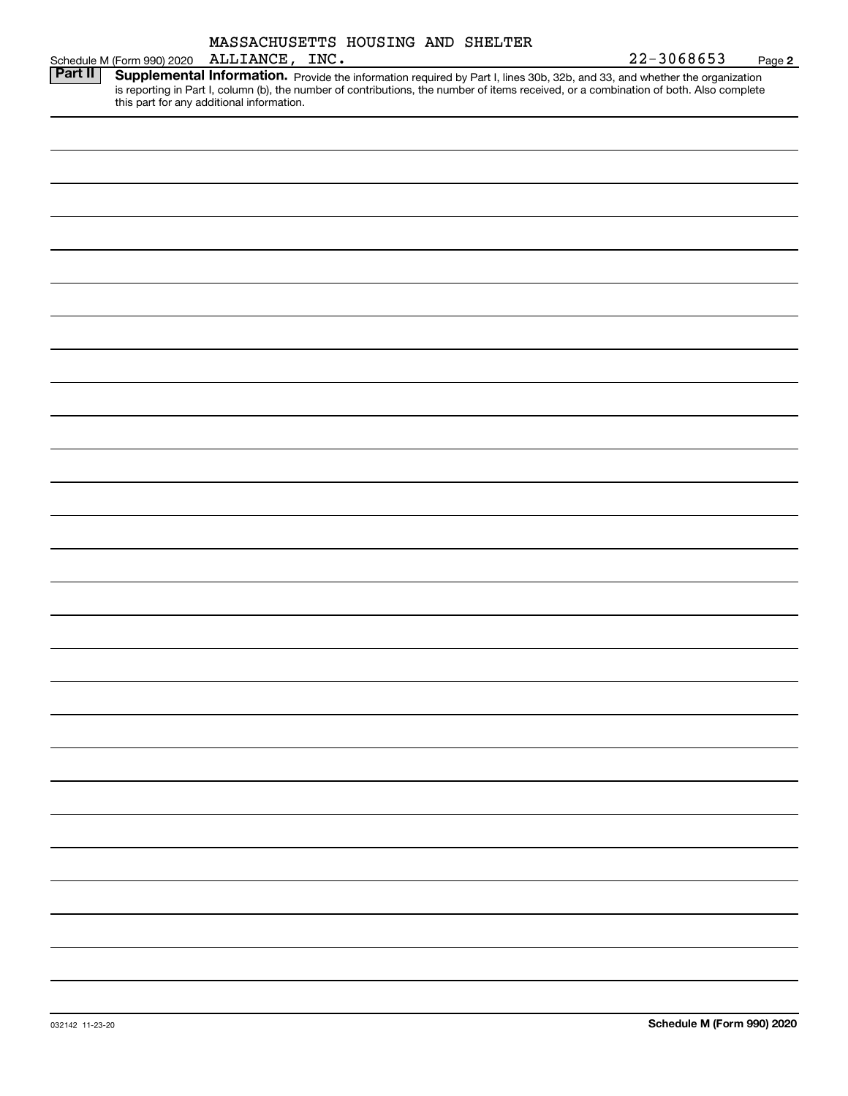|                | MASSACHUSETTS HOUSING AND SHELTER<br>ALLIANCE, INC.<br>Schedule M (Form 990) 2020                                                                                                                                                                                                                                 | 22-3068653 | Page 2 |
|----------------|-------------------------------------------------------------------------------------------------------------------------------------------------------------------------------------------------------------------------------------------------------------------------------------------------------------------|------------|--------|
| <b>Part II</b> | Supplemental Information. Provide the information required by Part I, lines 30b, 32b, and 33, and whether the organization<br>is reporting in Part I, column (b), the number of contributions, the number of items received, or a combination of both. Also complete<br>this part for any additional information. |            |        |
|                |                                                                                                                                                                                                                                                                                                                   |            |        |
|                |                                                                                                                                                                                                                                                                                                                   |            |        |
|                |                                                                                                                                                                                                                                                                                                                   |            |        |
|                |                                                                                                                                                                                                                                                                                                                   |            |        |
|                |                                                                                                                                                                                                                                                                                                                   |            |        |
|                |                                                                                                                                                                                                                                                                                                                   |            |        |
|                |                                                                                                                                                                                                                                                                                                                   |            |        |
|                |                                                                                                                                                                                                                                                                                                                   |            |        |
|                |                                                                                                                                                                                                                                                                                                                   |            |        |
|                |                                                                                                                                                                                                                                                                                                                   |            |        |
|                |                                                                                                                                                                                                                                                                                                                   |            |        |
|                |                                                                                                                                                                                                                                                                                                                   |            |        |
|                |                                                                                                                                                                                                                                                                                                                   |            |        |
|                |                                                                                                                                                                                                                                                                                                                   |            |        |
|                |                                                                                                                                                                                                                                                                                                                   |            |        |
|                |                                                                                                                                                                                                                                                                                                                   |            |        |
|                |                                                                                                                                                                                                                                                                                                                   |            |        |
|                |                                                                                                                                                                                                                                                                                                                   |            |        |
|                |                                                                                                                                                                                                                                                                                                                   |            |        |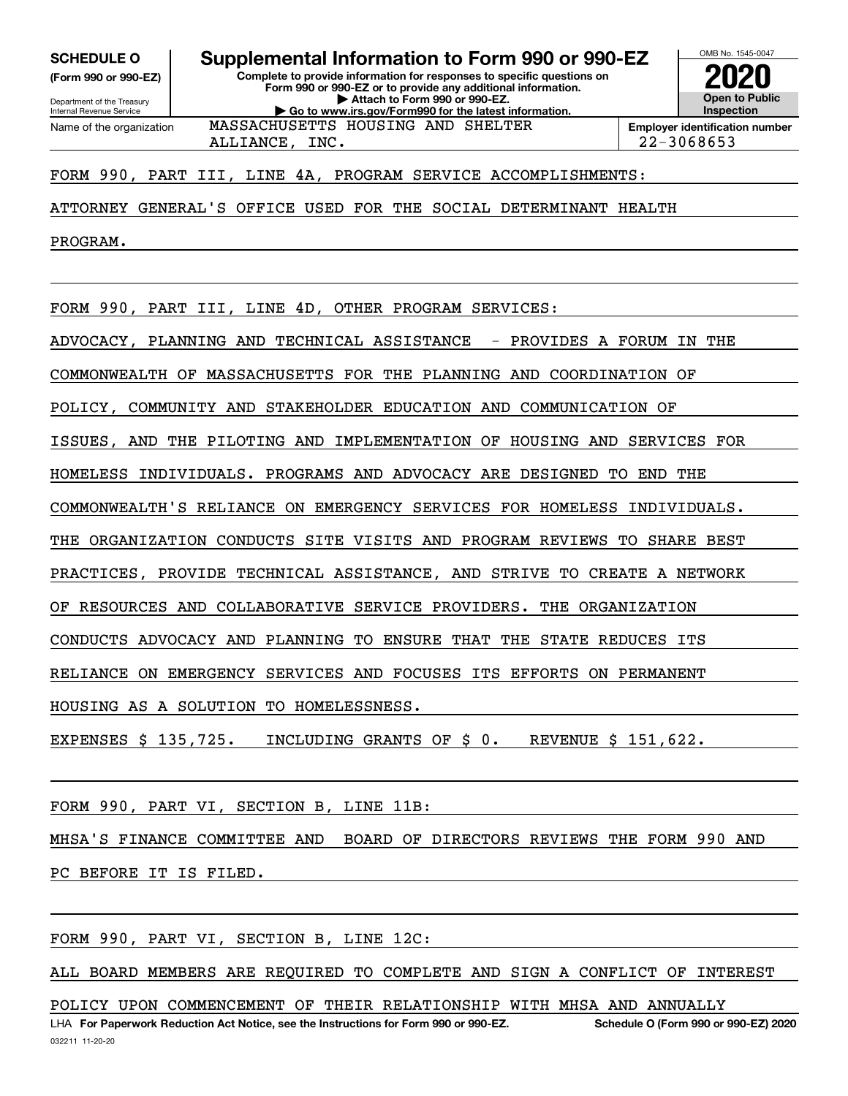**(Form 990 or 990-EZ)**

Department of the Treasury Internal Revenue Service Name of the organization

**Complete to provide information for responses to specific questions on SCHEDULE O Supplemental Information to Form 990 or 990-EZ**

**Form 990 or 990-EZ or to provide any additional information. | Attach to Form 990 or 990-EZ. | Go to www.irs.gov/Form990 for the latest information.** MASSACHUSETTS HOUSING AND SHELTER

**Open to Public InspectionEmployer identification number** ALLIANCE, INC. 22-3068653

OMB No. 1545-0047

**2020**

#### FORM 990, PART III, LINE 4A, PROGRAM SERVICE ACCOMPLISHMENTS:

ATTORNEY GENERAL'S OFFICE USED FOR THE SOCIAL DETERMINANT HEALTH

PROGRAM.

FORM 990, PART III, LINE 4D, OTHER PROGRAM SERVICES:

ADVOCACY, PLANNING AND TECHNICAL ASSISTANCE - PROVIDES A FORUM IN THE

COMMONWEALTH OF MASSACHUSETTS FOR THE PLANNING AND COORDINATION OF

POLICY, COMMUNITY AND STAKEHOLDER EDUCATION AND COMMUNICATION OF

ISSUES, AND THE PILOTING AND IMPLEMENTATION OF HOUSING AND SERVICES FOR

HOMELESS INDIVIDUALS. PROGRAMS AND ADVOCACY ARE DESIGNED TO END THE

COMMONWEALTH'S RELIANCE ON EMERGENCY SERVICES FOR HOMELESS INDIVIDUALS.

THE ORGANIZATION CONDUCTS SITE VISITS AND PROGRAM REVIEWS TO SHARE BEST

PRACTICES, PROVIDE TECHNICAL ASSISTANCE, AND STRIVE TO CREATE A NETWORK

OF RESOURCES AND COLLABORATIVE SERVICE PROVIDERS. THE ORGANIZATION

CONDUCTS ADVOCACY AND PLANNING TO ENSURE THAT THE STATE REDUCES ITS

RELIANCE ON EMERGENCY SERVICES AND FOCUSES ITS EFFORTS ON PERMANENT

HOUSING AS A SOLUTION TO HOMELESSNESS.

EXPENSES \$ 135,725. INCLUDING GRANTS OF \$ 0. REVENUE \$ 151,622.

FORM 990, PART VI, SECTION B, LINE 11B:

MHSA'S FINANCE COMMITTEE AND BOARD OF DIRECTORS REVIEWS THE FORM 990 AND

PC BEFORE IT IS FILED.

FORM 990, PART VI, SECTION B, LINE 12C:

ALL BOARD MEMBERS ARE REQUIRED TO COMPLETE AND SIGN A CONFLICT OF INTEREST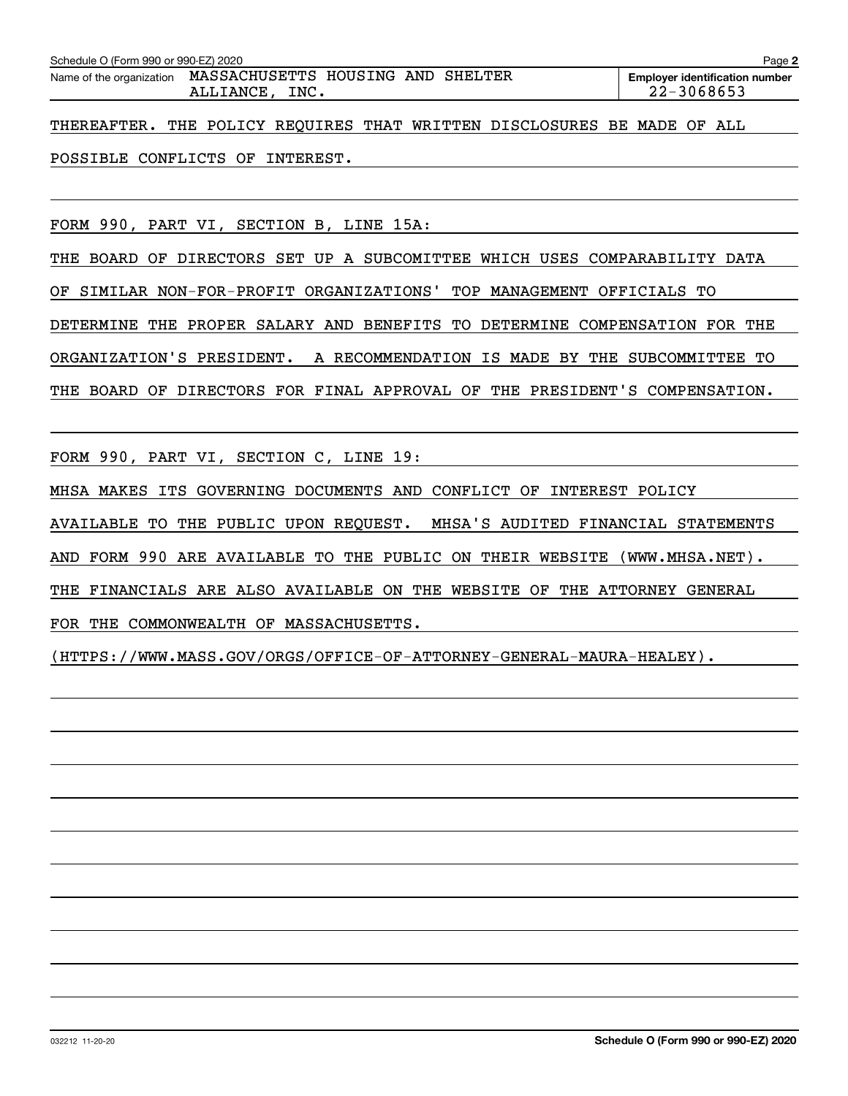| Schedule O (Form 990 or 990-EZ) 2020<br>Page 2                               |                                                     |  |  |  |  |  |  |  |  |  |
|------------------------------------------------------------------------------|-----------------------------------------------------|--|--|--|--|--|--|--|--|--|
| Name of the organization MASSACHUSETTS HOUSING AND SHELTER<br>ALLIANCE, INC. | <b>Employer identification number</b><br>22-3068653 |  |  |  |  |  |  |  |  |  |
| THEREAFTER. THE POLICY REQUIRES THAT WRITTEN DISCLOSURES BE MADE OF ALL      |                                                     |  |  |  |  |  |  |  |  |  |
| POSSIBLE CONFLICTS OF INTEREST.                                              |                                                     |  |  |  |  |  |  |  |  |  |

FORM 990, PART VI, SECTION B, LINE 15A:

THE BOARD OF DIRECTORS SET UP A SUBCOMITTEE WHICH USES COMPARABILITY DATA OF SIMILAR NON-FOR-PROFIT ORGANIZATIONS' TOP MANAGEMENT OFFICIALS TO DETERMINE THE PROPER SALARY AND BENEFITS TO DETERMINE COMPENSATION FOR THE ORGANIZATION'S PRESIDENT. A RECOMMENDATION IS MADE BY THE SUBCOMMITTEE TO THE BOARD OF DIRECTORS FOR FINAL APPROVAL OF THE PRESIDENT'S COMPENSATION.

FORM 990, PART VI, SECTION C, LINE 19:

MHSA MAKES ITS GOVERNING DOCUMENTS AND CONFLICT OF INTEREST POLICY

AVAILABLE TO THE PUBLIC UPON REQUEST. MHSA'S AUDITED FINANCIAL STATEMENTS

AND FORM 990 ARE AVAILABLE TO THE PUBLIC ON THEIR WEBSITE (WWW.MHSA.NET).

THE FINANCIALS ARE ALSO AVAILABLE ON THE WEBSITE OF THE ATTORNEY GENERAL

FOR THE COMMONWEALTH OF MASSACHUSETTS.

(HTTPS://WWW.MASS.GOV/ORGS/OFFICE-OF-ATTORNEY-GENERAL-MAURA-HEALEY).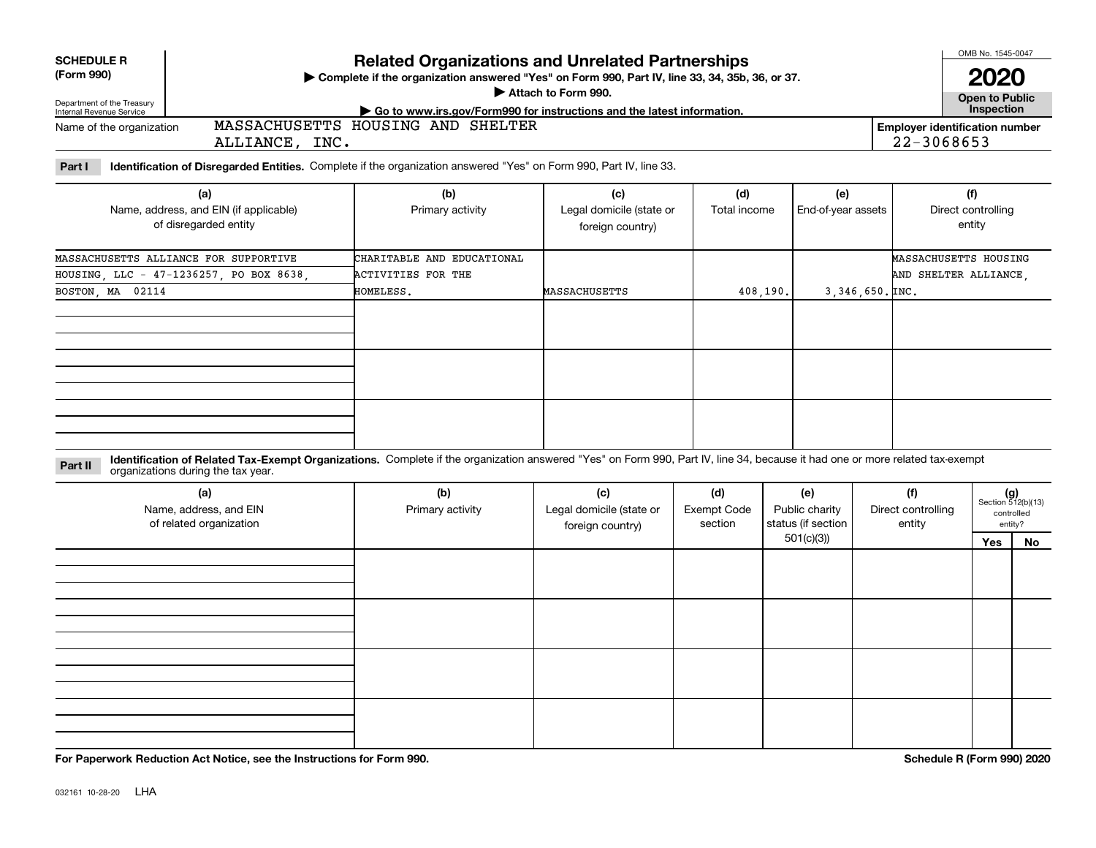| <b>SCHEDULE R</b> |  |  |
|-------------------|--|--|
|                   |  |  |

#### **(Form 990)**

### **Related Organizations and Unrelated Partnerships**

**Complete if the organization answered "Yes" on Form 990, Part IV, line 33, 34, 35b, 36, or 37.** |

**Attach to Form 990.**  |

**Open to Public 2020**

OMB No. 1545-0047

| Department of the Treasury<br>Internal Revenue Service | $\cdot$ Go to www.irs.gov/Form990 for instructions and the latest information. | <b>Inspection</b>                     |
|--------------------------------------------------------|--------------------------------------------------------------------------------|---------------------------------------|
| Name of the organization                               | SHELTER<br>MASSACHUSETTS<br>AND<br>HOUSING                                     | <b>Employer identification number</b> |
|                                                        | INC .<br>ALLIANCE                                                              | 3068653<br>$\sim$<br>-44-             |

**Part I Identification of Disregarded Entities.**  Complete if the organization answered "Yes" on Form 990, Part IV, line 33.

| (a)<br>Name, address, and EIN (if applicable)<br>of disregarded entity | (b)<br>Primary activity    | (c)<br>Legal domicile (state or<br>foreign country) | (d)<br>Total income | (e)<br>End-of-year assets        | (f)<br>Direct controlling<br>entity |
|------------------------------------------------------------------------|----------------------------|-----------------------------------------------------|---------------------|----------------------------------|-------------------------------------|
| MASSACHUSETTS ALLIANCE FOR SUPPORTIVE                                  | CHARITABLE AND EDUCATIONAL |                                                     |                     |                                  | MASSACHUSETTS HOUSING               |
| HOUSING, LLC - 47-1236257, PO BOX 8638,                                | <b>ACTIVITIES FOR THE</b>  |                                                     |                     |                                  | AND SHELTER ALLIANCE,               |
| BOSTON, MA 02114                                                       | HOMELESS.                  | <b>MASSACHUSETTS</b>                                | 408,190.            | $3,346,650.\text{\texttt{INC.}}$ |                                     |
|                                                                        |                            |                                                     |                     |                                  |                                     |
|                                                                        |                            |                                                     |                     |                                  |                                     |
|                                                                        |                            |                                                     |                     |                                  |                                     |

**Identification of Related Tax-Exempt Organizations.** Complete if the organization answered "Yes" on Form 990, Part IV, line 34, because it had one or more related tax-exempt **Part II** organizations during the tax year.

| (a)<br>Name, address, and EIN<br>of related organization | (b)<br>Primary activity | (c)<br>Legal domicile (state or<br>foreign country) | (d)<br><b>Exempt Code</b><br>section | (e)<br>Public charity<br>status (if section | (f)<br>Direct controlling<br>entity |     | $(g)$<br>Section 512(b)(13)<br>controlled<br>entity? |
|----------------------------------------------------------|-------------------------|-----------------------------------------------------|--------------------------------------|---------------------------------------------|-------------------------------------|-----|------------------------------------------------------|
|                                                          |                         |                                                     |                                      | 501(c)(3)                                   |                                     | Yes | No                                                   |
|                                                          |                         |                                                     |                                      |                                             |                                     |     |                                                      |
|                                                          |                         |                                                     |                                      |                                             |                                     |     |                                                      |
|                                                          |                         |                                                     |                                      |                                             |                                     |     |                                                      |
|                                                          |                         |                                                     |                                      |                                             |                                     |     |                                                      |
|                                                          |                         |                                                     |                                      |                                             |                                     |     |                                                      |
|                                                          |                         |                                                     |                                      |                                             |                                     |     |                                                      |
|                                                          |                         |                                                     |                                      |                                             |                                     |     |                                                      |
|                                                          |                         |                                                     |                                      |                                             |                                     |     |                                                      |
|                                                          |                         |                                                     |                                      |                                             |                                     |     |                                                      |
|                                                          |                         |                                                     |                                      |                                             |                                     |     |                                                      |
|                                                          |                         |                                                     |                                      |                                             |                                     |     |                                                      |

**For Paperwork Reduction Act Notice, see the Instructions for Form 990. Schedule R (Form 990) 2020**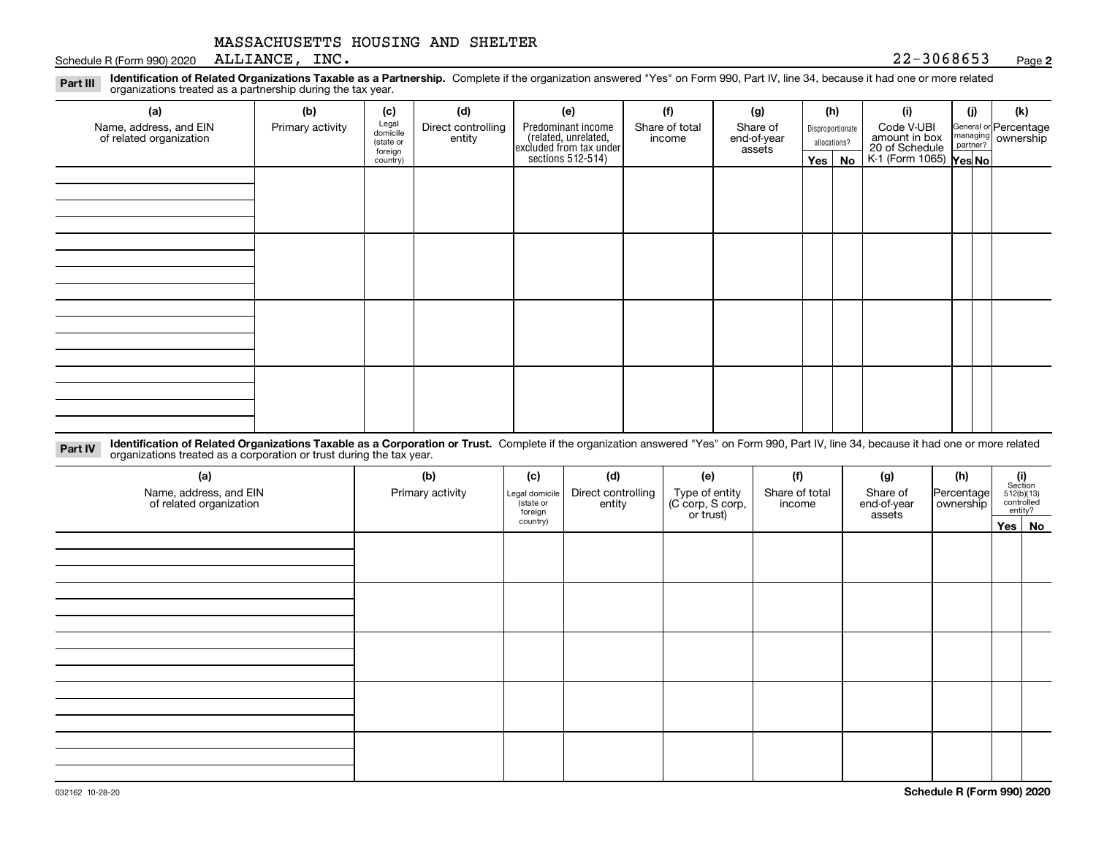Schedule R (Form 990) 2020 ALLIANCE, INC.  $22-3068653$ ALLIANCE, INC.

#### **2**

**Identification of Related Organizations Taxable as a Partnership.** Complete if the organization answered "Yes" on Form 990, Part IV, line 34, because it had one or more related **Part III** organizations treated as a partnership during the tax year.

| (b)              | (c)      | (d)                                       | (e)                | (f)            | (g)                                                                           |                       |    | (i)                                            | (i) | (k)                                                                                                                         |
|------------------|----------|-------------------------------------------|--------------------|----------------|-------------------------------------------------------------------------------|-----------------------|----|------------------------------------------------|-----|-----------------------------------------------------------------------------------------------------------------------------|
| Primary activity |          | Direct controlling                        | Predominant income | Share of total | Share of                                                                      |                       |    | Code V-UBI                                     |     |                                                                                                                             |
|                  |          |                                           |                    |                |                                                                               |                       |    |                                                |     |                                                                                                                             |
|                  | country) |                                           |                    |                |                                                                               |                       | No |                                                |     |                                                                                                                             |
|                  |          |                                           |                    |                |                                                                               |                       |    |                                                |     |                                                                                                                             |
|                  |          |                                           |                    |                |                                                                               |                       |    |                                                |     |                                                                                                                             |
|                  |          |                                           |                    |                |                                                                               |                       |    |                                                |     |                                                                                                                             |
|                  |          |                                           |                    |                |                                                                               |                       |    |                                                |     |                                                                                                                             |
|                  |          |                                           |                    |                |                                                                               |                       |    |                                                |     |                                                                                                                             |
|                  |          |                                           |                    |                |                                                                               |                       |    |                                                |     |                                                                                                                             |
|                  |          |                                           |                    |                |                                                                               |                       |    |                                                |     |                                                                                                                             |
|                  |          |                                           |                    |                |                                                                               |                       |    |                                                |     |                                                                                                                             |
|                  |          |                                           |                    |                |                                                                               |                       |    |                                                |     |                                                                                                                             |
|                  |          |                                           |                    |                |                                                                               |                       |    |                                                |     |                                                                                                                             |
|                  |          |                                           |                    |                |                                                                               |                       |    |                                                |     |                                                                                                                             |
|                  |          |                                           |                    |                |                                                                               |                       |    |                                                |     |                                                                                                                             |
|                  |          |                                           |                    |                |                                                                               |                       |    |                                                |     |                                                                                                                             |
|                  |          |                                           |                    |                |                                                                               |                       |    |                                                |     |                                                                                                                             |
|                  |          |                                           |                    |                |                                                                               |                       |    |                                                |     |                                                                                                                             |
|                  |          |                                           |                    |                |                                                                               |                       |    |                                                |     |                                                                                                                             |
|                  |          | Legal<br>domicile<br>(state or<br>foreign | entity             |                | related, unrelated,<br>excluded from tax under<br>sections 512-514)<br>income | end-of-year<br>assets |    | (h)<br>Disproportionate<br>allocations?<br>Yes |     | General or Percentage<br>managing ownership<br>partner?<br>amount in box<br>20 of Schedule<br>K-1 (Form 1065) <b>Yes No</b> |

**Identification of Related Organizations Taxable as a Corporation or Trust.** Complete if the organization answered "Yes" on Form 990, Part IV, line 34, because it had one or more related **Part IV** organizations treated as a corporation or trust during the tax year.

| (a)<br>Name, address, and EIN<br>of related organization | (b)<br>Primary activity | (c)<br>Legal domicile<br>state or<br>foreign | (d)<br>Direct controlling<br>entity | (f)<br>(e)<br>(g)<br>Type of entity<br>(C corp, S corp,<br>or trust)<br>Share of total<br>Share of<br>end-of-year<br>income<br>assets |  | (h)<br>Percentage<br>ownership | $\begin{array}{c} \textbf{(i)}\\ \text{Section}\\ 512 \text{(b)} \text{(13)}\\ \text{controlled}\\ \text{entity?} \end{array}$ |          |
|----------------------------------------------------------|-------------------------|----------------------------------------------|-------------------------------------|---------------------------------------------------------------------------------------------------------------------------------------|--|--------------------------------|--------------------------------------------------------------------------------------------------------------------------------|----------|
|                                                          |                         | country)                                     |                                     |                                                                                                                                       |  |                                |                                                                                                                                | Yes   No |
|                                                          |                         |                                              |                                     |                                                                                                                                       |  |                                |                                                                                                                                |          |
|                                                          |                         |                                              |                                     |                                                                                                                                       |  |                                |                                                                                                                                |          |
|                                                          |                         |                                              |                                     |                                                                                                                                       |  |                                |                                                                                                                                |          |
|                                                          |                         |                                              |                                     |                                                                                                                                       |  |                                |                                                                                                                                |          |
|                                                          |                         |                                              |                                     |                                                                                                                                       |  |                                |                                                                                                                                |          |
|                                                          |                         |                                              |                                     |                                                                                                                                       |  |                                |                                                                                                                                |          |
|                                                          |                         |                                              |                                     |                                                                                                                                       |  |                                |                                                                                                                                |          |
|                                                          |                         |                                              |                                     |                                                                                                                                       |  |                                |                                                                                                                                |          |
|                                                          |                         |                                              |                                     |                                                                                                                                       |  |                                |                                                                                                                                |          |
|                                                          |                         |                                              |                                     |                                                                                                                                       |  |                                |                                                                                                                                |          |
|                                                          |                         |                                              |                                     |                                                                                                                                       |  |                                |                                                                                                                                |          |
|                                                          |                         |                                              |                                     |                                                                                                                                       |  |                                |                                                                                                                                |          |
|                                                          |                         |                                              |                                     |                                                                                                                                       |  |                                |                                                                                                                                |          |
|                                                          |                         |                                              |                                     |                                                                                                                                       |  |                                |                                                                                                                                |          |
|                                                          |                         |                                              |                                     |                                                                                                                                       |  |                                |                                                                                                                                |          |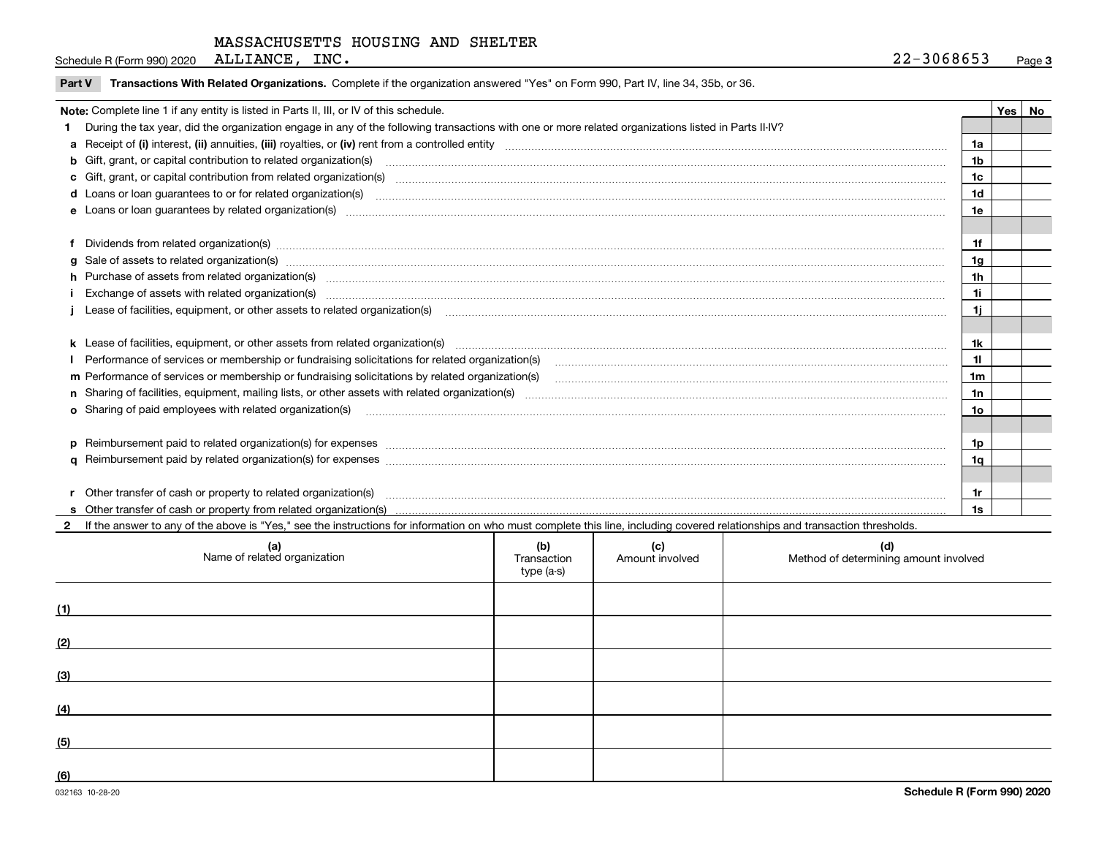ALLIANCE, INC.

**3**Schedule R (Form 990) 2020 ALLIANCE, INC.  $22-3068653$ 

| <b>Part V</b> Transactions With Related Organizations. Complete if the organization answered "Yes" on Form 990, Part IV, line 34, 35b, or 36 |  |
|----------------------------------------------------------------------------------------------------------------------------------------------|--|
|                                                                                                                                              |  |

| Note: Complete line 1 if any entity is listed in Parts II, III, or IV of this schedule.                                                                                                                                        |                | Yes | No |
|--------------------------------------------------------------------------------------------------------------------------------------------------------------------------------------------------------------------------------|----------------|-----|----|
| During the tax year, did the organization engage in any of the following transactions with one or more related organizations listed in Parts II-IV?                                                                            |                |     |    |
|                                                                                                                                                                                                                                | 1a             |     |    |
| b Gift, grant, or capital contribution to related organization(s) manufaction contains and contribution to related organization(s) manufaction contribution for related organization(s) manufaction contains and contribution  | 1b             |     |    |
| c Gift, grant, or capital contribution from related organization(s) www.communities.com/www.communities.com/www.communities.com/www.communities.com/www.communities.com/www.communities.com/www.communities.com/www.communitie | 1c             |     |    |
|                                                                                                                                                                                                                                | 1d             |     |    |
|                                                                                                                                                                                                                                | 1e             |     |    |
|                                                                                                                                                                                                                                |                |     |    |
| f Dividends from related organization(s) manufactured contains and contained a state of the contact of the contact of the contact of the contact of the contact of the contact of the contact of the contact of the contact of | 1f             |     |    |
|                                                                                                                                                                                                                                | 1 <sub>q</sub> |     |    |
| h Purchase of assets from related organization(s) manufactured content to content the content of the content of the content of the content of the content of the content of the content of the content of the content of the c | 1 <sub>h</sub> |     |    |
| Exchange of assets with related organization(s) www.array.com/www.array.com/www.array.com/www.array.com/www.array.com/www.array.com/www.array.com/www.array.com/www.array.com/www.array.com/www.array.com/www.array.com/www.ar | 1i             |     |    |
| Lease of facilities, equipment, or other assets to related organization(s) manufactured content and content and content and content and content and content and content and content and content and content and content and co | 1i.            |     |    |
|                                                                                                                                                                                                                                |                |     |    |
| k Lease of facilities, equipment, or other assets from related organization(s) manufaction content and content to the assets from related organization(s) manufaction content and content and content and content and content  | 1k             |     |    |
|                                                                                                                                                                                                                                | 11             |     |    |
| m Performance of services or membership or fundraising solicitations by related organization(s)                                                                                                                                | 1 <sub>m</sub> |     |    |
|                                                                                                                                                                                                                                | 1n             |     |    |
| o Sharing of paid employees with related organization(s) manufactured content to the content of the content of the content of the content of the content of the content of the content of the content of the content of the co | 10             |     |    |
|                                                                                                                                                                                                                                |                |     |    |
|                                                                                                                                                                                                                                | 1p             |     |    |
|                                                                                                                                                                                                                                | 1q             |     |    |
|                                                                                                                                                                                                                                |                |     |    |
| r Other transfer of cash or property to related organization(s)                                                                                                                                                                | 1r             |     |    |
|                                                                                                                                                                                                                                | 1s             |     |    |

**2** If the answer to any of the above is "Yes," see the instructions for information on who must complete this line, including covered relationships and transaction thresholds.

|     | (a)<br>Name of related organization | (b)<br>Transaction<br>type (a-s) | (c)<br>Amount involved | (d)<br>Method of determining amount involved |
|-----|-------------------------------------|----------------------------------|------------------------|----------------------------------------------|
| (1) |                                     |                                  |                        |                                              |
| (2) |                                     |                                  |                        |                                              |
| (3) |                                     |                                  |                        |                                              |
| (4) |                                     |                                  |                        |                                              |
| (5) |                                     |                                  |                        |                                              |
| (6) |                                     |                                  |                        |                                              |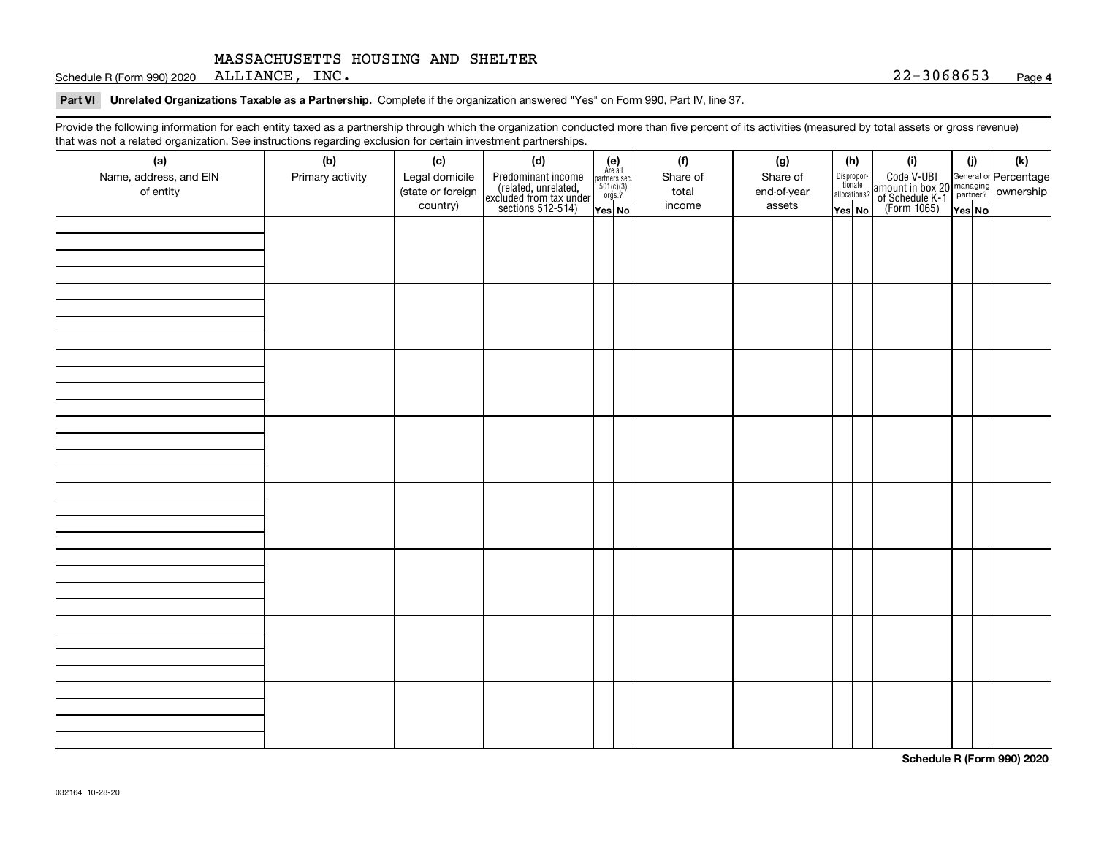Schedule R (Form 990) 2020  $\,$  <code>ALLIANCE</code> , <code>INC</code> .  $\,$  <code>INC</code> .  $\,$  <code>INC</code> .  $\,$  <code>INC</code> .  $\,$  <code>INC</code> .  $\,$  <code>INC</code> .  $\,$  <code>INC</code> .  $\,$  <code>INC</code> .  $\,$  <code>INC</code> .  $\,$  <code>INC</code> .  $\,$  <code>INC</code> .  $\,$  <code>INC</code> .  $\,$  <code>INC</code> .  $\,$  <code>INC</code> .

**Part VI Unrelated Organizations Taxable as a Partnership. Complete if the organization answered "Yes" on Form 990, Part IV, line 37.** 

Provide the following information for each entity taxed as a partnership through which the organization conducted more than five percent of its activities (measured by total assets or gross revenue) that was not a related organization. See instructions regarding exclusion for certain investment partnerships.

| (a)<br>Name, address, and EIN<br>of entity | ໍ້<br>(b)<br>Primary activity | (c)<br>Legal domicile<br>(state or foreign<br>country) | .<br>(d)<br>Predominant income<br>(related, unrelated,<br>excluded from tax under<br>sections 512-514) | $\begin{array}{c} \textbf{(e)}\\ \text{Are all} \\ \text{partners sec.}\\ 501(c)(3)\\ \text{orgs.?} \end{array}$<br>Yes No | (f)<br>Share of<br>total<br>income | (g)<br>Share of<br>end-of-year<br>assets | allocations?<br>Yes No | (h)<br>Dispropor-<br>tionate | (i)<br>Code V-UBI<br>amount in box 20 managing<br>of Schedule K-1 partner?<br>(Form 1065)<br>ves No | (i)<br>Yes No | $(\mathsf{k})$ |
|--------------------------------------------|-------------------------------|--------------------------------------------------------|--------------------------------------------------------------------------------------------------------|----------------------------------------------------------------------------------------------------------------------------|------------------------------------|------------------------------------------|------------------------|------------------------------|-----------------------------------------------------------------------------------------------------|---------------|----------------|
|                                            |                               |                                                        |                                                                                                        |                                                                                                                            |                                    |                                          |                        |                              |                                                                                                     |               |                |
|                                            |                               |                                                        |                                                                                                        |                                                                                                                            |                                    |                                          |                        |                              |                                                                                                     |               |                |
|                                            |                               |                                                        |                                                                                                        |                                                                                                                            |                                    |                                          |                        |                              |                                                                                                     |               |                |
|                                            |                               |                                                        |                                                                                                        |                                                                                                                            |                                    |                                          |                        |                              |                                                                                                     |               |                |
|                                            |                               |                                                        |                                                                                                        |                                                                                                                            |                                    |                                          |                        |                              |                                                                                                     |               |                |
|                                            |                               |                                                        |                                                                                                        |                                                                                                                            |                                    |                                          |                        |                              |                                                                                                     |               |                |
|                                            |                               |                                                        |                                                                                                        |                                                                                                                            |                                    |                                          |                        |                              |                                                                                                     |               |                |
|                                            |                               |                                                        |                                                                                                        |                                                                                                                            |                                    |                                          |                        |                              |                                                                                                     |               |                |

**Schedule R (Form 990) 2020**